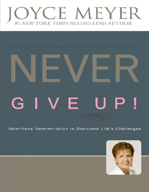



Relentless Determination to Overcome Life's Challenges

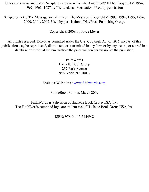<span id="page-1-0"></span>Unless otherwise indicated, Scriptures are taken from the Amplified® Bible. Copyright © 1954, 1962, 1965, 1987 by The Lockman Foundation. Used by permission.

Scriptures noted The Message are taken from The Message. Copyright © 1993, 1994, 1995, 1996, 2000, 2001, 2002. Used by permission of NavPress Publishing Group.

Copyright © 2008 by Joyce Meyer

All rights reserved. Except as permitted under the U.S. Copyright Act of 1976, no part of this publication may be reproduced, distributed, or transmitted in any form or by any means, or stored in a database or retrieval system, without the prior written permission of the publisher.

> FaithWords Hachette Book Group 237 Park Avenue New York, NY 10017

Visit our Web site at [www.faithwords.com.](http://www.faithwords.com)

First eBook Edition: March 2009

FaithWords is a division of Hachette Book Group USA, Inc. The FaithWords name and logo are trademarks of Hachette Book Group USA, Inc.

ISBN: 978-0-446-54449-8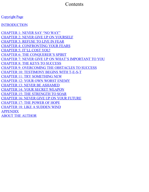### Contents

#### [Copyright](#page-1-0) Page

<span id="page-2-0"></span>**[INTRODUCTION](#page-3-0)** 

<span id="page-2-4"></span><span id="page-2-3"></span><span id="page-2-2"></span><span id="page-2-1"></span>[CHAPTER](#page-6-0) 1: NEVER SAY "NO WAY" CHAPTER 2: NEVER GIVE UP ON [YOURSELF](#page-15-0) [CHAPTER](#page-24-0) 3: REFUSE TO LIVE IN FEAR CHAPTER 4: [CONFRONTING](#page-34-0) YOUR FEARS [CHAPTER](#page-43-0) 5: IT'LL COST YOU! CHAPTER 6: THE [CONQUERER'S](#page-54-0) SPIRIT CHAPTER 7: NEVER GIVE UP ON WHAT'S [IMPORTANT](#page-63-0) TO YOU [CHAPTER](#page-73-0) 8: THE KEYS TO SUCCESS CHAPTER 9: [OVERCOMING](#page-84-0) THE OBSTACLES TO SUCCESS CHAPTER 10: [TESTIMONY](#page-94-0) BEGINS WITH T-E-S-T CHAPTER 11: TRY [SOMETHING](#page-102-0) NEW [CHAPTER](#page-110-0) 12: YOUR OWN WORST ENEMY CHAPTER 13: NEVER BE [ASHAMED](#page-118-0) [CHAPTER](#page-125-0) 14: YOUR SECRET WEAPON CHAPTER 15: THE [STRENGTH](#page-133-0) TO SOAR [CHAPTER](#page-139-0) 16: NEVER GIVE UP ON YOUR FUTURE [CHAPTER](#page-146-0) 17: THE POWER OF HOPE [CHAPTER](#page-152-0) 18: LIKE A SUDDEN WIND [APPENDIX](#page-160-0) ABOUT THE [AUTHOR](#page-163-0)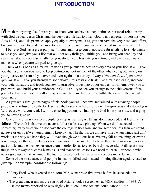# **[INTRODUCTION](#page-2-0)**

æo

<span id="page-3-0"></span>**M**ore than anything else, <sup>I</sup> want you to know you can have <sup>a</sup> deep, intimate, personal relationship with God through Jesus Christ and the very best life has to offer. God is no respecter of persons (see Acts 10:34) and His promises apply equally to everyone. Yes, you can have the very best God offers, but you will have to be determined to never give up until you have succeeded in every area of life.

I believe God has a great purpose for you, and I urge you to not settle for anything less. He wants to bless you and give you a life that will not only thrill you, fulfill you, and bring you deep joy and sweet satisfaction but also challenge you, stretch you, frustrate you at times, and even lead you to moments when you are tempted to give up.

Think of this book as a manual to use as you pursue the best in every area of your life. It will give you the inspiration you need to keep putting one foot in front of the other when you grow weary on your journey and remind you over and over again, in a variety of ways: *You can do it if you never give up.* It will give you strength to soar above life's tests and trials like a majestic eagle, increase your determination, and teach you how to turn adversities into opportunities. It will empower you to persevere, and build your confidence in God's ability to see you through to the achievement of the goals He has given you. It will strengthen your faith in His desire to fulfill the dreams He has put in your heart.

As you walk through the pages of this book, you will become acquainted with amazing people, people who refused to settle for less than the best and whose stories will inspire you and astound you. With every word you read, I will be cheering you on, reminding you God is on your side, and urging you to never give up.

One of the primary reasons people give up is that they try things, don't succeed, and feel like "a failure." The truth is that we are never a failure unless we give up. When we don't succeed at something, many times we do not have the courage to try again, and we settle for less than we could achieve or enjoy if we would simply keep trying. The fact is, we all have times when things just don't work out the way we hope they will, even though we do our best. We may fail at one thing, or even a few things, but that certainly does not make us a failure in life. I believe these temporary setbacks are part of life and we must experience them in order for us to ever be truly successful. Failing at some things on our way to success humbles us and teaches us lessons we need to learn. For people who never give up, failure is simply the fuel for greater determination and success in the future.

Some of the most successful people in history failed and, instead of being discouraged, refused to give up. For example, consider the following:

- Henry Ford, who invented the automobile, went broke five times before he succeeded in business.
- The great dancer and movie star Fred Astaire took a screen test at MGM studios in 1933. A studio memo reported he was slightly bald, could not act, and could dance a little.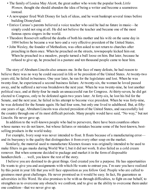- The family of Louisa May Alcott, the great author who wrote the popular book *Little Women,* thought she should abandon the idea of being a writer and become a seamstress instead.
- A newspaper fired Walt Disney for lack of ideas, and he went bankrupt several times before building Disneyland.
- Enrico Caruso's parents believed a voice teacher who said he had no future in music—he simply could not sing at all. He did not believe the teacher and became one of the most famous opera singers in the world.
- Theodore Roosevelt suffered the deaths of both his mother and his wife on the same day in 1884 before he became a war hero and a very effective president of the United States.
- John Wesley, the founder of Methodism, was often asked to not return to churches after preaching in them once. When he preached on the streets, townspeople kicked him out. When he preached in a meadow, people turned a bull loose on him. But later, because he refused to give up, he preached in a pasture and ten thousand people came to hear him.

The story of Abraham Lincoln also amazes me. In the face of many defeats, he had reason to believe there was no way he could succeed in life or be president of the United States. At twenty-two years old, he failed in business. One year later, he ran for the legislature and lost. When he was twenty-four, he experienced a second business failure. At twenty-six, the woman he loved passed away, and he suffered a nervous breakdown the next year. When he was twenty-nine, he lost another political race, and at thirty-four he made an unsuccessful run for Congress. At thirty-seven, he did get elected to Congress, only to be defeated again two years later. At forty-six, he lost his bid for the Senate, and the next year, he failed in his attempt to become vice president. When he was forty-nine, he was defeated for the Senate again. He had four sons, but only one lived to adulthood. But, at fiftyone years of age, Abraham Lincoln was elected president of the United States, and successfully led the country through one of its most difficult periods. Many people would have said, "No way," but not Lincoln. He never gave up.

In addition to the well-known people who had to persevere, there have been countless others whose names we do not know, but whose failures or mistakes became some of the best-known, bestselling products in the world today.

For example, Ivory soap was never intended to float. It floats because of a manufacturing error and its buoyancy is the quality that distinguishes it from every other soap on the market.

Similarly, the material used to manufacture Kleenex tissues was originally intended to be used to make filters in gas masks during World War I, but it did not work. It also failed as a cold cream remover. But when someone decided to package and market it in the form of disposable handkerchiefs . . . well, you know the rest of the story.

I believe you are destined to do great things. God created you for a purpose. He has opportunities He wants to give you and assignments with which He wants to entrust you. I'm sure you have realized by this point in your life that you will face opposition as you follow God. People who are called to greatness meet great challenges. He never promised us it would be easy. In fact, He guarantees us adversities in His Word. He also promises to be with us through difficulties, to fight on our behalf, to strengthen us to overcome any obstacle we confront, and to give us the ability to overcome them under one condition—that we never give up.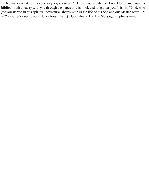No matter what comes your way, *refuse to quit.* Before you get started, I want to remind you of a biblical truth to carry with you through the pages of this book and long after you finish it: "God, who got you started in this spiritual adventure, shares with us the life of his Son and our Master Jesus. *He will never give up on you.* Never forget that" (1 Corinthians 1:9 The Message, emphasis mine).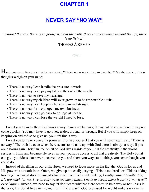### **[CHAPTER](#page-2-1) 1**

# **[NEVER](#page-2-1) SAY "NO WAY"**

<span id="page-6-0"></span>"Without the way, there is no going; without the truth, there is no knowing; without the life, there *is no living."*

#### THOMAS À KEMPIS

ඥාල

Have you ever faced a situation and said, "There is no way this can ever be"? Maybe some of these thoughts weigh on your mind:

- There is no way I can handle the pressure at work.
- There is no way I can pay my bills at the end of the month.
- There is no way to save my marriage.
- There is no way my children will ever grow up to be responsible adults.
- There is no way I can keep my house clean and straight.
- There is no way for me to open my own business.
- There is no way I can go back to college at my age.
- There is no way I can lose the weight I need to lose.

I want you to know there is always a way. It may not be easy; it may not be convenient; it may not come quickly. You may have to go over, under, around, or through. But if you will simply keep on keeping on and refuse to give up, you *will* find a way.

I want you to make yourself a promise. Promise yourself that you will never again say, "There is no way." The truth is, even when there seems to be no way, with God there is always a way. If you are a born-again Christian, the Spirit of God lives inside of you. All the creativity in the world resides in Him, and because He lives in you, you have access to all that creativity. The Holy Spirit can give you ideas that never occurred to you and show you ways to do things you never thought you could do.

Instead of dwelling on our difficulties, we need to focus more on the fact that God is for us and His power is at work in us. Often, we give up too easily, saying, "This is too hard" or "This is taking too long." We must stop looking at situations in our lives and thinking, *I really cannot handle this;* it's too much for me. I've already tried too many times. I have to accept there is just no way it will *ever happen.* Instead, we need to say, "I don't care whether there seems to be a way or not. Jesus is the Way; His Spirit lives in me; and I will find a way!" God promised He would make a way in the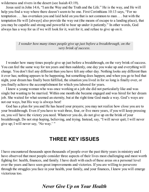wilderness and rivers in the desert (see Isaiah 43:19).

Jesus said in John 14:6, "I am the Way and the Truth and the Life." He is the way, and He will help you find a way where there doesn't seem to be one. First Corinthians 10:13 says, "For no temptation . . . has overtaken you and laid hold on you that is not common to man . . . but with the temptation He will [always] also provide the way out (the means of escape to a landing place), that you may be capable and strong and powerful to bear up under it patiently." In other words, God always has a way for us if we will look for it, wait for it, and refuse to give up on it.

> *I wonder how many times people give up just before a breakthrough, on the very brink of success.*

I wonder how many times people give up just before a breakthrough, on the very brink of success. You can feel the same way for ten years and then suddenly, one day you wake up and everything will change. You don't feel any different than you have felt any other day. Nothing looks any different than it ever has; nothing appears to be happening, but something does happen; and when you go to bed that night, your dream has finally been fulfilled, the situation you lived in for so long is finally over, or you finally achieve the accomplishment for which you labored for years.

I know a young woman who was once working at a job she did not particularly like and was single but wanting to be married. Within one month she became engaged and was hired for her dream job. She waited for what seemed an eternity, but at the right time God made a way. God's ways are not our ways, but His way is always best!

God has a plan for you and He has heard your prayers; you may not realize how close you are to your breakthrough. Even if you have to wait three, four, or five more years, if you will keep pressing on, you *will* have the victory you need. Whatever you do, do not give up on the brink of your breakthrough. Do not stop hoping, believing, and trying. Instead, say, "I will never quit; I will never give up; I will never say, 'No way.' "

# **THREE KEY ISSUES**

I have encountered thousands upon thousands of people over the past thirty years in ministry and I have observed that most people consider three aspects of their lives most challenging and most worth fighting for: health, finances, and family. I have dealt with each of these areas on a personal level over the years and have seen great improvements and victories. If you are willing to persevere through the struggles you face in your health, your family, and your finances, I know you will emerge victorious too.

## *Never Give Up on Your Health*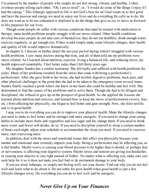I'm amazed by the number of people who simply do not feel strong, vibrant, and healthy. I often overhear people telling each other, "Oh, I am so tired"; or, "I would do some of the things I enjoy if I had the energy." This lethargic approach to life is not God's best for us! God wants us to feel good and have the passion and energy we need to enjoy our lives and do everything He calls us to do. He does not want us to be too exhausted or depleted to do the things that give us joy or move us forward in His purposes for our lives.

Though some people do suffer with various conditions that must be treated with medication or therapy, many health problems people struggle with are stress related. Other health conditions develop because people do not take care of themselves; they do not eat healthily, drink enough water, exercise regularly, or get enough rest. If they would simply make some lifestyle changes, their health and quality of life would improve dramatically.

In chapter 8, I discuss in further detail the ten-year period during which I struggled with various health problems. I saw many doctors during that time, and all of them told me my problems were stress related. As I learned about nutrition, exercise, living a balanced life, and reducing stress, my health improved remarkably. I feel better today than I felt thirty years ago.

My daughter Sandra has a similar testimony. She felt badly and suffered with health problems for years. Many of her problems resulted from the stress that came with being a perfectionist's perfectionist. After she gave birth to her twins, she had terrible digestive problems, back pain, and other physical challenges to the point that she had to be taken to the emergency room several times. Sandra finally reached a point where she knew in her heart she could be healthy and feel well. She determined to find the causes of her problems and to solve them. Though she had to be diligent and disciplined, she refused to give up on the prospect of good health. As she applied the lessons she learned about nutrition and exercise, and learned how to keep the stress of perfectionism (worry, fear, etc.) from affecting her physically, she began to feel better and gain strength. Now, she feels terrific and is in good health.

I urge you to do everything you can do to improve your physical health. Make the lifestyle changes you need to make to feel better and be stronger and more energetic. If you need to change your eating habits to include more fruits and vegetables and less sugar and fat, change them. If you need to drink more water and fewer soft drinks, do so. If you need to discipline yourself to sleep a certain number of hours each night, adjust your schedule to accommodate the sleep you need. If you need to exercise more, start exercising more.

In addition, deal with the stress and emotional issues that affect you physically because your mental and emotional state certainly impacts your body. Being a perfectionist may be affecting you, as it did Sandra. Maybe worry is causing your blood pressure to be higher than it should, or perhaps fear or nervousness is affecting your digestive system. Maybe stress and tension are giving you headaches or causing your muscles to stay tight instead of limber. No matter what is affecting you, make sure you seek help for it so it does not make you feel bad or do permanent damage to your body.

If you are tired, lethargic, or simply not feeling well, see your doctor. Find out why you do not feel well and learn what to do about it. Do not settle for poor health when good health is just a few lifestyle changes away. Do everything you can do to feel well and be energetic.

#### *Never Give Up on Your Finances*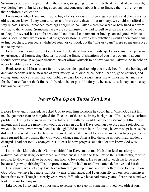So many people are trapped in debt these days, struggling to pay their bills at the end of each month, wondering how to build a savings account, and concerned about how to finance their retirement or their children's education.

I remember when Dave and I had to buy clothes for our children at garage sales and drive cars so old we never knew if they would run or not. In the early days of our ministry, we could not afford to stay in hotels when I preached meetings at night, so no matter where we were or how tired we were, we had to drive home. Sometimes we were so exhausted we had to pull over on the side of the road to sleep for several hours before we could continue. I can remember buying canned goods with no labels because they were on sale at the grocery store. I never knew whether I would open those cans to find peaches, green beans, alphabet soup, or cat food, but the "mystery cans" were so inexpensive I had to try them.

I share these memories to let you know I understand financial hardship. I also know from personal experience, and from seeing God turn around the financial situations of countless others, that you should never give up on your finances. Never allow yourself to believe you will always be in debt or never be able to save money.

Bookstores and libraries are full of resources designed to help you break free from the bondage of debt and become a wise steward of your money. With discipline, determination, good counsel, and enough time, you can eliminate your debt, pay cash for your purchases, make investments, and save for the future. Do not think financial freedom is not possible for you, because it is. It may not be easy, but you can achieve it.

#### *Never Give Up on Those You Love*

Before Dave and I married, he asked God to send him someone he could help. When God sent him me, he got more than he bargained for! Because of the abuse in my background, I had serious, serious problems. Trying to be in an intimate relationship with me would have been extremely difficult for anyone, and I am sure many men would have given up. But Dave continued to pray and seek God for ways to help me, even when I acted as though I did not want help. At times, he even wept because he did not know what to do. He has even shared that he often went for a drive in the car to pray and cry, and returned home trusting that God would change me. After a few days, he noticed I had suddenly changed. I had not totally changed, but at least he saw progress and that let him know God was working.

I am so thankful today that God was faithful to Dave and to me. He had to lead me along an arduous path of healing, deliverance, and wholeness. He had to teach me to think differently, to trust people, to allow myself to be loved, and how to love others. He even had to teach me to be nice because I grew up thinking I had to protect myself, which meant I was often defensive and harsh.

Our journey was not easy, but Dave refused to give up on me, and we both refused to give up on God. Now we have had more than forty years of marriage, and I can honestly say our relationship is better than ever. Though our early years were difficult, we have had many years of happiness and we look forward to many more.

Like Dave, I also had the opportunity to refuse to give up on someone I loved. My oldest son,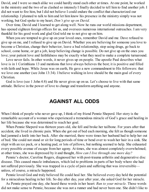David, and I were so much alike we could hardly stand each other at times. At one point, he worked in the ministry and the two of us clashed so intensely I finally decided to tell him to find another job. I did not want to fire him, but I did not believe I could endure the conflict that characterized our relationship. I planned to talk to him and let him know his presence in the ministry simply was not working, but God spoke to my heart, *Don't give up on David.*

Over time, David and I learned to get along well. Now he runs our world missions department, has opened eighteen foreign offices for us, and oversees numerous international outreaches. I am very thankful for his good work and glad God told me to not give up on him.

When you are tempted to give up on your loved ones, remember David and me. Dave refused to give up on me, and I refused to give up on David. Whether you are believing for someone you love to become a Christian, change their behavior, leave a bad relationship, stop using drugs, go back to school, come home, or get a job, keep believing change is possible. Do not give up on the ones you love; your patient love and faithfulness may be exactly what they need to make a complete turnaround.

Love never fails. In other words, it never gives up on people. The apostle Paul describes what love is in 1 Corinthians 13 and mentions that love always believes the best; it is positive and filled with faith and hope. While Jesus was on earth, He gave a new commandment to His followers: that we love one another (see John 13:34). I believe walking in love should be the main goal of every Christian.

God is love (see 1 John 4:8) and He never gives up on us. Let's choose to live with that same attitude. Believe in the power of love to change and transform anything and anyone.

### **AGAINST ALL ODDS**

When I think of people who never gave up, I think of my friend Pennie Sheperd. Her story is the remarkable account of a woman who experienced a tremendous miracle of God's grace and healing in her life because she was determined to reach her goal.

When Pennie Sheperd was thirteen years old, she fell and broke her tailbone. For years after that accident, she lived in chronic pain. When she got out of bed each morning, she felt as though someone had jammed a knife into her back. After she married, there were times her husband had to help her out of bed. She could not stand or sit for long periods of time or bend over to wash her hair in a sink. She slept with an ice pack, or a heating pad, or lots of pillows, but nothing seemed to help. She exhausted every possible avenue of escape from her agony. At times, she was almost completely overwhelmed; at other times, she was depressed by it and thought, *How can I live through one more day?*

Pennie's doctor, Caroline Rogers, diagnosed her with post-trauma arthritis and degenerative disc disease. This caused muscle imbalances, which led to problems in parts of her body where she had not suffered previously. She was trapped in a cycle of pain and suffering that was irreversible unless, of course, a miracle happened.

Pennie loved God and truly believed He could heal her. She believed every day held the potential for a miraculous healing in her life. So day after day, year after year, she asked God for her miracle.

As Pennie prayed one day, she heard these words in her heart: *Run to your miracle.* Those words did not make sense to Pennie, because she was not a runner and had never been one. She didn't like to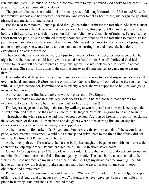run, and she lived in so much pain she did not even want to try. But when God spoke to her heart, *Run to your miracle,* she committed to do so.

The greatest distance she could think of running was a full-length marathon—26.2 miles! So with her family's support and her doctor's permission and offer to act as her trainer, she began the grueling physical and mental training process.

For the next four months, Pennie pushed through the pain to train for the marathon. She kept a strict diet and a rigorous schedule seven days a week, eventually getting up by 3:00 a.m. to get in a long run before a full day of work and family responsibilities. After several months of training, Pennie had no relief from her pain, so she continued to pray about her participation in the marathon to make sure the pain was not an indicator she should stop training. She was determined to pay the price of progress and to not give up. She wanted to be able to stand at the starting line and know she had done everything God asked her to do.

The day of the marathon drew near, but just two weeks before the race, her knee went out. The night before the race, she could hardly walk around her hotel room. She still believed God had spoken to her and felt she had to press through the agony. She was determined to show up at that starting line. She said, "I am going to the starting line even if someone has to carry me to get me there."

Her husband and daughters, her strongest supporters, wrote scriptures and inspiring messages all over her hands and arms. Before sunrise on marathon day, she literally hobbled up to the starting line, with Dr. Rogers beside her, knowing she was exactly where she was supposed to be. She was going to run to her miracle!

As she stood at the line barely able to walk, she turned to Dr. Rogers

and cried, "My back doesn't hurt! My back doesn't hurt!" She had not said those words for twenty-eight years. Her knee hurt like crazy, but her back didn't hurt!

Dr. Rogers suggested they begin the race by walking to warm up and see how the knee responded. About a mile and a half into the race, Pennie told Dr. Rogers, "I think I'm going to be able to run."

Throughout the whole race, she had much encouragement. A group of friends prayed for her during the seven hours of the race. Her husband and daughters were at the starting line and at regular checkpoints along the way to encourage and support her.

At the fourteen-mile marker, Dr. Rogers and Pennie were thirty-six seconds off the seven-hour pace, which meant a "sweeper" would pick them up and drive them to the finish line if they did not make up the time. But Pennie gave it her all.

At the twenty-three-mile marker, she hurt so badly her daughters began to run with her—one under each arm to help support her. Pennie crossed the finish line in about seven hours.

On our *Enjoying Everyday Life* broadcast, she said, "Before the race, I had always envisioned in my mind that I would cross the finish line and get my miracle. The truth is, I was not healed at the finish line; I did not receive my miracle at the finish line. I got my miracle at the *starting* line. All I had to do was show up. It doesn't take running a marathon to get a miracle. In my case, it took obedience and commitment."

Pennie Sheperd is a woman who could have said, "No way." Instead, with God's help, the support of family and friends, and a "never say no way" attitude, she never gave up. Pennie's miracle took place in January 2004 and she is still healed today.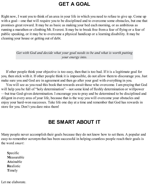# **GET A GOAL**

Right now, I want you to think of an area in your life in which you need to refuse to give up. Come up with a goal—one that will require you to be disciplined and to overcome some obstacles, but one that promises great reward. It may be as basic as making your bed each morning, or as ambitious as running a marathon or climbing Mt. Everest. It may be to break free from a fear of flying or a fear of public speaking, or it may be to overcome a physical handicap or a learning disability. It may be cleaning your house or getting out of debt.

> *Get with God and decide what your goal needs to be and what is worth putting your energy into.*

If other people think your objective is too easy, then that is too bad. If it is a legitimate goal for you, then stick with it. If other people think it is impossible, do not allow them to discourage you. Just make sure you and God are in agreement and then go after your goal with everything in you.

You will see as you read this book that rewards await those who overcome. I am praying that God will help you be full of "holy determination"—not some kind of fleshly determination or willpower —but true God-given determination. I encourage you to pray and be determined to be disciplined and diligent in every area of your life, because that is the way you will overcome your obstacles and enjoy your hard-won successes. Take life one day at a time and remember that God has rewards in store for you. Don't you dare miss them!

# **BE SMART ABOUT IT**

Many people never accomplish their goals because they do not know how to set them. A popular and easy-to-remember acronym that has been successful in helping countless people reach their goals is the word *smart*:

**S**pecific **M**easurable **A**ttainable **Re**alistic **T**imely

Let me elaborate.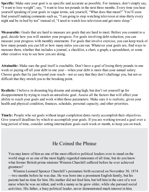**Specific:** Make sure your goal is as specific and accurate as possible. For instance, don't simply say, "I want to lose weight"; say, "I want to lose ten pounds in the next three months. Every time you hear yourself speaking of your goals in vague terms, ask yourself, "What does that mean?" You'll soon find yourself making comments such as, "I am going to stop watching television at nine-thirty every night and be in bed by ten" instead of, "I need to watch less television and get more sleep."

**Measurable:** Goals that are hard to measure are goals that are hard to meet. Before you commit to a goal, decide how you will monitor your progress. For goals involving debt reduction, you can measure your progress with monthly statements. For goals that involve exercise, you can keep track of how many pounds you can lift or how many miles you can run. Whatever your goals are, find ways to measure them, whether that includes a journal, a checklist, a chart, a graph, a spreadsheet, or some other creative way to see how you are doing.

**Attainable:** Make sure the goal itself is reachable. Don't have a goal of losing thirty pounds in one week or paying off all your debt in one year—when your debt is more than your annual salary. Choose goals that lie just beyond your reach—not so easy that they don't challenge you, but not so difficult that they stretch you to the breaking point.

**Realistic:** I believe in dreaming big dreams and aiming high, but don't set yourself up for disappointment by trying to reach an unrealistic goal. Assess all the factors that will affect your ability to reach your goals and work within those parameters. Make sure it is realistic, given your health and physical condition, finances, schedule, personal capacity, and other priorities.

**Timely:** People who set goals without target completion dates rarely accomplish their objectives. Give yourself deadlines by which to accomplish your goals. If you are working toward a goal over a long period of time, consider setting intermediate goals each week or month, to keep you on track.

## He Coined the Phrase

You may know of him as one of the most effective political leaders ever to stand on the world stage or as one of the most highly regarded statesmen of all time, but do you know what former British prime minister Winston Churchill suffered before he ever achieved greatness?

Winston Leonard Spencer Churchill's premature birth occurred on November 30, 1874 —two months before he was due. He was born into a prominent English family, but his parents had no time for him. His mother did not feed him, but left him in the care of a wet nurse when he was an infant, and with a nanny as he grew older, while she pursued social activities. His father, a busy political leader, never demonstrated much interest in him.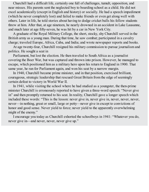Churchill had a difficult life, certainly one full of challenges, tumult, opposition, and near misses. His parents sent the neglected boy to boarding school as a child. He did not excel academically (except in English and history) or socially. He had a speech impediment (which he never completely lost) and failed to make friends or even get along well with others. Later in life, he told stories about having to dodge cricket balls his fellow students threw at him. After that, at age nineteen, he nearly drowned in an accident in Lake Lausanne, and much later at age fifty-seven, he was hit by a car in New York City.

A graduate of the Royal Military College, the short, stocky, shy Churchill served in the British army as a young man. During that time, he saw combat; participated in a cavalry charge; traveled Europe, Africa, Cuba, and India; and wrote newspaper reports and books.

At age twenty-four, Churchill resigned his military commission to pursue journalism and politics. He sought a seat in

Parliament, but lost the election. He then traveled to South Africa as a journalist covering the Boer War, but was captured and thrown into prison. However, he managed to escape, which positioned him as a military hero upon his return to England in 1900. That same year, he ran for Parliament again, and won his seat by a narrow margin.

In 1940, Churchill became prime minister, and in that position, exercised brilliant, courageous, strategic leadership that rescued Great Britain from the edge of seemingly certain defeat to victory in World War II.

In 1941, while visiting the school where he had studied as a youngster, the then-prime minister Churchill is erroneously reported to have given a three-word speech: "Never give in" and then promptly returned to his seat. In reality, Churchill gave a longer speech which included these words: "This is the lesson: never give in, never give in, never, never, never, never—in nothing, great or small, large or petty—never give in except to convictions of honor and good sense. Never yield to force; never yield to the apparently overwhelming might of the enemy."

I encourage you today as Churchill exhorted the schoolboys in 1941: "Whatever you do, never give in—and never, never, never give up."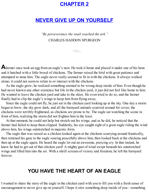#### **[CHAPTER](#page-2-2) 2**

## <span id="page-15-0"></span>**NEVER GIVE UP ON [YOURSELF](#page-2-2)**

*"By perseverance the snail reached the ark."* CHARLES HADDON SPURGEON

ඥාල

Afarmer once took an egg from an eagle's nest. He took it home and placed it under one of his hens and it hatched with a little brood of chickens. The farmer raised the bird with great patience and attempted to tame him. The eagle never really seemed to fit in with the chickens. It always walked alone; it could not seem to relate to or interact with the chickens.

As the eagle grew, he realized something seemed to be wrong deep inside of him. Even though he had never known any other existence but life in the chicken yard, it just did not feel like home to him. He wanted to leave the chicken yard and take to the skies. He even tried to do so, and the farmer finally had to clip the eagle's wings to keep him from flying away.

Since the eagle could not fly, he just sat in the chicken yard looking up at the sky. One day a storm began to brew, the sky grew dark, and all the barnyard animals scurried around for cover; the chickens were terribly frightened, as chickens are prone to be. The eagle sat watching the scene in front of him, realizing the storm did not frighten him in the least.

At that moment, he could not help but stretch out his wings, and as he did, he noticed that the farmer had failed to keep them clipped. Suddenly, his eye caught sight of a great eagle riding the wind above him, his wings outstretched in majestic form.

The eagle that was raised as a chicken looked again at the chickens scurrying around frantically, then returned his gaze to the eagle soaring peacefully above him, then looked back at the chickens and then up at the eagle again. He heard the eagle let out an awesome, piercing cry. In that instant, he knew he had to get out of that chicken yard! A mighty gust of wind swept beneath his outstretched wings and lifted him into the air. With a shrill scream of victory and freedom, he left the barnyard forever.

# **YOU HAVE THE HEART OF AN EAGLE**

I wanted to share the story of the eagle in the chicken yard with you to fill you with a fresh sense of encouragement to never give up on yourself. I hope it stirs something deep inside of you—something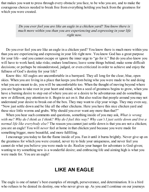that makes you want to press through every obstacle you face, to be who you are, and to make the courageous choices needed to break free from everything holding you back from the greatness for which you were created.

> *Do you ever feel you are like an eagle in a chicken yard? You know there is much more within you than you are experiencing and expressing in your life right now.*

Do you ever feel you are like an eagle in a chicken yard? You know there is much more within you than you are experiencing and expressing in your life right now. You know God has a great purpose for your life—and you cannot escape or ignore the inner urge to "go for it." But do you also know you will have to work hard; take risks; endure loneliness; leave some things behind; make some difficult decisions; or perhaps be misunderstood, judged, or even criticized in order to achieve and enjoy the fullness of God's destiny for your life?

Know this: All eagles are uncomfortable in a barnyard. They all long for the clear, blue, open skies. When you are living in a place that keeps you from being who you were made to be and doing what you are meant to do, you will be uncomfortable too. When the thought of moving beyond where you are begins to take root in your heart and mind, when a seed of greatness begins to grow, when you have a burning desire to step out of where you are or a desire to be adventurous and do something new or different, pay attention to it. Begin to act on it. But also realize that people around you may not understand your desire to break out of the box. They may want to clip your wings. They may even say, "Now just settle down and be like all the other chickens. Here you have this nice chicken yard and these nice little worms and grubs. Why should you ever want any more than that?"

When you hear such comments and questions, something inside of you may ask, *What is wrong* with me? Why do I think as I think? Why do I feel this way? Why can't I just settle down and live a *normal life like everybody else?* The reason you cannot just settle down is that you are not a chicken; you are an eagle! You will *never* feel at home in that chicken yard because you were made for something bigger, more beautiful, and more fulfilling.

I encourage you today to fan the flame inside of you. Fan it until it burns brightly. Never give up on the greatness for which you were created, never try to hide your uniqueness, and never feel you cannot do what you believe you were made to do. Realize your hunger for adventure is God-given; wanting to try something new is a wonderful desire; and embracing life and aiming high is what you were made for. You are an eagle!

# **LIKE AN EAGLE**

The eagle is one of nature's best examples of strength, perseverance, and determination. It is a bird who refuses to be denied its destiny, one who never gives up. As you and I continue on our journeys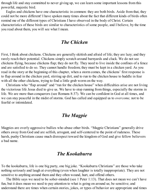through life and stay committed to never giving up, we can learn some important lessons from this powerful, majestic bird.

Eagles and chickens have one characteristic in common: they are both birds. Aside from that, they could not be more different! I have spoken many times about the fact that different kinds of birds often remind me of the different types of Christians I have observed in the body of Christ. Certain characteristics of these birds are similar to characteristics of some people, and I believe, by the time you read about them, you will see what I mean.

#### *The Chicken*

First, I think about chickens. Chickens are generally skittish and afraid of life; they are lazy; and they rarely reach their potential. Chickens simply scratch around barnyards and cluck. We do not see chickens flying, because chickens flap; they do not fly. They need to live inside the confines of a fence and are satisfied to do so. They cannot handle freedom; they must be kept in a chicken yard. As you read in the story at the beginning of this chapter, when a storm comes, the chickens' first response is to flap around in the chicken yard, stirring up dirt, and to run to the chicken house to huddle in fear with all the other chickens, trying to find a little grub worm on the way.

Christians who "flap around" and "run for the chicken house" when difficulties arise are not living the victorious life Jesus died to give us. We have to stop running from things, especially the storms in life. We are more than conquerors (see Romans 8:37). We can be confident in God at all times, and we can stay peaceful in the midst of storms. God has called and equipped us to *overcome,* not to be fearful or intimidated.

#### *The Magpie*

Magpies are overly aggressive bullies who abuse other birds. "Magpie Christians" generally drive others away from God and are selfish, arrogant, and self-centered to the point of rudeness. These harsh, pushy Christians cause much disrespect toward the kingdom of God and give fellow believers a bad name.

#### *The Kookaburra*

To the kookaburra, life is one big party, one big joke. "Kookaburra Christians" are those who take nothing seriously and laugh at everything (even when laughter is totally inappropriate). They are not sensitive to anything around them and they often wound, hurt, and offend others.

The Bible says we need to be sober-minded (see 1 Peter 1:13). That does not mean we can't have fun, but it does mean we need to pay attention to what is going on around us; be sensitive; and understand there are times when certain stories, jokes, or types of behavior are appropriate and times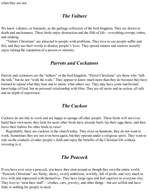## *The Vulture*

We know vultures, or buzzards, as the garbage collectors of the bird kingdom. They are drawn to death and uncleanness. These birds enjoy destruction and the filth of life—everything corrupt, rotten, and stinking.

"Vulture Christians" are attracted to people with problems. They love to see people suffer and fail, and they use their words to destroy people's lives. They spread rumors and seem to secretly enjoy ruining the reputation of a person or ministry.

### *Parrots and Cockatoos*

Parrots and cockatoos are the "talkers" in the bird kingdom. "Parrot Christians" are those who "talk the talk," but do not "walk the walk." They appear to know much more than they do because they have learned to repeat what they hear and to mimic what others say. They may have some intellectual knowledge of God, but no personal relationship with Him. They are all noise and no action, all talk and no depth of experience.

### *The Cuckoo*

Cuckoos do not like to work and are happy to sponge off other people. These birds will not even build their own nests; they look for nests other birds have already built, lay their eggs there, and then leave their babies for other birds to raise!

Regrettably, there are cuckoos in the church today. They exist on handouts; they do not want to work. Sometimes they are not even born again, but they operate under a religious spirit. They want to ride on the coattails of other people's faith and enjoy the benefits of the Christian life without investing in it.

## *The Peacock*

If you have ever seen a peacock, you know they strut around as though they own the entire world. "Peacock Christians" are flashy, showy, overly ambitious, worldly, full of pride, and very much in love with and impressed with themselves. They have large egos and feel superior to everyone else. They love to "strut their stuff"—clothes, cars, jewelry, and other things—but are selfish and have little or nothing for people in need.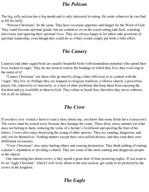#### *The Pelican*

The big, jolly pelican has a big mouth and is only interested in eating. He seeks whatever he can find to fill his belly.

"Pelican Christians" do the same. They have ravenous appetites and hunger for the Word of God. They could become spiritual giants, but are content to sit on the couch eating junk food, watching television, and ignoring their spiritual lives. They are always happy to let others take positions of spiritual leadership, even though they could do so if they would simply put forth a little effort.

### *The Canary*

Canaries and other caged birds are usually beautiful birds with tremendous potential who spend their lives locked in cages. They do not seem to realize the bondage in which they live; they even sing in the midst of it!

"Canary Christians" are those who go merrily along, either oblivious to or content with the "cages" they live in. Perhaps they are trapped in religious tradition, a lifeless church, a powerless prayer life, inferiority or insecurity, or a host of other problems that keep them from enjoying the freedom and joy available to them in God. They refuse to break free; therefore they never embrace life in all its fullness.

### *The Crow*

If you have ever visited a farm or read a story about one, you know that some fields have scarecrows. The crows must be scared away because they damage the crops. These dirty, noisy animals eat what does not belong to them, reducing the value of a farmer's livelihood and spoiling the fruit of his labors. Crows also enjoy destroying the young of other species. They are cunning, dangerous, and only out for themselves. Nothing matters except their own selfish desires, and they seek their own fulfillment ravenously.

"Crow Christians" also enjoy hurting others and causing destruction. They think nothing of ruining a pastor's reputation or dividing a church. They are some of the most cunning and dangerous people in the church.

One interesting fact about crows is they spend a great deal of time pestering eagles. If you want to be an "eagle Christian," which I will write about in the next section, get ready to be pestered by the crows in the kingdom.

# *The Eagle*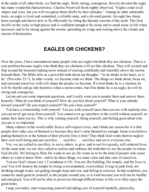In the midst of all other birds, we find the eagle. Bold, strong, courageous, fiercely devoted the eagle has many wonderful characteristics. Charles Prestwich Scott rightly observed, "Eagles come in all shapes and sizes, but you will recognize them chiefly by their attitudes." Among its other admirable traits, an eagle is loyal and committed, a reliable mate, and a devoted parent. An eagle has sharp, keen eyesight and knows how to fly efficiently by riding the thermal currents of the earth. This bird dwells on the rocks in high places and is confident enough to fly alone and to stand alone in life when necessary and to be strong against the storms, spreading its wings and soaring above the clouds and storms of destruction.

# **EAGLES OR CHICKENS?**

Over the years, I have encountered many people who are eagles but think they are chickens. That is a real problem because eagles who think they are chickens will act like chickens. They will scratch and flap around the barnyard making noise instead of soaring confidently and smoothly above the storms beneath them. The Bible tells us a powerful truth about our thoughts: "As he thinks in his heart, so is he" (Proverbs 23:7). In other words, we become what we think. The things we think about, focus on, and surround ourselves with will shape the people we become. If a bird thinks he is a chicken, he will be fearful and go into hysterics when a storm comes, but if he thinks he is an eagle, he will be strong and courageous.

Let me ask you some important questions, and I really want you to ponder them and answer them honestly: What do you think of yourself? How do you feel about yourself? What is your attitude toward yourself? Do you respect yourself? Do you value yourself?

You have a relationship with yourself. You are with yourself more than you are with anybody else; you can never get away from yourself. You cannot ever go anywhere in the world without yourself, no matter how hard you try. This is why valuing yourself, liking yourself, and feeling good about who you are is so important.

Many cultures in the world suffer from a self-respect crisis, and I think one reason for it is that people don't take care of themselves because they don't value themselves enough. Some even believe putting themselves at the bottom of their priority lists is holy! They think God wants them to neglect their own well-being and just sacrifice . . . sacrifice . . . sacrifice and serve everyone else.

Yes, we are called to sacrifice, to serve others, to give, and to not live greedy, self-centered lives. At the same time, we are also called to realize and embrace the truth that we are the people in whom God dwells. We belong to Him; He wants to use us; He wants us to be the kind of people who cause others to want to know Him—and to do these things, we must value and take care of ourselves.

You are God's house (see 1 Corinthians 6:19). You are His building, His temple, and He lives in you! You will destroy the temple by being overcommitted, overworked, living on junk food, not drinking enough water, not getting enough sleep and rest, and failing to exercise. In that condition, you cannot be much good to yourself, to the people around you, or to God because you will not be healthy and energized. You will not be able to persevere through difficult times in life or to fully enjoy the good times.

I urge you today: start respecting yourself and taking care of yourself mentally, physically,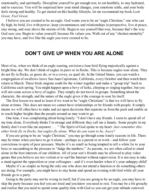emotionally, and spiritually. Discipline yourself to get enough rest, to eat healthily, to stay hydrated, and to exercise. You will be surprised how your mind changes, your emotions settle, and your body feels strong and healthy. To get started on this healthy lifestyle, let me recommend my book *Look Great, Feel Great.*

I believe you are created to be an eagle. God wants you to be an "eagle Christian," one who can fly high, be bold, live with power, keep circumstances and relationships in perspective, live at peace, stay strong, and soar above the storms of life. Begin to see yourself that way, because that's the way God sees you. Begin to value yourself, because He values you. Walk out of any "chicken mentality" you may have, and live like the eagle you were created to be.

## **DON'T GIVE UP WHEN YOU ARE ALONE**

Most of us, when we think of an eagle soaring, envision a lone bird flying majestically against a bright blue sky. We don't think of eagles in pairs or in flocks. This is because eagles soar alone. They do not fly in flocks, as geese do, or in a covey, as quail do. In the United States, you can watch a congregation of swallows leave San Juan Capistrano, California, every October and then watch them return in March. These birds migrate south for the winter together and make a "group trip" back to California each spring. You might happen upon a bevy of larks, chirping or singing together, but you will not come across a bevy of eagles. They simply do not travel in groups. Something about the character, the strength, and the nature of the eagle gives it the courage to soar by itself.

The first lesson we need to learn if we want to be "eagle Christians" is that we will have to fly alone at times. This does not mean we cannot have relationships or be friends with people. It simply means we will often have to make and act upon decisions that separate us from the pack and enable us to reach higher heights than the people around us may want to go.

One time, I was complaining about being lonely: "I don't have any friends. I seem to spend all of my time alone. Everybody thinks I'm strange and different; they call me a fanatic. Some people in my family don't even like me anymore . . . " The Spirit of God spoke to my heart: *Just remember this: other birds fly in flocks, but eagles fly alone. What do you want to be, Joyce?*

If you are going to be an "eagle Christian," you may go through some lonely seasons in life. There may be times when you have to go it alone—perhaps as a parent or at work—and follow your convictions in spite of peer pressure. Maybe it's as small as being tempted to tell a white lie to your boss or succumbing to the pressure to "fudge the numbers." As parents, we are often called to stand alone in the best interests of our children. All of your son's friends may be allowed to play video games that you believe are too violent or to surf the Internet without supervision. It is not easy to take a stand against the opposition or your colleagues—and it's even harder when it's your unhappy child!

Maybe it's as simple as being the only one who does not attend a function or do something others are doing. For example, you might have to stay home and spend an evening with God while all your friends go to a party.

Going to the party may not be wrong in itself, but if you are going to be an eagle, you may have to skip the party because you feel you are tired and you know you need to rest. You may be a bit grouchy and realize that you need to spend some quality time with God so you can get your attitude renewed.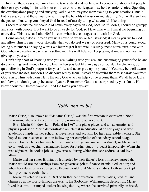In all of these cases, you may have to take a stand and not be overly concerned about what people think or say. Setting limits with your children or with colleagues may be the harder choice. Spending the evening alone praying and studying God's Word may not seem exciting to your emotions. But in both cases, you and those you love will reap the benefits of wisdom and stability. You will also have the peace of knowing you obeyed God instead of merely doing what you felt like doing.

I need to spend the first couple of hours every day with God, because if I don't, I could be grumpy and short with people. But I want to be an eagle for God, so I take time with Him at the beginning of every day. This is what Isaiah 40:31 means when it encourages us to wait for God.

Being an eagle doesn't mean you will never be weary or feel stressed; it means you run to God and allow Him to renew your strength when you do feel weary or pressured. Many of us could avoid losing our tempers or saying words we later regret if we would simply spend some extra time with God when we realize weariness is setting in. This will help you keep going strong and not want to give up on yourself.

Don't stop short of knowing who you are, valuing who you are, and encouraging yourself to be and do everything God intends for you. Even when you feel like an eagle surrounded by chickens, don't quit believing in God's purpose for your life, and never give up on yourself. You may be well aware of your weaknesses, but don't be discouraged by them. Instead of allowing them to separate you from God, run to Him with them. He is the only One who can help you overcome them. We all have faults and flaws, so don't give up because of yours. Remember, God is not surprised by your faults. He knew about them before you did—and He loves you anyway!

#### *Noble and Nobel*

Marie Curie, also known as "Madame Curie," was the first woman to ever win a Nobel Prize—and she won two of them, a truly remarkable achievement.

Born Maria Sklodowska in Poland in 1867 to a piano player and a mathematics and physics professor, Marie demonstrated an interest in education at an early age and won academic awards for her school achievements and acclaim for her remarkable memory. She hoped to continue her education following her completion of secondary school at age sixteen, but her father lost much of his money through an unwise investment; so Marie had to go to work as a teacher, dashing her hopes for further study—at least temporarily. When she was eighteen, she took a job as a governess, during which time she endured a sad love affair.

Marie and her sister Bronia, both affected by their father's loss of money, agreed that Marie would use the earnings from her governess job to finance Bronia's education; and when her education was complete, Bronia would fund Marie's studies. Both sisters kept their promise to each other.

Marie traveled to Paris in 1891 to further her education in mathematics, physics, and chemistry at the world-famous university, the Sorbonne. With amazing dedication, Marie lived in a small, cramped student-housing facility, where she survived primarily on bread,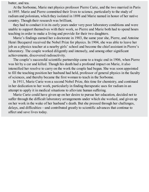butter, and tea.

At the Sorbonne, Marie met physics professor Pierre Curie, and the two married in Paris in 1895. Marie and Pierre committed their lives to science, particularly to the study of radium and polonium, which they isolated in 1898 and Marie named in honor of her native country. Though their research was brilliant,

they had to conduct it in its early years under very poor laboratory conditions and were unable to support themselves with their work, so Pierre and Marie both had to spend hours teaching in order to make a living and provide for their two daughters.

Marie's findings earned her a doctorate in 1903, the same year she, Pierre, and Antoine Henri Becquerel received the Nobel Prize for physics. In 1904, she was able to leave her job as a physics teacher at a nearby girls' school and become the chief assistant in Pierre's laboratory. The couple worked diligently and intensely, and among other significant achievements, discovered radioactivity.

The couple's successful scientific partnership came to a tragic end in 1906, when Pierre was hit by a car and killed. Though his death had a profound impact on Marie, it also intensified her resolve to carry on the work the couple had begun. She was soon appointed to fill the teaching position her husband had held, professor of general physics in the faculty of sciences, and thereby became the first woman to teach in the Sorbonne.

In 1911, Marie Curie won a second Nobel Prize, this time for chemistry, and continued in her dedication to her work, particularly in finding therapeutic uses for radium in an attempt to apply it in medical situations to alleviate human suffering.

Marie Curie could have given up on her desire to pursue her education, decided not to suffer through the difficult laboratory arrangements under which she worked, and given up on her work in the wake of her husband's death. But she pressed through her challenges, delays, and difficulties—and contributed greatly to scientific advances that continue to affect and save lives today.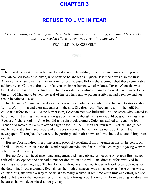#### **[CHAPTER](#page-2-3) 3**

### **[REFUSE](#page-2-3) TO LIVE IN FEAR**

<span id="page-24-0"></span>*"The only thing we have to fear is fear itself—nameless, unreasoning, unjustified terror which paralyzes needed ef orts to convert retreat into advance."*

FRANKLIN D. ROOSEVELT

**4300** 

**T**he first African American licensed aviator was <sup>a</sup> beautiful, vivacious, and courageous young woman named Bessie Coleman, who came to be known as "Queen Bess." She was also the first American woman to earn an international pilot's license. Before she accomplished these remarkable achievements, Coleman dreamed of adventure in her hometown of Atlanta, Texas. When she was twenty-three years old, she finally ventured outside the confines of small-town life and moved to the big city of Chicago to be near several of her brothers and to pursue a life that had been beyond her reach in Atlanta, Texas.

In Chicago, Coleman worked as a manicurist in a barber shop, where she listened to stories about World War I pilots and their adventures in the sky. She dreamed of becoming a pilot herself, but could not afford to do so. At the barbershop, Coleman met two influential businessmen who wanted to help fund her training. One was a newspaper man who thought her story would be good for business. Because flight schools in America did not train black women, Coleman studied diligently to learn French and moved to Paris to attend flight school in 1920. Upon her return to America, she gained much media attention, and people of all races embraced her as they learned about her in the newspapers. Throughout her career, she participated in air shows and was invited to attend important events.

Bessie Coleman died in a plane crash, probably resulting from a wrench in one of the gears, on April 30, 1926. More than ten thousand people attended the funeral of this courageous young woman who refused to give up.

Bessie Coleman faced much discouragement and many obstacles because American flight schools refused to accept her and she had to put her dreams on hold while making the effort involved in learning a foreign language. She had to move alone to a new country, which took great boldness for the determined young woman. Even though her path to success was not as easy as those of her white counterparts, she found a way to do what she really wanted. It required extra time and effort, but she did not let fear or the uncertainties of moving to a foreign country keep her from pursuing her dream because she was determined to not give up.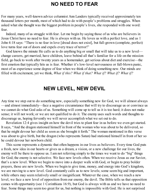# **NO NEED TO FEAR**

For many years, well-known advice columnist Ann Landers typically received approximately ten thousand letters per month, most of which had to do with people's problems and struggles. When asked what she thought was the biggest problem in people's lives, she responded with one word: fear.

Indeed, many of us struggle with fear. Let me begin by saying those of us who are believers in Jesus Christ have no need to fear. He is always with us. He loves us with a perfect love, and as 1 John 4:18 says: "There is no fear in love [dread does not exist], but full-grown (complete, perfect) love turns fear out of doors and expels every trace of terror!"

God knows the minute He calls us to do anything big or small that will take us to a new level change careers, get married, have children, leave behind all that's familiar for a life on the mission field, go back to work after twenty years as a homemaker, get serious about diet and exercise—the first emotion that typically hits us is fear. Whether it's low-level nervousness or full-blown panic, most of us experience some degree of fear when we think of doing something new. Our minds are filled with excitement, yet we think, *What if this? What if that? What if? What if? What if?*

#### **NEW LEVEL, NEW DEVIL**

Any time we step out to do something new, especially something new for God, we will almost always —and almost immediately—face a negative circumstance that will try to discourage us or convince us we cannot do what God asks of us. Something will come up to tell us it is too hard; it does not make sense; it will not work; or we are not qualified to do it. The enemy uses such words and thoughts to discourage us, hoping fervently we will never accomplish what we set out to do.

Revelation 12:4 gives insight on how the devil tries to plant fear in us before we even get started. It says, "And the dragon stationed himself in front of the woman who was about to be delivered, so that he might devour her child as soon as she brought it forth." The woman mentioned in this verse was about to give birth, but the dragon (who represents Satan) had stationed himself in front of her so he could devour her newborn child.

This scene represents a dynamic that often happens in our lives as believers. Every time God puts a fresh, new idea in our hearts or gives us a dream, a vision, or a new challenge for our lives, the enemy will be there to oppose us. I am not referring simply to the times we want to do "big" things for God; the enemy is not selective. We face new levels often. When we receive Jesus as our Savior, that's a new level. When we begin to move into a deeper walk with God, or begin to pray bolder prayers, those are new levels. When we begin to give time, money, and energy into God's kingdom, we are moving to a new level. God constantly calls us to new levels; some seem big and important, while others may seem relatively small or insignificant. Whatever the case, when we reach a new level, we face a new level of opposition from our enemy, the devil. The Bible tells us that opposition comes with opportunity (see 1 Corinthians 16:9), but God is always with us and we have no need to fear. Some things may seem too great for us, but nothing is impossible with God. He is not surprised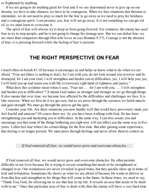or frightened by anything.

If we are going to do anything great for God and if we are determined never to give up on our dreams, we have to take chances; we have to be courageous. When we face situations that threaten or intimidate, we do not need to pray so much for the fear to go away as we need to pray for boldness and a courageous spirit. I can promise you, fear will not go away. It is not something we can get rid of, so we must learn to overcome it.

The spirit of fear will always try to keep us from going forward. For centuries, the enemy has used fear to try to stop people, and he is not going to change his strategy now. But we can defeat fear; we are more than conquerors through Him who loves us (see Romans 8:37). Courage is not the absence of fear; it is pressing forward while the feeling of fear is present.

### **THE RIGHT PERSPECTIVE ON FEAR**

I teach often on Isaiah 41:10 because it encourages us and helps us know what to do when we are afraid. "Fear not [there is nothing to fear], for I am with you; do not look around you in terror and be dismayed, for I am your God. I will strengthen and harden you to difficulties, yes, I will help you; yes, I will hold you up and retain you with My [victorious] right hand of rightness and justice."

What does this scripture mean when it says, "Fear not . . . for I am with you; . . . I will strengthen and harden you to difficulties"? It means God makes us stronger and stronger as we go through things. It also means that over time, we become less affected by the difficulties and challenges we face. It is like exercise. When we first do it we get sore, but as we press through the soreness we build muscle and gain strength. We must go through the pain to get the gain.

Consider your life. Are there situations you now handle well that would have previously made you feel fearful and anxious? Of course there are. As you have been walking with God, He has been strengthening you and hardening you to difficulties. In the same way, I can also assure you and encourage you that some of the things bothering you right now will not affect you the same way in five years. I often feel fear when I do certain things for the first time. But after gaining some experience, that feeling is no longer present. We must press through feelings and never allow them to control us.

*If God removed all fear, we would never grow and overcome obstacles.*

If God removed all fear, we would never grow and overcome obstacles. He often permits difficulty in our lives because He is trying to reveal something that needs to be strengthened or changed in us. Our weaknesses are never revealed in good times, but they quickly show up in times of trial and tribulation. Sometimes He shows us what we are afraid of because He wants to deliver us from that fear and strengthen us for things that will come in the future. In those times, we need to say, "Thank You, God, for allowing me to see that fear in my life. It reveals an area that needs to be dealt with in me." Once that particular area of fear is dealt with, then the enemy will have a very hard time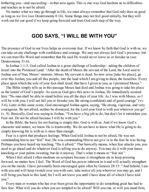bothering you—and succeeding—in that area again. This is one way God hardens us to difficulties and teaches us to not be afraid.

No matter what we may go through in life, we must always remember that God only does us good as long as we live (see Deuteronomy 8:16). Some things may not feel good initially, but they will work out for our good if we keep going forward and trust God each step of the way.

### **GOD SAYS, "I WILL BE WITH YOU"**

The presence of God in our lives helps us overcome fear. If we know by faith that God is with us, we can take on any challenge with confidence and courage. We may not always feel God's presence, but we can trust His Word and remember that He said He would never leave us or forsake us (see Deuteronomy 31:6).

In Joshua 1:1-3, God called Joshua to a great challenge of leadership—taking the children of Israel into the Promised Land: "After the death of Moses the servant of the Lord, the Lord said to Joshua son of Nun, Moses' minister, Moses My servant is dead. So now arise [take his place], go over this Jordan, you and all this people, into the land which I am giving to them, the Israelites. Every place upon which the sole of your foot shall tread, that have I given to you, as I promised Moses."

The Bible simply tells us in this passage Moses had died and Joshua was going to take his place as the leader of God's people. As soon as God gave this news to Joshua, He immediately assured him: "No man shall be able to stand before you all the days of your life. As I was with Moses, so I will be with you; I will not fail you or forsake you. Be strong (confident) and of good courage" (vv. 5-6). Later in this same scene, God encouraged Joshua again, saying, "Be strong, vigorous, and very courageous. Be not afraid, neither be dismayed, for the Lord your God is with you wherever you go" (v. 9). Basically, God was saying to Joshua, "You have a big job to do, but don't let it intimidate you. Fear not. Do not be afraid because I will be with you."

In the Bible, the basis for not fearing is simply this: God is with us. And if we know God's character and nature, we know He is trustworthy. We do not have to know what He is going to do; simply knowing He is with us is more than enough.

Fear is a spirit that produces feelings. When God told Joshua to not be afraid, He was not commanding him to not "feel" fear; He was commanding Him to not *give in* to the fear he was facing. Perhaps you have heard my teaching, "Do it afraid." That basically means, when fear attacks you, you need to go ahead and do whatever God is telling you to do anyway. You may do it with your knees knocking or your palms sweating, but do it anyway. That's what it means to "fear not."

When I feel afraid I often meditate on scripture because it strengthens me to keep pressing forward, no matter how I feel. The Word of God has power inherent in it and will actually strengthen you on the inside. I have personally been encouraged quite often by Genesis 28:15: "And behold, I am with you and will keep (watch over you with care, take notice of) you wherever you may go, and I will bring you back to this land; for I will not leave you until I have done all of which I have told you."

Every man or woman who has ever been given the opportunity to do something great has had to face fear. What will you do when you are tempted to be afraid? Will you run, or will you stand firm,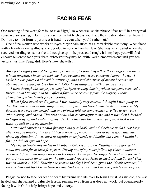# **FACING FEAR**

One meaning of the word *fear* is "to take flight," so when we use the phrase "fear not," in a very real sense we are saying, "Don't run away from what frightens you. Face the situation; don't run from it. Don't try to hide from it; just meet it head on, even when you'd rather not."

One of the women who works at Joyce Meyer Ministries has a remarkable testimony. When faced with a life-threatening illness, she decided to not run from her fear. She was very fearful when she received her diagnosis, but she did not give up—she pressed through. It is my hope you will find encouragement to face your fears, whatever they may be, with God's empowerment until you see victory, just like Peggy did. Here's how she tells it.

*After forty-eight years of living my life "my way," I found myself in the emergency room at a local hospital. My sisters took me there because they were concerned about the way I looked. I was pale; I had trouble sitting up; and I had shortness of breath because my abdomen was enlarged. On March 2, 1996, I was diagnosed with ovarian cancer.*

*I went through the surgery, a complete hysterectomy (during which surgeons removed a twelve-pound tumor), and then after a four-week recovery from the surgery I took chemotherapy treatments for six months.*

*When I first heard my diagnosis, I was naturally very scared; I thought I was going to die. The cancer was in late stage three, and I felt I had been handed a death sentence. My doctors were very concerned, and one of them told me some women live five to ten years after surgery and chemo. This was not all that encouraging to me, and it was then I decided* to begin praying and evaluating my life. As is the case for so many people, it took a serious *wake-up call to get my attention.*

*I attended church as a child (mostly Sunday school), and I did believe in God. Not long after I began praying, I noticed I had a sense of peace, and I developed a good attitude about my situation. It was hard to explain to my friends and family, but I knew I would be fine if I did not give up hope.*

*My chemo treatments ended in October 1996. I was put on disability and informed I could not work for at least five years. During one of my many follow-up visits to doctors,* one asked if he could pray with me in his office; I said yes. He suggested a church for me to go to. I went three times and on the third time I received Jesus as my Lord and Savior! That *was on March 2, 1997. Exactly one year to the day I had been given the "death sentence," I received eternal life! I have been serving God ever since, and I am completely cancer free!*

Peggy learned to face her fear of death by turning her life over to Jesus Christ. As she did, she was healed and she learned a valuable lesson: running away from fear does not work, but courageously facing it with God's help brings hope and victory.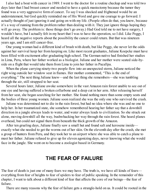I also had a bout with cancer in 1989. I went to the doctor for a routine checkup and was told two days later that I had breast cancer and needed to have a quick mastectomy because the tumor they found was a very aggressive form of cancer. To say I was shocked and frightened would be an understatement, but God quickly reminded me of His Word and gave me courage to go forward. I actually thought of just ignoring it and going on with my life. (People often do that, you know, because it's a way of running from the problem rather than dealing with it. They just ignore things hoping they will go away. The problem is: those things don't go away.) Had God told me to not have surgery, I wouldn't have, but I actually felt in my heart that I was to have the operation, so I did. Like Peggy, I heard all the negative reports about the possibility the cancer could return. But that was nineteen years ago, and I am still cancer-free.

One young woman had a different kind of brush with death, but like Peggy, she never let the odds against her survival keep her from keeping on. Like most recent graduates, Juliane Koepcke must have been filled with excitement after graduating high school. The German native had finished her studies in Lima, Peru, where her father worked as a biologist. Juliane and her mother were seated side-byside on a flight that would take them from Lima to join her father in Pucallpa.

When the plane carrying ninety-two people flew into an unexpected storm, Juliane noticed the right wing outside her window seat in flames. Her mother commented, "This is the end of everything." The next thing Juliane knew—and the last thing she remembers—she was tumbling through the air, still strapped to her seat.

Several hours later, Juliane awoke somewhere in the vast Amazon rain forest unable to see out of one eye and having suffered a broken collarbone and a deep cut in her arm. After releasing herself from her seat, she began searching for her mother. She found nothing more than some empty seats and the bodies of three young women. Juliane soon realized she was the only one who survived the crash.

Juliane was determined not to die in the rain forest, but had no idea where she was and no one to help her. In her traumatized state, she somehow remembered hearing her father say that a downhill direction in a jungle always leads to water, and water always leads to civilization. So she struck out alone, moving downhill all the way, bushwhacking her way through the rain forest. She heard planes overhead, but could not signal them from beneath the thick growth of the Amazon.

After ten grueling days, Juliane finally saw a small hut and found salt and kerosene inside exactly what she needed to get the worms out of her skin. On the eleventh day after the crash, she met a group of hunters from Peru, and they took her to an airport where she was able to catch a plane to meet her father. Juliane refused to give up for eleven agonizing days, never knowing what she would face in the jungle. She went on to become a zoologist based in Germany.

## **THE FEAR OF FAILURE**

The fear of death is just one of many fears we may have. The truth is, we have all kinds of fears everything from fear of heights to fear of spiders to fear of public speaking. In the remainder of this chapter, I want to talk about a different kind of fear that affects the core of our beings—the fear of failure.

There are many reasons why the fear of failure gets a strangle-hold on us. It could be rooted in the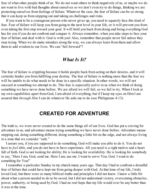fear of what other people think of us. We do not want others to think negatively of us, or maybe we do not want to live with bad thoughts about ourselves so we don't even try to do things, thinking we are protecting ourselves from feelings of failure. Whatever the case, the fear of failure can be so strong that it can keep us from stepping out and taking on challenges and risks.

If you want to be a courageous person who never gives up, you need to squarely face this kind of fear. Fear of failure will keep you from going to the next level in your life, or it will prevent you from even taking the first step toward your goal. It will hold you back from doing and being everything God has for you if you do not confront and conquer it. Always remember, when you take steps to face your fear of failure and deal with it: God is with you! Also, remember that people never fail unless they stop trying. When we do make mistakes along the way, we can always learn from them and allow them to add wisdom to our lives. We can "fail forward"!

#### *What Is It?*

The fear of failure is crippling because it holds people back from acting on their desires, and it will certainly hinder you from fulfilling your destiny. The fear of failure is nothing more than the fear we will be unable to do what needs to be done in a specific situation. In other words, we will not succeed at something we attempt to do. This fear is especially active in us when we think of doing something we have never done before. We are afraid we will fail, so we fail to try. When I look at my own capabilities apart from God, I am afraid of everything, but if I keep my eyes on Him I am assured that *through Him* I can do whatever He asks me to do (see Philippians 4:13).

## **CREATED FOR ADVENTURE**

The truth is, we were never created to do the same things all of our lives. God has put a craving for adventure in us, and adventure means trying something we have never done before. Adventure means stepping out, doing something different, doing something a little bit on the edge, and not always living in a zone that we consider "safe."

I assure you, if you are supposed to do something, God will make you able to do it. You do not have to *feel* able, and you do not have to have experience. All you need is a right motive and a heart full of faith. God is not looking for ability; He is looking for availability. He is looking for somebody to say, "Here I am, God, send me. Here I am, use me. I want to serve You, God. I want to do something for You!"

I remember a particular Sunday in my church many years ago. That day I had to confront a dreadful fear of failure that could have kept me from going deeper with God. At that time of my life, I truly loved God, but there were so many biblical truths and principles I did not know. I knew a little bit about what a person needed to do to be saved, but I did not understand victory, overcoming obstacles, power, authority, or being used by God. I had no real hope that my life would ever be any better than it was at the time.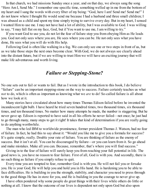In that church, we had missions Sunday once a year, and on that day, we always sang the song "Here Am I, Send Me." I remember one specific time, something welled up in me from the bottom of my heart and I sang the words with every fiber of my being: "God, here I am! Send me! Send me!" I do not know where I thought He would send me because I had a husband and three small children; I was abused as a child and spent my time simply trying to survive every day. But in my heart, I sensed I wanted Him to use me. I may not have had a lot of ability, but I was available to God. I was willing to say, "I may fall flat on my face, God, but if You want to use me, I am willing to try."

If you want God to use you, do not let the fear of failure stop you from obeying Him as He leads you. God not only sees where you are, He sees where you can be. He not only sees what you have done, He sees what you will do with His help.

Following God is often like walking in a fog. We can only see one or two steps in front of us, but as we take those steps the next ones become clear. With God, we do not always see clearly ahead into the distant future, but if we are willing to trust Him we will have an exciting journey that will make life adventurous and worth living.

#### *Failure or Stepping-Stone?*

No one sets out to fail or wants to fail. But as I wrote in the introduction to this book, I do believe "failure" can be an important stepping-stone on the way to success. Failure certainly teaches us what *not* to do, which is often as important as knowing what we *are* to do! So-called failure is all about how we look at it.

Many stories have circulated about how many times Thomas Edison failed before he invented the incandescent light bulb. I have heard he tried seven hundred times, two thousand times, six thousand times, and ten thousand times. No matter how many attempts he made, the number is staggering. But he never gave up. Edison is reported to have said in all his efforts he never failed—not once; he just had to go through many, many steps to get it right! It takes that kind of determination if you are really going to do anything worthwhile.

The man who led IBM to worldwide prominence, former president Thomas J. Watson, had no fear of failure. In fact, he had this to say about it: "Would you like me to give you a formula for success? It's quite simple, really. Double your rate of failure. You are thinking of failure as the enemy of success. But it isn't at all. You can be discouraged by failure—or you can learn from it. So go ahead and make mistakes. Make all you can. Because, remember, that's where you will find success."

Giving in to the fear of failure will surely keep you from reaching your full potential in life. The good news is, you have no reason to fear failure. First of all, God is with you. And secondly, there is no such thing as failure if you simply refuse to quit.

Every time you are tempted to fear, remember God is with you. He will not fail you or forsake you. He is your God; He will help you and hold you in His hand. He is hardening you to be able to face difficulties. He is building in you the strength, stability, and character you need to press through to the good things He has in store for you, and He is building in you the courage to never give up.

I have often pondered why some people do great things with their lives while others do little or nothing at all. I know that the outcome of our lives is dependent not only upon God but also upon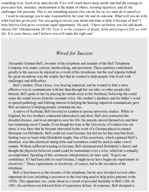something in us. Each of us must decide if we will reach down deep inside and find the courage to press past fear, mistakes, mistreatment at the hands of others, seeming injustices, and all the challenges life presents. This is not something anyone else can do for us; we must do it ourselves.

I want to encourage you to take responsibility for your life and its outcome. What will you do with what God has given you? Are you going to invest your talent and time or hide it because of fear? I truly believe God gives everyone equal opportunity. He said, "I have set before you life and death . . . choose life" (Deuteronomy 30:19). *Fear is in the category of death, faith and progress fills us with life.* It is your choice, and I believe you will make the right one!

#### *Wired for Success*

Alexander Graham Bell, inventor of the telephone and founder of the Bell Telephone Company was smart, curious, hardworking, and persistent. These qualities contributed greatly to the success he enjoyed as a result of his inventions, but the real impetus behind his great inventions was the simple fact that he wanted to help people who lived with challenges and difficulties.

Bell's mother, Eliza Grace, was hearing impaired, and he wanted to find a more effective way to communicate with her than through her ear tube, as other people did. Instead, Bell spoke to her by placing his mouth close to her forehead, believing she could sense the sound waves from his resonant voice. His mother's deafness and his father's work in speech pathology and lifelong interest in helping the hearing impaired communicate gave Bell an interest in helping people communicate too.

A native of Scotland, Bell traveled to London to pursue university studies. While in England, his two brothers contracted tuberculosis and died. Bell also contracted the dreaded disease, and in an attempt to save his life, his parents moved themselves and their last remaining son to Canada. Even though his time at the University of London was cut short, it was there that he became interested in the work of a German physicist named Hermann von Helmholtz. Bell could not read German, but did not let that stop him from finding ways to learn what Helmholtz taught. One of his assertions, which captured Bell's attention, was that electrical tuning forks and resonators could be used to make vowel sounds. Without sufficient training in German, Bell misinterpreted Helmholtz's theory and thought the physicist believed sound could be transmitted over a wire, which he eventually accomplished. Speaking of this erroneous interpretation, he later said, "It gave me confidence. If I had been able to read German, I might never have begun my experiments in electricity." Those experiments in electricity, of course, led to the invention of the telephone.

Bell is best known as the inventor of the telephone, but he also invented several other important devices including a precursor to the iron lung used to help polio patients in the 1950s. This apparatus, too, came about as a result of personal hardship in Bell's life. In 1881, his newborn son Edward died of respiratory failure. In response, Bell designed a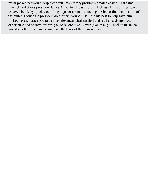metal jacket that would help those with respiratory problems breathe easier. That same year, United States president James A. Garfield was shot and Bell used his abilities to try to save his life by quickly cobbling together a metal-detecting device to find the location of the bullet. Though the president died of his wounds, Bell did his best to help save him.

Let me encourage you to be like Alexander Graham Bell and let the hardships you experience and observe inspire you to be creative. Never give up as you seek to make the world a better place and to improve the lives of those around you.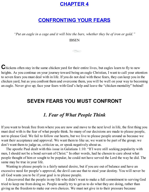#### **[CHAPTER](#page-2-4) 4**

# **[CONFRONTING](#page-2-4) YOUR FEARS**

<span id="page-34-0"></span>*"Put an eagle in a cage and it will bite the bars, whether they be of iron or gold."* IBSEN

ඥාල

**C**hickens often stay in the same chicken yard for their entire lives, but eagles learn to fly to new heights. As you continue on your journey toward being an eagle Christian, I want to call your attention to seven fears you must deal with in life. If you do not deal with these fears, they can keep you in the chicken yard, but as you confront them and overcome them, you will be well on your way to becoming an eagle. Never give up; face your fears with God's help and leave the "chicken mentality" behind!

# **SEVEN FEARS YOU MUST CONFRONT**

#### *1. Fear of What People Think*

If you want to break free from where you are now and move to the next level in life, the first thing you must deal with is the fear of what people think. So many of our decisions are made to please people, not to please God. We fail to follow our hearts, but we live to please people around us because we want their acceptance and approval. We want them to like us; we want to be part of the group; we don't want them to judge us, criticize us, or speak negatively about us.

The apostle Paul dealt with this issue in Galatians 1:10: "If I were still seeking popularity with men, I should not be a bond servant of Christ." In other words, had he chosen to care about what people thought of him or sought to be popular, he could not have served the Lord the way he did. The same may be true in your life.

Wanting to please people is a fairly natural desire, but if you are out of balance and have an excessive need for people's approval, the devil can use that to steal your destiny. You will never be all God wants you to be if your goal is to please people.

I discovered that the people in my life who didn't want to make a full commitment to serving God tried to keep me from doing so. People usually try to get us to do what they are doing, rather than giving us the freedom to make our own choices. We must not give in to their pressure because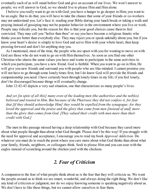eventually each of us will stand before God and give an account of our lives. We won't answer to people; we will answer to God, so we should live to please Him and Him alone.

I believe you really want to go on with God; you have a hunger to go deeper in Him; you want to be an eagle. But to do that, you will have to take the chance that some of your friends or co-workers may not understand you. Let's face it: reading your Bible during your lunch break or taking a walk and praying instead of gossiping may not be popular behavior in the environment where you live or work. People may ridicule you, but the reason for this is that your good choices cause them to feel convicted. They may call you "holier than thou" or say you have become a religious fanatic who thinks you are better than everybody else. They may reject you or speak unkindly about you, but if you know your heart's desire is simply to love God and serve Him with your whole heart, then keep pressing forward and don't let anything stop you.

As I mentioned, most of the time, the people who are upset with you for wanting to move on with God are those who do not want to go on with Him themselves. As soon as you find one other Christian who shares the same values you have and wants to participate in the same activities in which you participate, you have a new friend. God is faithful. When you want to go on in Him, He will give you new friends and surround you with people who are like-minded. I cannot promise you will not have to go through some lonely times first, but I do know God will provide the friends and companionship you need. I have certainly been through lonely times in my life; if you feel lonely, don't be discouraged because things will eventually change.

John 12:42-43 depicts a very sad situation, one that characterizes so many people's lives.

*And yet [in spite of all this] many even of the leading men (the authorities and the nobles) believed and trusted in Him. But because of the Pharisees they did not confess it, for fear that [if they should acknowledge Him] they would be expelled from the synagogue; for they loved the approval and the praise and the glory that come from men [instead of and] more than the glory that comes from God. [They valued their credit with men more than their credit with God.]*

The men in this passage missed having a deep relationship with God because they cared more about what people thought than about what God thought. Please don't be this way! If you struggle with the need for approval and acceptance, I encourage you to read my book *Approval Addiction.* Do whatever you must do to reach the point where you care more about what God thinks than about what your family, friends, neighbors, or colleagues think. Seek to please Him and you can soar with the eagles instead of scratching around the chicken yard with the chickens.

#### *2. Fear of Criticism*

A companion to the fear of what people think about us is the fear that they will criticize us. We want the people around us to think we are smart, wonderful, and always doing the right thing. We don't like any kind of criticism or judgment, nor do we enjoy knowing someone is speaking negatively about us. We don't have to like these things, but we cannot allow ourselves to fear them.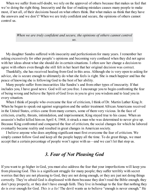When we suffer from self-doubt, we rely on the approval of others because that makes us feel that we're doing the right thing. Insecurity and the fear of making mistakes causes many people to make most, if not all, of their decisions based on what others think. But what makes us think that they have the answers and we don't? When we are truly confident and secure, the opinions of others cannot control us.

> *When we are truly confident and secure, the opinions of others cannot control us.*

My daughter Sandra suffered with insecurity and perfectionism for many years. I remember her asking excessively for other people's opinions and becoming very confused when they did not agree with her ideas about what she should do in certain situations. I often saw her change a decision to agree with others even though she still felt in her heart that her original decision was correct.

Thankfully, she has received healing from God in this area. Although she is very open to asking for advice, she is secure enough to ultimately do what she feels is right. She is much happier and has the peace of knowing she is following God to the best of her ability.

Many people suffer from insecurities like Sandra's and from other types of insecurity. If that includes you, I have good news: God will set you free. I encourage you to begin confronting the fear of being wrong and believe the Spirit of God lives in you to give you wisdom and to lead you in every situation.

When I think of people who overcame the fear of criticism, I think of Dr. Martin Luther King Jr. When he began to speak out against segregation and the unfair treatment African Americans received in the United States, critics came from many corners, some of them very vicious. In the face of criticism, cruelty, threats, intimidation, and imprisonment, King stayed true to his cause. When an assassin's bullet killed him on April 4, 1968, it struck a man who was determined to never give up. Because King confronted and conquered the fear of criticism, the social changes for which he labored eventually became reality and resulted in great changes in American society.

I believe anyone who does anything significant must first overcome the fear of criticism. We simply cannot follow God and keep all the people happy all the time. To do great things, we must accept that a certain percentage of people won't agree with us—and we can't let that stop us.

## *3. Fear of Not Pleasing God*

If you want to go higher in God, you must also address the fear that your imperfections will keep you from pleasing God. This is a significant struggle for many people; they suffer terribly with secret worries that they are not pleasing to God, they are not doing enough, or they are just not doing things correctly. They're afraid God is displeased with them because they don't read the Bible enough, they don't pray properly, or they don't have enough faith. They live in bondage to the fear that nothing they do is ever enough for God. *This is a lie!* The devil wants us to believe "enough is never enough." He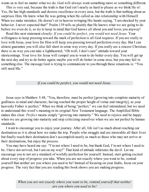wants us to feel no matter what we do, God will always want something more or something different.

This is very sad, because the truth is that God isn't nearly as hard to please as we think He is! Yes, He has high standards and desires excellence in every area, but the truth is that nothing about us surprises Him. He knew what He was getting when He called us into relationship with Himself. When we make mistakes, He doesn't sit in heaven wringing His hands saying, "I am shocked by your behavior. I never expected that!" Psalm 139 tells us plainly that He knows what we are going to do before we even do it, so try to keep in mind that God knows *all* about you and loves you anyway!

Read this next statement closely: *If you could be perfect, you would not need Jesus.* Your willingness to keep pressing toward the mark of perfection is all God requires. If you are really in love with Jesus, your love for Him will keep you pressing toward perfection every day. But I can almost guarantee you will also fall short in some way every day. If you really are a sincere Christian, there is no way you can take a lighthearted, "Oh well, I don't care" attitude toward your shortcomings. Your love for Jesus will compel you to want to do better every day. You will get up the next day and try to do better again; maybe you will do better in some area, but you may fail in something else. The message God is trying to communicate to you through these situations is: "You still need Me."

#### *If you could be perfect, you would not need Jesus.*

Jesus says in Matthew 5:48, "You, therefore, must be perfect [growing into complete maturity of godliness in mind and character, having reached the proper height of virtue and integrity], as your heavenly Father is perfect." When we think of being "perfect," we can feel intimidated, but we need to understand this word's meaning in its original New Testament language. The Amplified Bible makes this clear. *Perfect* means simply "growing into maturity." We need to rejoice and be happy when we are growing into maturity and stop criticizing ourselves when we are not perfect by human standards.

I want to encourage you to enjoy your journey. After all, life isn't as much about reaching our destination as it is about how we make the trip. People who struggle and are miserable all their lives but finally reach their destination don't accomplish nearly as much as those who may not arrive at their destinations, but enjoy the process.

You may have heard me say: "I'm not where I need to be, but thank God, I'm not where I used to be. I have not arrived, but I am on my way!" That kind of attitude infuriates the devil. Let me encourage you to not set a standard of worldly perfection for yourself. Instead, start getting excited about every step of progress you take. When you are not exactly where you want to be, remind yourself that neither are you where you used to be! Instead of focusing on your faults, focus on your progress. The very fact that you are reading this book shows you are making progress.

> *When you are not exactly where you want to be, remind yourself that neither are you where you used to be!*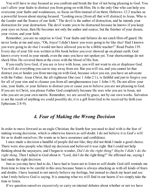You will have to stay focused as you confront and break the fear of not being pleasing to God. You can't allow your faults to distract you from going on with Him. He is the only One who can help you overcome your faults and weaknesses, so focus on Him instead of on them. Hebrews 12:2 teaches us a powerful lesson about staying focused: "Looking away [from all that will distract] to Jesus, Who is the Leader and the Source of our faith." The devil is the author of distraction, and he intends your distraction for your destruction. The devil wants you to be distracted because he knows if you keep your eyes on Jesus, then He becomes not only the author and source, but the finisher of your dream, your vision, and your faith.

Remember, you are no surprise to God. Your faults and failures do not catch Him off guard. He never looks at me and says, "Oh, Joyce! I didn't know you were going to be like *that!* Had I known you were going to do *that* I would not have allowed you to be a Bible teacher!" Read Psalm 139. Every day of your life was written in His book before you ever showed up on planet earth. God knows every word in your mouth, even the ones you have not spoken yet. Your shortcomings do not shock Him. He covered them at the cross with the blood of His Son.

If you really love God, if you are *in* love with Jesus, you will not want to sin or displease God. You will do everything you can to stay away from sin. But you will sin, and you cannot let that distract you or hinder you from moving on with God, because *when* you sin, you have an advocate with the Father. Jesus Christ, the all-righteous One (see 1 John 2:1), is faithful and just to forgive you for all of your sins and to cleanse you from all unrighteousness (see 1 John 1:9). Do not allow your sins, your faults, or your failures to distract you or cause you to believe you are not pleasing to God. If you are in Christ, you please Father God completely because He sees who you are in Jesus, not who you are on your own merits. Remember, we are saved by grace, not by our own works. Salvation is not the result of anything we could possibly do; it is a gift from God to be received by faith (see Ephesians 2:8-9).

### *4. Fear of Making the Wrong Decision*

In order to move forward as an eagle Christian, the fourth fear you need to deal with is the fear of making wrong decisions, which is otherwise known as self-doubt. I do not believe it is God's will for us to doubt ourselves; He wants us to have assurance and confidence.

I once made a decision a handful of people did not like; they did not think I made a good choice. There were also people who liked my decision and believed it was right. But I could not help thinking about the naysayers, and I began to wonder, *Did I do the right thing? Maybe I didn't do the right thing.* Then I talked to God about it: "Lord, did I do the right thing?" He affirmed me, saying I had made the right decision.

Just as you may have had to do, I have had to learn not to listen to self-doubt. God still reminds me from time to time to be careful in this area because Satan is always attacking us with all kinds of fears and doubts. I have learned to not merely believe my feelings, but instead to check my heart and see what I truly believe God is saying. It is amazing what we will find in our hearts if we simply take the time to listen.

If we question ourselves excessively or carry on internal debates about whether or not we have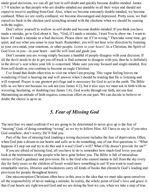made good decisions, we can all get lost in self-doubt and quickly become double-minded. James 1:7-8 teaches us that people who are double-minded are unstable in all their ways and should not expect to receive anything from God. Also, when we become extremely double-minded, we become confused. When we are really confused, we become discouraged and depressed. Pretty soon, we find ourselves back in the chicken yard scratching around with the chickens when we should be soaring with the eagles.

Don't allow yourself to wallow in self-doubt and become double-minded. If you think you have made a mistake, go to God about it. Say, "God, if I made a mistake, I trust You to show me. I want to know if I made a mistake or a bad decision. Please show me if I'm wrong." Then take some time, get quiet, and see what you sense in your heart. Remember, you will not hear wise direction by listening to your own mind, your emotions, or other people. *Listen to your heart!* As a Christian, the Spirit of God lives in you—in your heart—and He will lead and guide you.

Don't assume you are wrong simply because a handful of people disagree with your decision. If all the devil needs to do to get you off track is find someone to disagree with you, then he is definitely in the driver's seat where your life is concerned. Make sure you stay focused and single-minded, free from self-doubt as you continue to become an eagle Christian.

I've found that doubt often tries to visit me when I am praying. This vague feeling leaves me wondering if God is hearing me and will answer when I should be trusting that He is listening and will respond. Prayer is our greatest privilege and is necessary for God to act in the earth. The Bible tells us we have not because we ask not (see James 4:2), but it also says we must ask in faith with no wavering, hesitating, or doubting (see James 1:6). God works through our faith, not our fear. Maintaining an attitude of faith requires conscious effort on our part. We can decide to believe or doubt; the choice is up to us.

## *5. Fear of Missing God*

The next fear we must confront if we are going to be determined to never give up is the fear of "missing" God, of doing something "wrong" as we try to follow Him. All I have to say is: if you miss God somehow, don't worry; He'll find you.

Part of the fear of missing God (making a wrong decision) includes the fear of deprivation. Often, when God puts a dream in our hearts and calls us to do something, one of our first questions is: "What happens if I step out and try to do this and it wasn't God's will? What if He doesn't provide for me?"

If you are afraid of missing God, all you have to do is remember how much God loves you and look at the testimonies of the people who have gone before you. The Bible is full of miraculous stories of God's guidance and provision. He is the God who caused manna to fall from the sky every day for forty years so the children of Israel would have something to eat! If you want to read more remarkable stories, libraries and bookstores carry all kinds of books that chronicle God's leading and provision for people throughout history.

One misconception Christians often have in this area is the idea that we must take upon ourselves all the responsibility of never making a mistake. In reality, the whole point of God's love and grace is that if our hearts are right toward God and we are doing the best we can, when we take a step of true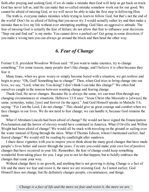faith after praying and seeking God, if we *do* make a mistake then God will help us get back on track. God has never left us, and He can make that so-called mistake somehow work out for our good. We cannot be afraid of missing God, or we will never be able to take the first step in following Him.

The truth is, everyone makes mistakes while trying to learn to follow God, but that's not the end of the world! Don't be so afraid of failing that you never try. I would actually rather try and then make a mistake than to live my life without ever attempting anything. God likes an aggressive attitude. The fear of missing God is actually the fear of failure; do not allow that fear to influence your decisions. "Step out and find out" is my motto. You cannot drive a parked car! Get going in some direction; if you make a wrong turn you can always go around the block and then head the other way.

### *6. Fear of Change*

Former U.S. president Woodrow Wilson said: "If you want to make enemies, try to change something." For some reason, many people don't like change, and I believe it is often because they fear it.

Many times, when we grow weary or simply become bored with a situation, we get restless and begin to pray: "Oh, God! Something has to change!" Then, when God tries to bring change into our lives, we say, "Lord, what are You doing? I don't think I can take this change!" We often find ourselves caught in the tension between wanting change and fearing change.

Thank God, He never changes. Because He is always the same, we can trust Him through any changing circumstances or situations. Hebrews 13:8 says: "Jesus Christ (the Messiah) is [always] the same, yesterday, today, [yes] and forever (to the ages)." And God Himself speaks in Malachi 3:6, saying: "For I am the Lord, I do not change." This should give us great courage and comfort when we face changes in our lives. We do not need to fear change; we can handle it, because God remains the same.

What if Abraham Lincoln had been afraid of change? He would not have signed the Emancipation Proclamation and the horror of slavery would have continued in America. What if Orville and Wilbur Wright had been afraid of change? We would all be stuck with traveling on the ground or sailing over the water instead of flying through the skies. What if Thomas Edison, whom I mentioned earlier, had feared change? We would still be reading by candlelight after sundown.

I share these vignettes with you to inspire you to think about the many good changes that have made people's lives better and easier through the years. I'm sure you could make your own list of positive changes that have occurred in your life. Remember, the fear of change could keep something wonderful from taking place for you. I urge you to not let that happen, but to boldly embrace the changes that come your way.

Without change there is no growth, and anything that is not growing is dying. Change is a fact of life and the more we fear and resist it, the more we are resisting God. As I noted earlier, God Himself does not change, but He definitely changes people, circumstances, and things.

*Change is a fact of life and the more we fear and resist it, the more we are*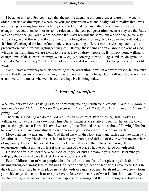#### *resisting God.*

I began to notice a few years ago that the people attending our conferences were all my age or older. I started asking myself where the younger generation was and finally had to realize that I was not offering them anything to which they could relate. I determined that I would make whatever changes I needed to make in order to be relevant to the younger generation because they are the future. We can never change God's Word because it always remains the same, but we can change the way we package it and that is exactly what we did. I changed my clothing style to be in line with today's fashion. We changed the look of our conferences by adding different music styles, updated media presentation, and different lighting techniques. Although these things don't change the Word of God, which is the main thing we are trying to present, they do draw people in. By simply being willing to change some of these exterior things, we now enjoy a congregation of all ages and are delighted to see that a "generation gap" really does not have to exist if we are willing to change some of our old ways.

We all have a tendency to think according to the generation in which we were raised, but we must realize that things are always changing. If we are not willing to change, God will not stop to wait for us and we will wonder why we missed the things He is doing today.

### *7. Fear of Sacrifice*

When we believe God is asking us to do something, we begin with the questions: *What am I going to* have to give up if I do this? If I do this, what will it cost me? If I do this, how uncomfortable am I *going to be?*

The truth is, anything we do for God requires an investment. Part of loving Him involves a willingness to lay our lives down for Him. Our willingness to sacrifice is part of the test He often puts us through, not so He will know if we really love Him and are serious about following Him, but to prove His love and commitment to ourselves and get it established in our own hearts.

More than thirty years ago, when God filled me with the Holy Spirit and called me into ministry, I lost almost all of my friends, was asked to leave my church, and fell out of favor with many members of my family. I was embarrassed; I was rejected; and it was difficult to press through those experiences without giving up. But it was all part of the price I had to pay to go on with God.

Do not be afraid of sacrifice when God calls you or puts a dream in your heart. Determine you will pay the price and pass the test. I assure you, it is worth it.

Fear of failure; fear of what people think; fear of criticism; fear of not pleasing God; fear of making wrong decisions; fear of missing God; fear of change; fear of sacrifice. Leave these fears in the chicken yard; they have no place in the sky with an eagle. You may be afraid to move away from your chicken yard because it means you have to leave the security of what is familiar to you. I urge you to never give up as you face your fears; spread your wings and fly with courage and boldness.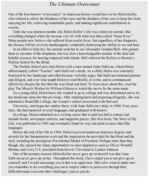#### *The Ultimate Overcomer*

One of the best-known "overcomers" in American history would have to be Helen Keller, who refused to allow the blindness of her eyes and the deafness of her ears to keep her from enjoying her life, achieving remarkable goals, and making significant contributions to society.

Until she was nineteen months old, Helen Keller's life was relatively normal. But everything changed when she became very ill with what was then called "brain fever." Many people now believe she suffered from scarlet fever, but regardless of her diagnosis, the disease left her severely handicapped, completely destroying her ability to see and hear.

In an effort to help her, her parents took her to see Alexander Graham Bell, who gained fame as inventor of the telephone, but was also a knowledgeable teacher of the deaf and helpful resource for hearing-impaired individuals. Bell referred the Kellers to Boston's Perkins School for the Blind.

The Perkins School provided Helen with a tutor named Anne Sullivan, whom Helen affectionately called "Teacher" until Sullivan's death. As a child, Helen was extremely frustrated by her handicaps and often became violently angry. But Sullivan remained patient and diligent, and over time taught Helen to read Braille, to write, and to communicate effectively despite the fact that she was blind and deaf. To learn more about this, read the play The Miracle Worker by William Gibson or watch the movie by the same name.

As a young child, Helen knew she wanted to go to college and was determined not to let her handicaps deny her that privilege. After studying hard and preparing diligently, she was admitted to Radcliffe College, the women's school associated with Harvard

University, and began her studies there, with Anne Sullivan's help, in 1900. Four years later, she had mastered several languages and graduated with honors.

In college, Helen embarked on a writing career that would last half a century and include books, newspaper articles, and magazine pieces. Her first book, The Story of My Life, was published in 1903 and eventually found its way into print in more than fifty languages.

Before the end of her life in 1968, Helen received numerous honorary degrees and awards for her humanitarian work and the inspiration she provided for the blind and the deaf, including the prestigious Presidential Medal of Freedom. Perhaps more than that, though, she enjoyed her many opportunities to meet dignitaries such as Oliver Wendall Holmes and every U.S. president from Grover Cleveland to Lyndon Johnson.

One of the primary reasons Helen Keller never gave up on herself was that Anne Sullivan never gave up on her. Throughout this book, I have urged you to not give up on yourself, and I would encourage you in that way again now. But I also want to make sure you remember to do everything you can to inspire others to persevere through their difficultiesand overcome their challenges, just as you do.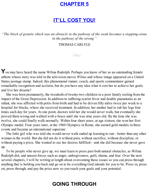### **[CHAPTER](#page-2-0) 5**

## **IT'LL [COST](#page-2-0) YOU!**

*"The block of granite which was an obstacle in the pathway of the weak becomes a stepping-stone in the pathway of the strong."*

#### THOMAS CARLYLE

ඥාල

You may have heard the name Wilma Rudolph. Perhaps you know of her as an outstanding female athlete whose story was told in the television movie *Wilma* and whose image appeared on a United States postage stamp. Indeed, this phenomenal runner, coach, and sports commentator gained remarkable recognition and acclaim, but do you have any idea what it cost her to achieve her goals and live her dreams?

She was born prematurely, the twentieth of twenty-two children in a poor family reeling from the impact of the Great Depression. In addition to suffering scarlet fever and double pneumonia as an infant, she was afflicted with polio from birth and had to be driven fifty miles twice per week to a hospital for blacks, where she received treatment. In addition, her mother had to rub her legs four times each day for years. At one point, doctors told her she would never walk, but eventually she proved them wrong and walked with a brace until she was nine years old. By the time she was twelve, she could finally walk normally. Within four short years, at age sixteen, she won her first Olympic medal. Four years later, at the 1960 Olympics in Rome, she earned gold medals in three events and became an international superstar.

The little girl who was told she would never walk ended up learning to run—better than any other woman in the world. But she did not do it without pain, without sacrifice, without discipline, or without paying a price. She wanted to see her desires fulfilled—and she did because she never gave up.

To be people who never give up, we must learn to press past both natural obstacles, as Wilma Rudolph did, and unseen forces such as anger, unforgiveness, guilt, shame, and fear. Over the next several chapters, I will be writing at length about overcoming these issues so you can press through anything that is holding you back and go on to be everything God intends for you to be. Press in, press on, press through, and pay the price now so you reach your goals and your potential.

# **GOING THROUGH**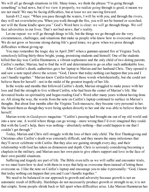We will all go through situations in life. Many times, we think the phrase "I'm going through something" is bad news, but if we view it properly, we realize *going* through is good; it means we are not stuck! We may be facing difficulties, but at least we are moving forward.

Isaiah 43:2 says: "When you pass through the waters, I will be with you, and through the rivers, they will not overwhelm you. When you walk through the fire, you will not be burned or scorched, nor will the flame kindle upon you." God's Word here is clear: we *will* go through things. We *will* face adversities in our lives. That's not bad news; that's reality.

Let me repeat: we will go through things in life, but the things we go through are the very circumstances, challenges, and situations that make us people who know how to overcome adversity. We do not grow or become strong during life's good times; we grow when we press through difficulties without giving up.

You may remember the tragic day in April 2007 when a gunman opened fire at Virginia Tech, senselessly killing thirty-three bright, young, promising students and himself. One of the students killed that day was Caitlin Hammaren, a vibrant sophomore and the only child of two doting parents. Caitlin's mother, Marian, had to find the will and determination to go on after such unthinkable loss.

After Caitlin's death, authorities gave her laptop to Marian and her husband Chris. They opened it and saw a note taped above the screen: "God, I know that today nothing can happen that you and I can't handle together." Marian knew Caitlin believed those words wholeheartedly, but she could not believe them for herself—not in the midst of the greatest tragedy of her life.

In the weeks and months that followed Caitlin's death, Marian struggled to make peace with her loss and find the strength to live without Caitlin, who had been the center of Marian's life. She devoured books on spirituality and began reading God's Word after many years without having done so. All along the way, the words from the note on Caitlin's laptop continued to surface in Marian's thoughts. But about four months after the Virginia Tech massacre, they became very personal to her. She heard them as though they were being spoken directly to her and she was able to believe them for herself.

Marian wrote in *Guideposts* magazine: "Caitlin's passing had brought me out of my old world and into a new one. A world where things can go wrong—more wrong than I'd ever imagined they could. But with the Lord's help, there was nothing—absolutely nothing—that could happen to me that I couldn't get through."

Today, Marian and Chris still struggle with the loss of their only child. The first Thanksgiving and Christmas after Caitlin's death was extremely difficult, and they mourn the many milestones that they'll never celebrate with Caitlin. But they also are gaining strength every day, and their relationship with God has taken on dimension and depth. Chris is seriously considering becoming a chaplain in the military, and Marian uses her own pain to give others support and love in the face of their own painful situations.

Suffering and tragedy are part of life. The Bible even tells us we will suffer and encounter trials, so we must learn how to deal with them in ways that help us overcome them instead of letting them overcome us. I like the note on Caitlin's laptop and encourage you to take it personally: "God, I know that today nothing can happen that you and I can't handle together."

We need to be balanced in our approach to growth and adversity because growth is not an automatic result of difficulty. Hardships do not necessarily produce growth or strength in us; it is not that simple. Some people shrink back or fall apart when difficulties arise. Like Marian Hammeran has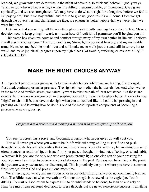learned, we grow when we determine in the midst of adversity to think and behave in godly ways. When we do what we know is right when it is difficult, uncomfortable, or inconvenient, we grow spiritually, and we are strengthened. We may have to do what is right for a long time before we feel it is "paying off," but if we stay faithful and refuse to give up, good results will come. Once we get through the adversities and challenges we face, we emerge as better people than we were when we went into them.

Determine that you will go all the way through every difficulty you might ever face in life. Make a decision now to keep going forward, no matter how difficult it is. I guarantee you'll be glad you did.

This verse has given me courage and comfort through many of my own battles in life and I believe it will also encourage you: "The Lord God is my Strength, my personal bravery, and my invincible army; He makes my feet like hinds' feet and will make me to walk [not to stand still in terror, but to walk] and make [spiritual] progress upon my high places [of trouble, suffering, or responsibility]!" (Habakkuk 3:19).

# **MAKE THE RIGHT CHOICES ANYWAY**

An important part of never giving up is to make right choices while you are hurting, discouraged, frustrated, confused, or under pressure. The right choice is often the harder choice. And when we're in the middle of terrible stress, we naturally want to take the path of least resistance. But those are exactly the moments when you need to discipline yourself to make the tougher choice. In order to reap "right" results in life, you have to do right when you do not feel like it. I call this "pressing in and pressing on," and knowing how to do it is one of the most important components of becoming a person who never gives up.

*Progress has a price; and becoming a person who never gives up will cost you.*

You see, progress has a price; and becoming a person who never gives up will cost you. You will never get where you want to be in life without being willing to sacrifice and push through the obstacles and adversities that stand in your way. Your obstacle may be an attitude, a set of circumstances, a relationship, an issue from your past, a thought or mind-set, a feeling, or a bad habit. Whatever it is, you are the only one who can press through it; no one else can do your pressing for you. You may have tried to overcome your challenges in the past. Perhaps you have tried to the point that you are weary, exhausted, or discouraged. This is precisely the point where you have to summon fresh strength from God and press in one more time.

We always grow weary and may even falter in our determination if we do not continually lean on God. The Bible says that when we wait on God our strength is renewed as the eagle (see Isaiah 40:31). To wait on God means to expect Him to do what needs to be done, to lean on and rely on Him. We must make personal decisions to press through, but we never experience success in anything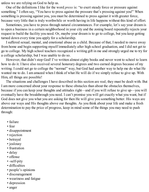unless we are relying on God to help us.

One of the definitions I like for the word *press* is: "to exert steady force or pressure against something." I often say, "You have to press against the pressure that's pressing against you!" When something is pressing against you, you must be determined to press against it with greater force, because very little that is truly worthwhile or worth having in life happens without this kind of effort.

Sometimes, you have to press through natural circumstances. For example, let's say your dream is to open a business in a certain neighborhood in your city and the zoning board repeatedly rejects your request to build the facility you need. Or, maybe your dream is to go to college, but you keep getting turned down every time you apply for a scholarship.

I suffered sexual, mental, and emotional abuse as a child. Because of that, I needed to move away from home and begin supporting myself immediately after high school graduation, and I did not get to go to college. My high school teachers recognized a writing gift in me and strongly urged me to try for a college scholarship, but I was unable to do so.

However, that didn't stop God! I've written almost eighty books and never went to school to learn how to do it. I have also received several honorary degrees and two earned degrees because of my writing. I could not go to college the "normal" way, but God had another way to help me do what He wanted me to do. I am amazed when I think of what He will do if we simply refuse to give up. With Him, all things are possible!

The situations and challenges I have described in this section are real; they must be dealt with. But I am more concerned about your response to these obstacles than about the obstacles themselves, because if you can keep your thoughts and attitudes right—and if you will refuse to give up—you will eventually have the breakthrough you need. I can't promise you will get exactly what you want, but if God does not give you what you are asking for then He will give you something better. His ways are above our ways and His thoughts above our thoughts. As you think about your life and make a fresh determination to pay the price of progress, keep in mind some of the things you may need to push through:

- failure
- fear
- disappointment
- rejection
- betrayal
- jealousy
- frustration
- delay
- offense
- -self-pity
- difficulties
- people's opinions
- discouragement
- weariness and fatigue
- depression
- anger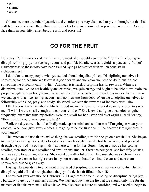- guilt
- shame
- abuse

Of course, there are other dynamics and emotions you may also need to press through, but this list will help you recognize these things as obstacles to be overcome when you encounter them. As you face them in your life, remember, press in and press on!

# **GO FOR THE FRUIT**

Hebrews 12:11 makes a statement I am sure most of us would agree with: "For the time being no discipline brings joy, but seems grievous and painful; but afterwards it yields a peaceable fruit of righteousness to those who have been trained by it [a harvest of fruit which consists in righteousness]."

I don't know many people who get excited about being disciplined. Disciplining ourselves is something we do because we know it is good for us and we know we need to do it, but it's not something we typically call "joyful." Although it is hard, discipline has its rewards. When we discipline ourselves to eat healthily and exercise, we gain energy and begin to be able to maintain the proper weight for our body frame. When we discipline ourselves to spend less money than we earn, we end up with a nice savings account and no pressure from debt. When we discipline ourselves to fellowship with God, pray, and study His Word, we reap the rewards of intimacy with Him.

I think about a woman who faithfully helped me in my home for several years. She used to say to me: "I wish I were small enough to wear your clothes!" She knew that I give away clothes quite frequently, but at that time my clothes were too small for her. Over and over again I heard her say, "Boy, I wish I could wear your clothes!"

Well, the day came when she finally made up her mind and said to me: "I'm going to wear your clothes. When you give away clothes, I'm going to be the first one in line because I'm right here in your house!"

This woman did not sit around wishing she was smaller, nor did she go on a crash diet. She began to change her eating habits, developed a healthier lifestyle than she had been living, and pressed through the pain of not eating foods that were wrong for her. Soon, I began to notice her getting smaller, then smaller and smaller and smaller and smaller. Over the next year, she lost fifty pounds and was able to wear my clothes. She ended up with a lot of them because she was right—it was easier to give them to her right there in my house than to load them into the car and take them somewhere else to give away.

Losing fifty pounds in twelve months required discipline, and it was not easy or joyful. But her discipline paid off and brought about the joy of a desire fulfilled in her life.

Let me call your attention to Hebrews 12:11 again: "For the time being no discipline brings joy, ... . but *afterwards* . . . " (emphasis mine). We must not buy into the lie that we should only live for the moment or that the present is all we have. We also have a future to consider, and we need to begin to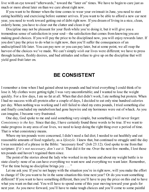live with an eye toward "afterwards," toward the "later on" times. We have to begin to care just as much or more about later on than we care about right now.

If you want to be thinner when the time comes to wear your swimsuit in June, you need to start eating healthily and exercising before summer arrives. If you want to be able to afford a new car next year, you need to work toward getting out of debt right now. If you dream of living in a nice, clean, orderly home, you have to clear out the clutter and clean it up!

Discipline may not be pleasant for your flesh while you're doing it, but it will give you a tremendous sense of satisfaction in your soul—the satisfaction that comes from knowing you are making good choices. If you will pay the price to be disciplined now, you will enjoy rewards later. If you don't pay the price to do what is right now, then you'll suffer the consequences of an undisciplined life later. You can pay now or you can pay later, but at some point, we all reap the harvest of the choices we've made. We can't simply *wish* our lives were different; we have to press through laziness, fleshly desires, and bad attitudes and refuse to give up on the discipline that will yield good fruit later on.

# **BE CONSISTENT**

I remember a time when I had gained about ten pounds and had tried everything I could think of to lose it. My clothes were getting tight; I was very uncomfortable; and I wanted to lose the weight quickly. For a few days, I ate no fat at all. When that diet didn't work, I ate nothing but protein. When I had no success with all-protein after a couple of days, I decided to eat only nine hundred calories per day. When nothing was working and I still failed to shed my extra pounds, I tried something else and finally concluded my metabolism had gone haywire and my hormones were out of whack. As you can imagine, I became very frustrated.

One day, God spoke to me and said something very simple, but something I will never forget: *Consistency is the key.* Since that day, I have certainly found those words to be true. If we want to make progress in any area of our lives, we need to keep doing the right thing over a period of time. That is what consistency means.

Where my ten pounds were concerned, I didn't need a fad diet; I needed to eat healthily and eat reasonable amounts of food regularly, as a *lifestyle.* I knew that, but continued to struggle until the day I was reminded of a phrase in the Bible: "necessary food" (Job 23:12). God spoke to me from that scripture: *If it's not necessary, don't eat it.* That did it for me. Over the next few months, I lost those ten pounds and haven't regained them since.

The point of the stories about the lady who worked in my home and about my weight battle is to state clearly: none of us can have everything we want now and everything we want later. Remember, "For the time being no discipline brings joy . . . "

Let me ask you: If you're not happy with the situation you're in right now, will you make the effort to change it? Do you want to be in the same situation this time next year? Or do you want something different? If you want to have something different, then you'll have to pay the price on this end to have what you want on that end. You will have to spend some of this year moving toward your goals for next year. As you move forward, you'll have to make tough choices and you'll come to some painful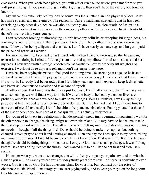crossroads. When you reach those places, you will either run back to where you came from or you will press through. If you press through, without giving up, then you'll have the victory you long for later on.

My husband is extremely healthy, and he sometimes feels better than I do physically because he has more strength and more energy. The reason for Dave's health and strength is that he has been exercising every other day since he was about sixteen years old. Like clockwork, he has made a deliberate investment in his physical well-being every other day for many years. His skin looks like that of someone thirty years younger.

I can remember looking at him wishing I didn't have any cellulite or drooping, bulging places, but wishing did not help me at all. Being jealous of Dave didn't help either. I had to start exercising myself! Now, after being diligent and consistent, I don't have nearly as many sags and bulges. I paid the price and got what I wanted!

For much of my life, I seemed to hurt myself often when I tried to exercise, so that became my excuse for not doing it. I tried to lift weights and messed up my elbow. I tried to do sit-ups and hurt my back. I now work with a strength coach who has taught me how to properly lift weights and exercise. I work out three days a week and I don't hurt myself anymore.

Dave has been paying the price to feel good for a long time. He started years ago, so he hasn't suffered the injuries I have. I'm paying the price now, and even though I'm years behind Dave, I know it's worth it. I already feel better today than I felt thirty years ago, and I expect to keep feeling better and better as I continue to exercise and take care of myself.

Another excuse that I used was that I was just too busy. I've finally realized that if we truly want to do something, we will find a way to do it. If we're too busy to be healthy then our lives are probably out of balance and we need to make some changes. Being a minister, I was busy helping people and felt I needed to sacrifice in order to do that. But I've learned that if I don't take time to take care of myself, eventually I won't be able to help anyone else either. Putting yourself at the end of the list of people you take care of is not spiritual; it is actually very foolish.

Do you need to invest in a relationship that desperately needs improvement? If you simply wait for the other person to change, the change might not ever take place. You may have to be the one to take the first step toward reconciliation. I recall a time when I felt my marital relationship was not meeting my needs. I thought of all the things I felt Dave should be doing to make me happier, but nothing changed. I even prayed about it and nothing changed. Then one day the Lord spoke to my heart, telling me I would see change if I would begin to compliment Dave often. That was difficult at first because I thought he should be doing things for me, but as I obeyed God, I saw amazing changes. It wasn't long before Dave was doing most of the things I had wanted him to do. I had to act first and then I saw results.

No matter what you want to see change, you will either press past your pain now and do what is right or you will be exactly where you are today thirty years from now—or perhaps somewhere even worse. God is a good God; He has awesome plans for your life, but you must pay the price of obedience to His Word. I encourage you to start paying today, and to keep your eye on the long-term benefits you will reap tomorrow.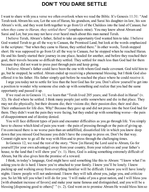# **DON'T YOU DARE SETTLE**

I want to share with you a verse we often overlook when we read the Bible. It's Genesis 11:31: "And Terah took Abram his son, Lot the son of Haran, his grandson, and Sarai his daughter-in-law, his son Abram's wife, and they went forth together to go from Ur of the Chaldees into the land of Canaan; *but when they came to Haran, they settled there*" (emphasis mine). You may know about Abram and Sarai and Lot, but you may not have ever heard much about this man named Terah.

I believe Terah, Abram's father, failed to take an opportunity God wanted him to take. I believe God wanted Terah to go all the way to Canaan, the Promised Land, but look at the words emphasized in the scripture: "but when they came to Haran, they settled there." In other words, Terah stopped short. He was supposed to go from Ur all the way to Canaan, *but* he stopped when he reached Haran. He and his family started their journey in one place, headed for another, and before they reached their goal, their travels became so difficult they settled. They settled for much less than God had for them because they did not want to press past through pain and keep going.

I believe Abram's father could have been the one with whom God made covenant. God told him to go, but he stopped; he settled. Abram ended up receiving a phenomenal blessing, but I think God also offered it to his father. His father simply quit before he reached the place where he could receive it.

I urge you today not to settle for less than the best God has for you. Don't allow yourself to get into a position to wonder why someone else ends up with something and realize that you had the same opportunity and passed it up.

If we read on in Genesis 11, we learn that "Terah lived 205 years; and Terah died in Haran" (v. 32). He died where he settled. I think many people just settle somewhere and die in that place. They may not die physically, but their dreams die; their visions die; their passion dies; their zeal dies. Their enthusiasm for life dies. Why? Because they gave up and did not press into the best God had for them. They didn't want the pain they were facing, but they ended up with something worse—the pain of disappointment and of destiny denied.

You will face different types of pain and encounter difficulties as you go through life. You simply have to choose which kind of pain you want—the pain of pressing through or the pain of giving up. I'm convinced there is no worse pain than an unfulfilled, dissatisfied life in which you know deep down that you missed God because you didn't have the courage to press on. Don't be that way. Commit right now to go all the way with Him and to press through the challenging times.

In Genesis 12, we read the rest of the story. "Now [in Haran] the Lord said to Abram, Go for yourself [for your own advantage] away from your country, from your relatives and your father's house, to the land that I will show you" (v. 1). Here, God is asking something extremely difficult of Abram, but He also gives him the promise of a reward.

I think, in today's language, God might have said something like this to Abram: "I know what I'm asking you to do is hard. I know you're attached to your family. I know you'll be lonely. I know packing up and walking away from everything familiar will be difficult. I know you will have lonely nights. I know people will not understand. I know they will talk about you, judge you, and criticize you. So let Me tell you what I will do for you: 'I will make of you a great nation, and I will bless you [with abundant increase of favors] and make your name famous and distinguished, and you will be a blessing [dispensing good to others]' " (v. 2). God went on to promise Abram He would bless him so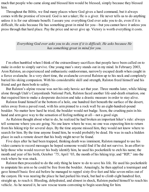much that people who came along and blessed him would be blessed, simply because they blessed him.

Throughout the Bible, we find many places where God gives a hard command, but it always comes with the promise of reward. God is not a taker; He is a giver. He never tells us to do anything unless it is for our ultimate benefit. I assure you: everything God ever asks you to do, even if it is difficult, He asks because He has something great in mind for you—but you cannot have it unless you press through that hard place. Pay the price and never give up. Victory is worth everything it costs.

#### *Everything God ever asks you to do, even if it is dif icult, He asks because He has something great in mind for you.*

I'm often humbled when I think of the extraordinary sacrifices that people have been called on to make in order to simply survive. One young man's story stands out in my mind. In February 2003, Aron Ralston, an experienced and enthusiastic outdoorsman, narrowly escaped death when caught in a fierce avalanche. In a very short time, the avalanche covered Ralston up to his neck and completely buried his skiing companion. With his considerable skill and strength, Ralston freed himself and his friend and got them both to safety.

But Ralston's alpine rescue was not his only heroic act that year. Three months later, while hiking alone through Utah's Canyonlands National Park, Ralston faced another life-and-death situation, one that required him to make a desperate decision and take a drastic measure in order to stay alive.

Ralston found himself at the bottom of a hole, one hundred feet beneath the surface of the desert, miles away from a paved road, with his arm pinned to a rock wall by an eight-hundred-pound boulder. No matter how hard he tried, the boulder would not budge. Soon, the crushing pain in his hand and arm gave way to the sensation of feeling nothing at all—not a good sign.

As Ralston thought about what to do, he realized he had broken an important hiker's rule: always tell someone where you are going. No one knew where he was; no one was expecting him to return from his hiking trip for several days. By the time anyone missed him, they would not know where to search for him. By the time anyone found him, he would probably be dead. He was in such a hidden place in such a remote desert that his body might never be found.

Five days after he had been trapped, thinking death was imminent, Ralston managed to use his video camera to record messages he hoped someone would find if he did not survive. In an effort to help those who would recover his body identify him, he used his pocketknife to etch his name; the month and year of his birth, October '75; April '03, the month of his hiking trip; and "RIP," into the rock where he was stuck.

Ralston then proceeded to do the only thing he knew to do to save his life. He used his pocketknife to amputate his arm so he could be free from the boulder. Amazingly, he then applied a tourniquet and gave himself basic first aid before he managed to rappel sixty-five feet and hike seven miles out of the canyon. He was nearing the place he had parked his truck, but had to climb eight hundred feet, straight up, to reach it. Bleeding, dehydrated, and almost in shock, Ralston pushed himself to reach his vehicle. As he neared it, he saw rescue teams convening to begin searching for him.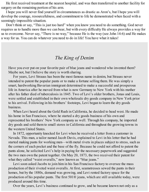He first received treatment at the nearest hospital, and was then transferred to another facility for surgery on the remaining portion of his arm.

I hope you will never find yourself in circumstances as drastic as Aron's, but I hope you will develop the courage, resourcefulness, and commitment to life he demonstrated when faced with a seemingly impossible situation.

Don't think or say, "This is just too hard" when you know you need to do something. God never requires us to handle more than we can bear, but with every difficulty He always provides a way for us to overcome. Never say, "There is no way," because He is the way (see John 14:6) and He makes a way for us. You can do whatever you need to do in life! You have what it takes!

## *The King of Denim*

Have you ever put on your favorite pair of blue jeans and wondered who invented them? Maybe not, but I believe the story is worth sharing.

For years, Levi Strauss has been the most famous name in denim, but Strauss never intended to patent the popular pants or to make a fortune selling them. He was simply a smart, hardworking Bavarian immigrant determined to make a successful and prosperous life in America after he moved from what is now Germany to New York with his mother after his father died of tuberculosis in 1845. Two of Levi's older brothers, Jonas and Louis, were settled and established in their own wholesale dry goods company in New York prior to his arrival. Following in his brothers' footsteps, Levi began to learn the dry goods business.

When Levi heard about the Gold Rush in California, he decided to head west. He made his home in San Francisco, where he started a dry goods business of his own and represented his brothers' New York company as well. Through his company, he imported dry goods and sold them to small stores in California and throughout the growing towns in the western United States.

In 1872, opportunity knocked for Levi when he received a letter from a customer in Nevada. This man, a tailor named Jacob Davis, explained to Levi in his letter that he had started making pants for working men—with metal rivets in places subject to stress, such as the corners of each pocket and the base of the fly. Because he could not afford to patent the pants alone, he solicited Levi's help in paying for the necessary paperwork and suggested the two men own the patent together. On May 20, 1873, the two received their patent for what they called "waist overalls," now known as "blue jeans."

Levi soon asked Jacobs to join him in his San Francisco factory to oversee the mass production of their riveted waist overalls. At first, seamstresses sewed the pants in their homes, but by the 1880s, demand was growing, and Levi rented factory space for the production of his popular pants. The first 501® jeans, which are still available today, were produced around this time.

Over the years, Levi's business continued to grow, and he became known not only as a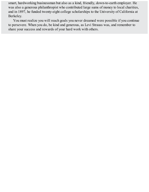smart, hardworking businessman but also as a kind, friendly, down-to-earth employer. He was also a generous philanthropist who contributed large sums of money to local charities, and in 1897, he funded twenty-eight college scholarships to the University of California at Berkeley.

You must realize you will reach goals you never dreamed were possible if you continue to persevere. When you do, be kind and generous, as Levi Strauss was, and remember to share your success and rewards of your hard work with others.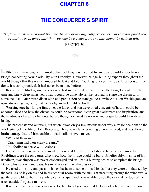## **[CHAPTER](#page-2-1) 6**

# **THE [CONQUERER'S](#page-2-1) SPIRIT**

"Difficulties show men what they are. In case of any difficulty remember that God has pitted you *against a rough antagonist that you may be a conqueror, and this cannot be without toil."*

#### **EPICTETUS**

æo

**I**<sup>n</sup> 1867, <sup>a</sup> creative engineer named John Roebling was inspired by an idea to build <sup>a</sup> spectacular bridge connecting New York City with Brooklyn. However, bridge-building experts throughout the world thought that this was an impossible feat and told Roebling to forget the idea. It just couldn't be done. It wasn't practical. It had never been done before.

Roebling couldn't ignore the vision he had in his mind of this bridge. He thought about it all the time and knew deep in his heart that it could be done. He felt he just had to share the dream with someone else. After much discussion and persuasion he managed to convince his son Washington, an up-and-coming engineer, that the bridge in fact could be built.

Working together for the first time, the father and son developed concepts of how it could be accomplished and how the obstacles could be overcome. With great excitement and inspiration, and the headiness of a wild challenge before them, they hired their crew and began to build their dream bridge.

The project started out well, but when it was only a few months under way a tragic accident on the work site took the life of John Roebling. Three years later Washington was injured, and he suffered brain damage that left him unable to walk, talk, or even move.

"We told them so."

"Crazy men and their crazy dreams."

"It's foolish to chase wild visions."

Everyone had a negative comment to make and felt the project should be scrapped since the Roeblings were the only ones who knew how the bridge could be built. Unbelievably, in spite of his handicap, Washington was never discouraged and still had a burning desire to complete the bridge. Despite his severe handicaps, his mind was still as sharp as ever.

He tried to inspire and pass on his enthusiasm to some of his friends, but they were too daunted by the task. As he lay on his bed in his hospital room, with the sunlight streaming through the windows, a gentle breeze blew the flimsy white curtains apart and he was able to see the sky and the tops of the trees outside for just a moment.

It seemed that there was a message for him to not give up. Suddenly an idea hit him. All he could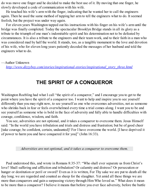do was move one finger and he decided to make the best use of it. By moving that one finger, he slowly developed a code of communication with his wife.

He touched his wife's arm with the finger, indicating that he wanted her to call the engineers again. Then he used the same method of tapping her arm to tell the engineers what to do. It seemed foolish, but the project was under way again.

For eleven years Washington tapped out his instructions with his finger on his wife's arm until the bridge was finally completed. Today the spectacular Brooklyn Bridge stands in all its glory as a tribute to the triumph of one man's indomitable spirit and his determination not to be defeated by circumstances. It is also a tribute to the engineers and their team work, and to their faith in a man who was considered mad by half the world. It stands, too, as a tangible monument to the love and devotion of his wife, who for eleven long years patiently decoded the messages of her husband and told the engineers what to do.

—Author Unknown *[http://www.dizzyboy.com/stories/inspirational-stories/inspirational\\_story\\_three.html](http://www.dizzyboy.com/stories/inspirational-stories/inspirational_story_three.html)*

# **THE SPIRIT OF A CONQUEROR**

Washington Roebling had what I call "the spirit of a conqueror," and I encourage you to get to the point where you have the spirit of a conqueror too. I want to help and inspire you to see yourself differently than you may right now, to see yourself as one who overcomes adversities, not as someone who shrinks back in fear or feels overwhelmed every time a trial comes along. I want you to be and see yourself as someone who is bold in the face of adversity and fully able to handle difficulties with courage, confidence, wisdom, and faith.

You see, adversities are not optional, and it takes a conqueror to overcome them. Jesus Himself said: "In the world you have tribulation and trials and distress and frustration; but be of good cheer [take courage; be confident, certain, undaunted]! For I have overcome the world. [I have deprived it of power to harm you and have conquered it for you]" (John 16:33).

*Adversities are not optional, and it takes a conqueror to overcome them.*

Paul understood this, and wrote in Romans 8:35-37: "Who shall ever separate us from Christ's love? Shall suffering and affliction and tribulation? Or calamity and distress? Or persecution or hunger or destitution or peril or sword? Even as it is written, For Thy sake we are put to death all the day long; we are regarded and counted as sheep for the slaughter. Yet amid all these things we are more than conquerors and gain a surpassing victory through Him Who loved us." What does it mean to be more than a conqueror? I believe it means that before you ever face adversity, before the battle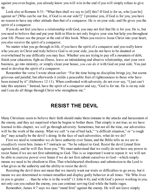against you even begins, you already know you will win in the end if you will simply refuse to give up.

Look also at Romans 8:31: "What then shall we say to [all] this? If God is for us, who [can be] against us? [Who can be our foe, if God is on our side?]" I promise you, if God is for you, you have no reason to have any other attitude than that of a conqueror. He is on your side, and He gives you the spirit of a conqueror.

If you do not feel you have a relationship with God, you may not feel that He is for you. He is, but you need to believe that and put your faith in Him to not only forgive your sins but help you throughout your life. Please see the prayer at the end of this book. When you receive Jesus Christ into your heart, you also receive the spirit of a conqueror.

No matter what you go through in life, if you have the spirit of a conqueror and you really know who you are in Christ and truly believe God is on your side, you do not have to be daunted or overwhelmed by any difficulty you may face. Whether you are trying to pay off a mountain of debt, finish your education, fight an illness, leave an intimidating and abusive relationship, start your own business, go into ministry, or simply clean your house, *you can do it* with God on your side. You just need to develop the spirit of a conqueror.

Remember the verse I wrote about earlier: "For the time being no discipline brings joy, but seems grievous and painful; but afterwards it yields a peaceable fruit of righteousness to those who have been trained by it" (Hebrews 12:11). When confronted with adversity, do not ever say, "I just can't take this anymore." Instead, have the spirit of a conqueror and say, "God is for me. He is on my side and I can do all things through Christ who strengthens me."

## **RESIST THE DEVIL**

Many Christians seem to believe their faith should make them immune to the attacks and harassment of the enemy, and they act surprised when he begins to bother them. That simply is not true; as we have learned in this chapter, we *will* go through adversity. Sometimes, but not all the time, our adversities will be the work of the enemy. What we call "a run of bad luck," "a difficult situation," or "a rough day" may actually be the devil's doing. In the face of such adversities, what do we do?

First we need to remember we *do* have authority over Satan, and the Bible tells us we are to *steadfastly* resist him. James 4:7 instructs us: "So be subject to God. Resist the devil [stand firm against him], and he will flee from you." We must understand that we really do not have any power to resist Satan if we are not first submitting to God. This is so important I want to repeat it: we will not be able to exercise power over Satan if we do not first submit ourselves to God—which simply means we need to be obedient to Him. That wholehearted obedience and submission to the Lord is what gives us the authority and the ability to resist the devil.

Resisting the devil does not mean that we merely want our trials or difficulties to go away, but it means we are determined to remain steadfast and display godly behavior at all times. "He Who lives in you is greater . . . than he who is in the world" (1 John 4:4); and with God's power working in you, not only can you outlast the enemy, you can continue serving God while the battle rages.

Remember, James 4:7 says we must "stand firm" against the enemy. He will not leave simply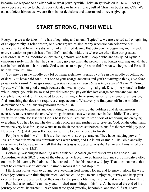because we respond to an altar call or wear jewelry with Christian symbols on it. He will not go away because we go to church every Sunday or have a library full of Christian books and CDs. We cannot defeat him unless we are firm in our decisions and determined to never give up.

# **START STRONG, FINISH WELL**

Everything we undertake in life has a beginning and an end. Typically, we are excited at the beginning of an opportunity, a relationship, or a venture; we're also happy when we can celebrate our achievement and have the satisfaction of a fulfilled desire. But between the beginning and the end, every situation or pursuit has a "middle"—and the middle is where we often face our greatest challenges, hurdles, roadblocks, obstacles, detours, and tests. People who are easily led by their emotions rarely finish what they start. They give up when the project is no longer exciting and all they see in front of them is hard work. God wants us to be people who finish what we begin, and He will help us if we let Him.

You may be in the middle of a lot of things right now. Perhaps you're in the middle of getting out of debt. You have paid off all but one of your charge accounts and you're starting to think, *I've done* pretty well. I think I will go shopping today because I read about a huge sale at the mall. Doing "pretty well" is not good enough because that was not your original goal. Discipline yourself a little while longer; you will be so glad you did when you pay off that last charge account and you are completely out of debt. If you need to do something to have some fun or relieve emotional tension, find something that does not require a charge account. Whatever you find yourself in the middle of, determine to see it all the way through to the finish.

Between our beginnings and our endings we must develop the boldness and determination necessary to overcome the overwhelming circumstances we encounter in the middle. The enemy wants us to settle for less than God's best for our lives and to stop short of receiving and enjoying everything God has for us. The devil hates progress and pushes us to give up. God, on the other hand, wants the very best for us; He wants us to finish the races set before us and finish them with joy (see Hebrews 12:1). Ask yourself if you are willing to pay the price to finish.

People who finish well in life are the ones with strong character. They have "staying power." Jesus did not quit when His circumstances were rough, and He is our example. The Bible actually says we are to look away from all that distracts us unto Jesus who is the Author and Finisher of our faith (see Hebrews 12:2).

Certainly, Washington Roebling was a finisher. Another great finisher was the apostle Paul. According to Acts 20:24, none of the obstacles he faced moved him or had any sort of negative effect on him. In this verse, Paul also said he wanted to finish his course with joy. That does not mean that what he endured wasn't difficult; it simply means it did not stop him.

I think most of us want to do and be everything God intends for us, and to enjoy it along the way. Great joy comes with finishing the race God has called you to run. Enjoy the journey and keep your eyes on the prize. Jesus endured the cross for the joy of obtaining the prize that was set before Him.

Paul had a remarkable ministry and finished many things in his life. As he neared the end of his journey on earth, he wrote: "I have fought the good (worthy, honorable, and noble) fight, I have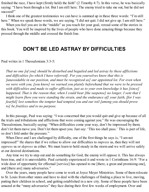finished the race, I have kept (firmly held) the faith" (2 Timothy 4:7). In this verse, he was basically saying: "I have been through a lot. But I am still here. The enemy tried to take me out, but he did not succeed!"

I think one of the greatest testimonies we can have is summed up in these three words: "I'm still here." When we speak those words, we are saying, "I did not quit. I did not give up. I am still here."

When you feel you are in the "middle" as you reach for your goal, reread some of the stories in this book. You will be inspired by the lives of people who have done amazing things because they pressed through the middle and crossed the finish line.

# **DON'T BE LED ASTRAY BY DIFFICULTIES**

Paul writes in 1 Thessalonians 3:3-5:

*That no one [of you] should be disturbed and beguiled and led astray by these af lictions and dif iculties [to which I have referred]. For you yourselves know that this is [unavoidable in our position, and must be recognized as] our appointed lot. For even when we were with you, [you know] we warned you plainly beforehand that we were to be pressed* with difficulties and made to suffer affliction, just as to your own knowledge it has [since] *happened. That is the reason that, when I could bear [the suspense] no longer, I sent that I might learn [how you were standing the strain, and the endurance of] your faith, [for I was fearful] lest somehow the tempter had tempted you and our toil [among you should prove to] be fruitless and to no purpose.*

In this passage, Paul was saying: "I was concerned that you would quit and give up because of all the trials and tribulations and afflictions that were coming against you." He was encouraging the Thessalonians, basically saying: "When difficulties come your way, don't be impressed by them; don't let them move you. Don't let them upset you. Just say: 'This too shall pass.' This is part of life, so don't fold under the pressure."

When Dave and I are challenged by difficulty, one of the first things he says is, "I am not impressed!" He shares that if we refuse to allow our difficulties to *impress* us, then they will not *oppress* us or *depress* us either. We must learn to hold steady in the storm and we will arrive safely at our desired destinations.

Any time we try to step out and do something for God, the enemy will oppose it. This has always been true, and it is unavoidable. Paul certainly experienced it and wrote in 1 Corinthians 16:9: "For a wide door of opportunity for effectual [service] has opened to me [there, a great and promising one], and [there are] many adversaries."

Over the years, many people have come to work at Joyce Meyer Ministries. Some of them relocate to St. Louis from other states and have to deal with the challenges of finding a place to live, moving, putting their children in school, and getting established in a new city. Some of these people have been amazed at the "many adversaries" they face during their first few weeks of employment. Over and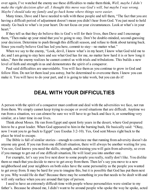over again, I've watched the enemy use these difficulties to make them think, *Well, maybe I didn't make the right decision after all. I thought this move was God's will, but maybe I was wrong. Maybe I should take my family and go back home where things were easier.*

Many times, Dave and I have needed to talk with these people and tell them, "The fact that you are having a difficult period of adjustment doesn't mean you didn't hear from God. You just need to hold steady. Go back to what's in your heart. Do not focus on your circumstances. Look at what's in your heart."

If they tell us that they do believe this is God's will for their lives, then Dave and I encourage them, "Then make up your mind that you're going to stay. Don't be double-minded, second-guessing your decision. Determine to push through this difficult season, and refuse to think about turning back. Since you really believe God has led you here, commit to stay—no matter what."

When we say to the enemy, "Look, devil, I know what's in my heart; I know what God told me to do; and I am going to stay here and see what God has for me, no matter how hard it is or how long it takes," then the enemy realizes he cannot control us with trials and tribulations. This builds a new level of faith and strength in us and demonstrates the spirit of a conqueror.

Paul said difficulties are unavoidable. You will face them as you continue to grow in God and follow Him. Do not let them lead you astray, but be determined to overcome them. I know you can make it. You will have to do your part, and it is going to take work, but you can do it!

## **DEAL WITH YOUR DIFFICULTIES**

A person with the spirit of a conqueror must confront and deal with the adversities we face, not run from them. We simply cannot keep trying to escape or avoid situations that are difficult. Anytime we run from a situation, we can almost be sure we will have to go back and face it, or something very similar, at a later time in our lives.

Think about Moses. He ran from Egypt and spent forty years in the desert, where God prepared him to be a great leader. When God appeared to him in the burning bush, He basically said: "Okay, now I want you to go back to Egypt" (see Exodus 3:2-10). Yes, God sent Moses right back to the place he tried to escape.

The Bible is full of similar stories—enough to convince me that running from adversity doesn't do anyone any good. If you run from one difficult situation, there will always be another waiting for you. You see, God knows you need the skills, strength, and training you will gain from adversity, so even if you manage to get out of one difficult situation, He will lead you into another one.

For example, let's say you live next door to some people you really, really don't like. You dislike them so much that you decide to move to get away from them. Then let's say you move to a new neighborhood and your neighbors on both sides have the same personality as the people you wanted to get away from. It may be hard for you to imagine this, but it is possible that God has put them next to you. Why would He do that? Because there may be something in you that needs to be dealt with and will only surface when you are around that type of person.

I used to have an extremely difficult time with people whose personalities were similar to my father's. Because he abused me, I didn't want to be around people who spoke the way he spoke, acted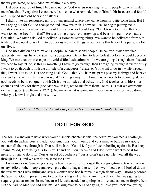the way he acted, or reminded me of him in any way.

But over a period of time I began to notice God was surrounding me with people who reminded me of my dad. Every time I encountered someone who reminded me of him, I felt insecure and fearful, and I slipped into old behavior patterns.

I didn't like my responses, nor did I understand where they came from for quite some time. But I was crying out for God to change me and show me truth. I now realize He began putting me in situations where my weaknesses would be evident so I could say: "Oh. Okay, God, I see that You want to set me free from that!" He was trying to get me to grow up and be a stronger, more mature Christian. We often ask God to deliver us from the wrong things. We want to be delivered from our trials, but we need to ask Him to deliver us from the things in our hearts that hinder His purposes for our lives.

God uses difficulties to make us people He can trust and people He can use. When we face adversity, we must have the spirit of a conqueror. David had to face Goliath before he could become king. We must not try to escape or avoid difficult situations while we are going through them. Instead, we need to say, "God, if this is something I have to go through, then I am going through it victoriously. I want to go through it with the attitude of a conqueror. Whatever You want to do in my life through this, I want You to do. But one thing I ask, God—that You help me press past my feelings and behave in a godly manner all the way through it." Getting away from trouble never needs to be our goal; our goal needs to be to conquer it with Christlike attitudes and behaviors. God teaches us to bless our enemies and pray for them (see Matthew 5:44), not to run from them. He tells us that we overcome evil with good (see Romans 12:21). No matter what is going on in your circumstances, keep doing what you know is right and you will win!

*God uses dif iculties to make us people He can trust and people He can use.*

## **DO IT FOR GOD**

The goal I want you to have when you finish this chapter is this: the next time you face a challenge, you will discipline your attitude, your emotions, your mouth, and your mind to behave in a godly manner all the way through it. That will be hard. You'll feel your flesh rebelling against it. But keep saying, "God, I am doing this for You. I can't do it on my own and I don't even want to do it for myself. I want to do it for You as an act of obedience." Jesus didn't give up. He went all the way through for us, and we can do the same for Him!

I remember one Sunday years ago when my pastor encouraged the congregation to take a moment to say hello to other people and even give them a hug and to tell them we loved them. I looked down the row where I was sitting and saw a woman who had hurt me in a significant way. I strongly sensed the Spirit of God impressing me to give her a hug and let her know I loved her. That was going to require great surrender for me because I felt she needed to apologize to me and ask me to forgive her. But she had no idea she had hurt me! Walking over to her and saying, "I love you" took everything I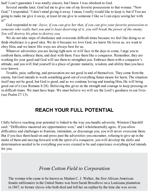had! I can't guarantee I was totally sincere, but I know I was obedient to God.

Several months later, God led me to give one of my favorite possessions to that woman. "Now God," I responded, "I don't mind giving it away. I mean, I really would like to keep it, but if You are going to make me give it away, at least let me give to someone I like so I can enjoy seeing her with it!"

God responded to me: *Joyce, if you can give her that, if you can give your favorite possession to* someone who really hurt you and is least deserving of it, you will break the power of the enemy. *You will destroy his plan to destroy you.*

We do not take steps of obedience and overcome difficult times because we feel like doing so or think obedience is a good idea. We do it because we love God, we know He loves us, we want to obey Him, and we know His ways are always best for us.

Whatever adversities you are facing right now or will face in the days to come, I urge you to confront them, embrace them, and deal with them. Face them like a conqueror. Remember, they are working for your good and God will use them to strengthen you. Embrace them with a conqueror's attitude, and you will find yourself in a place of greater maturity, wisdom, and ability than you have ever known.

Trouble, pain, suffering, and persecution are not good in and of themselves. They come from the enemy, but God intends to work something good out of everything Satan means for harm. The situation itself may not be good, but God is good; and as we continue loving and trusting Him, He will bring good out of it (see Romans 8:28). Believing this gives us the strength and courage to keep pressing on in difficult times. We must have hope. We must believe we will see the Lord's goodness in our lives (see Psalm 27:13).

# **REACH YOUR FULL POTENTIAL**

I fully believe reaching your potential is linked to the way you handle adversity. Winston Churchill said: "Difficulties mastered are opportunities won," and I wholeheartedly agree. If you allow difficulties and challenges to frustrate, intimidate, or discourage you, you will never overcome them. But if you face them head-on and press past the adversities you encounter, refusing to give up in the midst of them and moving forward with the spirit of a conqueror, you will develop the skills and determination needed to be everything you were created to be and experience everything God intends for you.

## *From Cotton Field to Corporation*

The woman who came to be known as Madam C. J. Walker, the first African American female millionaire in the United States was born Sarah Breedlove on a Louisiana plantation in 1867, to former slaves who both died and left her an orphan by the time she was seven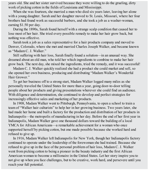years old. She and her sister survived because they were willing to do the grueling, dirty work of picking cotton in the fields of Louisiana and Mississippi.

When she was fourteen, she married a man who died six years later, leaving her alone with a young daughter. Sarah and her daughter moved to St. Louis, Missouri, where her four brothers had found work as successful barbers, and she took a job as a washer-woman, earning \$1.50 per day.

During the 1890s, Sarah found herself with a strange scalp condition that caused her to lose most of her hair. She tried every possible remedy to make her hair grow back, but nothing was effective.

Sarah took a job as a sales representative for a hair products company and moved to Denver, Colorado, where she met and married Charles Joseph Walker, and became known as "Madam C. J. Walker."

Still suffering with hair loss, Sarah finally found a solution—in an unusual way. She dreamed about an old man, who told her which ingredients to combine to make her hair grow back. The next day, she mixed the ingredients, tried the remedy, and it was successful!

Madam C. J. Walker quickly realized she had a product she could market and sell, so she opened her own business, producing and distributing "Madam Walker's Wonderful Hair Grower."

To get her business off to a strong start, Madam Walker logged many miles as she personally traveled the United States for more than a year, going door-to-door telling people about her products and giving presentations wherever she could find an audience. With diligence and determination, she continued to develop and perfect strategies for increasingly effective sales and marketing of her products.

In 1908, Madam Walker went to Pittsburgh, Pennsylvania, to open a school to train a team of "Walker hair culturists" to help her in her growing business. Two years later, she had made her home and built a factory for the production and distribution of her products in Indianapolis—the metropolis of manufacturing in her day. Before the end of her first year in Indianapolis, Madam Walker gave one thousand dollars toward the building of a local YMCA for African Americans—a remarkable achievement for a woman who once supported herself by picking cotton, but one made possible because she worked hard and refused to give up.

In 1916, Madam Walker left Indianapolis for New York, though her Indianapolis factory continued to operate under the leadership of the forewoman she had trained. Because she refused to give up in the face of the personal problem of hair loss, Madam C. J. Walker went from picking cotton to being a pioneer in the beauty industry and the first African American woman to become a millionaire in the United States. Let her story inspire you to not give up when you face challenges, but to be creative, work hard, and persevere until you reach your full potential.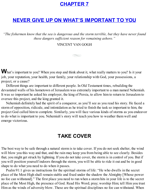## **[CHAPTER](#page-2-2) 7**

# **NEVER GIVE UP ON WHAT'S [IMPORTANT](#page-2-2) TO YOU**

*"The fishermen know that the sea is dangerous and the storm terrible, but they have never found these dangers sufficient reason for remaining ashore.*"

#### VINCENT VAN GOGH

**4300** 

What's important to you? When you stop and think about it, what really matters to you? Is it your job, your reputation, your health, your family, your relationship with God, your possessions, a project, or a cause?

Different things are important to different people. In Old Testament times, rebuilding the devastated walls of his hometown of Jerusalem was extremely important to a man named Nehemiah. It was so important he asked his employer, the king of Persia, to allow him to return to Jerusalem to oversee this project, and the king granted it.

Nehemiah definitely had the spirit of a conqueror, as you'll see as you read his story. He faced a storm of opposition, ridicule, and intimidation as he tried to finish the task so important to him, the project God called him to complete. Similarly, you will face various kinds of storms as you endeavor to do what is important to you. Nehemiah's story will teach you how to weather them well and emerge victorious.

## **TAKE COVER**

The best way to be safe through a natural storm is to take cover. If you do not seek shelter, the wind will blow you this way and that, and the rain may keep you from being able to see clearly. Besides that, you might get struck by lightning. If you do not take cover, the storm is in control of you. But if you will position yourself indoors through the storm, you will be able to ride it out and be in good shape to do what you need to do when it passes.

Psalm 91:1 gives us instructions for the spiritual storms of life: "He who dwells in the secret place of the Most High shall remain stable and fixed under the shadow the Almighty [Whose power no foe can withstand]." The first place you need to run when a storm hits in your life is to the secret place of the Most High, the presence of God. Read His Word; pray; worship Him; tell Him you trust Him as the winds of adversity blow. These are the spiritual disciplines no foe can withstand. When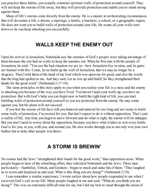you practice these habits, you actually construct spiritual walls of protection around yourself. They will not keep the storms of life away, but they will provide protection and enable you to stand strong against them.

Many of life's storms come directly from the enemy. He is a master at orchestrating circumstances that will devastate a life, a dream, a marriage, a family, a business, a school, or a geographic region. He does not want you to build walls of protection around your life. He wants all your walls torn down so he can keep attacking you successfully.

# **WALLS KEEP THE ENEMY OUT**

Upon his arrival in Jerusalem, Nehemiah saw the enemies of God's people were taking advantage of them because the city had no walls to keep the enemies out. When he first met with the people of Jerusalem, he said: "You see the bad situation we are in—how Jerusalem lies in ruins, and its gates are burned with fire. Come, let us build up the wall of Jerusalem, that we may no longer be a disgrace. Then I told them of the hand of my God which was upon me for good, and also the words that the king had spoken to me. And they said, Let us rise up and build! So they strengthened their hands for the good work" (Nehemiah 2:17-18).

The same principles in this story apply to you when you realize your life is a mess and the enemy is attacking you because of the way you have lived. You haven't kept your walls up; you have no protection. But with God's help you can begin now to build the right kind of life; you can start building walls of protection around yourself so you are protected from the enemy. He may come against you, but his plans will not succeed.

If you feel the storms of life have left you battered and tattered for too long and are ready to build some walls of protection, I'm excited for you. But don't expect to do it without opposition. That's just a reality of life. Any time you begin to move forward and do what is right, the enemy will be unhappy. But you don't need to worry about the opposition, because you have what it takes to win every battle. God is for you, in you, with you, and around you. He also works through you to not only win your own battles but to help other people win theirs.

# **A STORM IS BREWIN'**

No sooner had the Jews "strengthened their hands for the good work," than opposition arose. When people began to hear of the rebuilding effort, they ridiculed Nehemiah and the Jews. Three men particularly—Sanballat, Tobiah, and Geshem—began to mock and make fun of them. "They laughed us to scorn and despised us and said, What is this thing you are doing?" (Nehemiah 2:19).

I can remember a similar experience. I wrote earlier about how people responded to me when I received God's call on my life. Many people laughed at me and said, "What do you think you are doing?" This was an extremely difficult time for me, but I did my best to stand through the storm of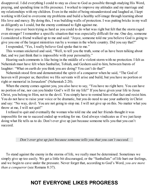disapproval. I did everything I could to stay as close to God as possible through studying His Word, praying, and spending time in His presence. I worked to improve my attitudes and my marriage and my relationships with my children. Even in the midst of being misunderstood and laughed at, I kept working with God to overcome my problems and build a healthy self-image through learning about His love and mercy. By doing this, I was building walls of protection. I was putting bricks in my wall as diligently as I could, but the enemy continued to fight against me.

Have you ever been trying as hard as you could to do what was right but felt that the storm raged even stronger? I remember a specific situation that was especially difficult for me. One day, someone I considered a friend walked up to me and said: "Joyce, someone told me you believe God is going to give you one of the largest ministries run by a woman in the whole country. Did you say that?"

I responded, "Yes, I really believe God spoke that to me."

This woman snickered and said, "Well, to tell you the truth, some of us have been talking about that, and we just think that is impossible with your personality."

Hearing such comments is like being in the middle of a violent storm with no protection. I felt as Nehemiah must have felt when Sanballat, Tobiah, and Geshem said to him, between bursts of laughter: "What on earth do you think you are doing? You can't do that!"

Nehemiah stood firm and demonstrated the spirit of a conqueror when he said, "The God of heaven will prosper us; therefore we His servants will arise and build, but you have no portion or right or memorial in Jerusalem" (Nehemiah 2:20).

When the enemy comes against you, you also have to say, "You have no right here. You can have no portion of me, nor can you hinder God's will for my life!" If you have given your life to Jesus Christ, you belong to Him, not to the devil. You simply have to remind him of that fact and resist him. You do not have to raise your voice or be dramatic, but you do need to use your authority in Christ and say: "No way, devil. You are not going to stop me. I will not give up on this. No matter what you throw at me, I will not quit!"

I refused to quit and eventually the woman who told me she and her friends thought it was impossible for me to succeed ended up working for me. God always vindicates us if we just keep doing what He tells us to do. Don't ever give up just because someone tells you that you can't succeed.

*Don't ever give up just because someone tells you that you can't succeed.*

To stand against the enemy in the storms of life, we really must be determined. Sometimes we simply give up too easily. We get a little bit discouraged, or the "Sanballats" of life hurt our feelings, and we begin to cave under the pressure. Never forget that, according to God's Word, *you are more than a conqueror* (see Romans 8:37).

# **NOT EVERYONE LIKES PROGRESS**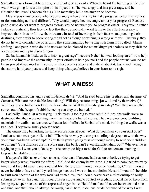Sanballat was a formidable enemy; he did not give up easily. When he heard the building of the city walls was going forward in spite of his objections, "he was angry and in a great rage, and he ridiculed the Jews" (Nehemiah 4:1). The more they built, the angrier he became.

Maybe you know people who become angry when others try to make progress, better themselves, or do something new and different. Why would people become angry about your progress? Because people who do not want to progress themselves do not want you to progress either. They would rather judge you critically than face the fact that they do not really want to make the effort necessary to improve their lives or follow their dreams. Instead of investing in their futures and pursuing their destinies, they prefer to become angry and act as though something is wrong with you. That way, they do not have to consider the possibility that something may be wrong with them. It is called "blame shifting," and people who do it do not want to be blamed for not making right choices so they shift the focus to you and try to discredit you.

Sanballat and his buddies flew into "a great rage" because Nehemiah was leading an effort to help people and improve the community. In your efforts to help yourself and the people around you, do not be surprised if you meet with someone who becomes angry and critical about it. Just stand through that storm; hold your peace; and keep doing what you believe in your heart to be right.

### **WHAT A MESS!**

Sanballat continued his angry rant in Nehemiah 4:2: "And he said before his brethren and the army of Samaria, What are these feeble Jews doing? Will they restore things [at will and by themselves]? Will they *ftry* to bribe their God] with sacrifices? Will they finish up in a day? Will they revive the stones out of the heaps of rubbish, seeing that they are burned?"

Basically, Sanballat was saying, "This mess is too big to ever rebuild!" Yes, the walls were so destroyed that they were nothing more than heaps of charred stones. They were not good building materials for walls—at least not without a lot of effort. In Sanballat's mind, building the walls was a bad idea. They were simply too far gone.

The enemy may be hurling the same accusations at you: "What do you mean you can start over? Look at what a mess your life is in!" "There is no way you can get a college degree, not with the way your mind has been messed up!" "You think you're going to save enough money to send your children to college? Your finances are in such a mess the bank can't even straighten them out!" Whatever he is saying to you, I want you to know you are never too big a mess for God to redeem and nothing is beyond His ability to restore.

If anyone's life has ever been a mess, mine was. If anyone had reason to believe trying to get better simply wasn't worth the effort, I did. And the enemy knew it too. He tried to convince me many times that I would never have a normal life. He told me I would never be "quite right," that I would never be able to have a healthy self-image because I was an incest victim. He said I wouldn't be able to trust men because of the way men had treated me, that I could never have a relationship of godly submission to my husband; that I could never stop trying to control everything around me or keep from losing my temper because of the repressed anger in me. He told me I could never be sweet and nice and kind, and that I would always be rough, harsh, hard, rude, and crude because of the way I was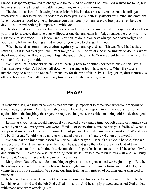raised. I desperately wanted to change and be the kind of woman I believe God wanted me to be, but I had to stand strong through the battle raging in my mind and emotions.

The devil is a liar; it's that simple (see John 8:44). He does not tell you the truth; he tells you whatever he wants to tell you in order to destroy you. He relentlessly attacks your mind and emotions. When you are tempted to give up because you think your problems are too big, just remember, the devil is a liar and nothing is impossible with God!

The devil hates all progress. Even if you commit to lose a certain amount of weight and do well on your diet for a week, then lose your willpower one day and eat a hot fudge sundae, the enemy will be right there to say: "See? This is too hard. You cannot do it. You have always been overweight and your eating habits are too ingrained in you for you to try to change them now!"

When he sends a storm of accusations against you, stand up and say: "Listen, *liar!* I had a little setback, but it is not over yet! I will meet my goals. I will do what God is calling me to do. It *is* worth the effort, and you will not stop me!" Fight the good fight of faith. You are a soldier in the army of the God, and He is on your side.

We may all have setbacks when we are learning how to do things correctly, but we can have a fresh start every day. All babies fall down while trying to learn how to walk. When they take a tumble, they do not just lie on the floor and cry for the rest of their lives. They get up, dust themselves off, and try again! No matter how many times they fall, they never give up.

#### **PRAY!**

In Nehemiah 4:4, we find three words that are vitally important to remember when we are trying to stand through a storm: "And Nehemiah prayed." How did he respond to all the attacks that came against him—the laughing, the anger, the rage, the judgment, the criticism, being told his desired goal was impossible? He prayed!

Let me ask you: What would happen if you prayed every single time you felt afraid or intimidated? What if you prayed every time you were offended, or every time someone hurt your feelings? What if you prayed immediately every time some kind of judgment or criticism came against you? Would your life be different? Would you be able to withstand those storms better? Of course you would.

We can learn an important lesson from Nehemiah's prayer: "Hear, O our God," he said, "for we are despised. Turn their taunts upon their own heads, and give them for a prey in a land of their captivity" (Nehemiah 4:4). Notice that Nehemiah didn't go after his enemies himself; he asked *God* to deal with them. His attitude was, "I'm doing Your will! You told me to build this wall and I am busy building it. You will have to take care of my enemies!"

Many times God tells us to do something or gives us an assignment and we begin doing it. But then the enemy comes against us, and when we turn to fight him, we turn away from God. Suddenly, the enemy has all of our attention. We spend our time fighting him instead of praying and asking God to intervene.

Nehemiah knew better than to let his enemies command his focus. He was aware of them, but he kept his eyes on God and the job God called him to do. And he simply prayed and asked God to deal with those who were attacking him.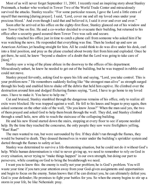Most of us will never forget September 11, 2001. I recently read an inspiring story about Stanley Praimnath, a banker who worked in Tower Two of the World Trade Center and miraculously survived the attacks. Stanley recalls: "For some particular reason, I gave the Lord a little extra of myself that morning [during prayer]. I said, 'Lord, cover me and all my loved ones under your precious blood.' And even though I said that and believed it, I said it over and over and over."

Soon after he arrived at his office on the eighty-first floor, Stanley glanced out of his window and saw Tower One on fire. He and a co-worker decided to evacuate their building, but returned to his office after a security guard assured them Tower Two was safe and secure.

Stanley reached his office just in time to catch a phone call from someone who asked him if he was watching the news. He responded that everything was fine. Then he looked up and saw an American Airlines jet heading straight for him. All he could think to do was dive under his desk, curl into a fetal position, and pray as the plane crashed about twenty feet from him and exploded. Once he got there, he said, he knew "beyond a shadow of a doubt that the Lord was going to take care of [him]."

Stanley saw a wing of the plane ablaze in the doorway to the offices of his department. Miraculously unhurt, he knew he needed to get out of the building, but he was trapped in rubble and could not move.

Stanley prayed fervently, asking God to spare his life and saying, "Lord, you take control. This is your problem now." He remembers suddenly feeling like "the strongest man alive" as strength surged through his body and enabled him to shake off the debris that held him captive. He climbed over the destruction around him and dodged flickering flames saying, "Lord, I have to go home to my loved ones. I have to make it. You have to help me."

Cut and bruised, Stanley stumbled through the dangerous remains of his office, only to realize all exits were blocked. He was trapped against a wall. He fell to his knees and began to pray again, then asked someone on the other side of the wall, "Do you know Jesus?" When the man said yes, the two of them prayed and asked God to help them break through the wall. They did, and Stanley climbed through a small hole, now able to reach the staircase of the collapsing building.

He and his new friend started down the stairs, stopping at every floor to see if anyone needed help. By the time they reached the concourse, the only people they saw were firefighters yelling, "Run! Run!"

The men wanted to run, but were surrounded by fire. If they didn't run through the flames, they would be burned to death. They doused themselves in water under the building's sprinkler system and darted through the flames to safety at last.

Stanley was determined to survive a life-threatening situation, but he could not do it without God's help. While human determination is vital to never giving up, we need to remember to rely on God in every situation, never trying to "make things happen" in our own strength, but doing our part to persevere, while counting on God to bring the breakthrough we need.

I want you to know this: the enemy is really not your problem; he is God's problem. You will waste your time if you turn your attention away from your God-given assignments and opportunities and begin to focus on the enemy. Satan knows that if he can distract you, he can ultimately defeat you. God is your defender; He promises to fight your battles for you. So when the enemy begins to stir up a storm in your life, be like Nehemiah: pray.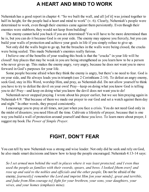# **A HEART AND MIND TO WORK**

Nehemiah has a good report in chapter 4: "So we built the wall, and all [of it] was joined together to half its height, for the people had a heart and mind to work" (v. 6). Clearly, Nehemiah's people were determined to work, even though their enemies came against them persistently. Even though their enemies were stubborn, they would not keep from building!

The enemy cannot hold you back if you are determined! You will have to be more determined than he is, but you can do it because God is on your side. The enemy may oppose you fiercely, but you can build your walls of protection and achieve your goals in life if you simply refuse to give up.

Not only did the walls begin to go up, but the breaches in the walls were being closed, the cracks were being sealed. This made Nehemiah's enemies really furious.

I believe one of the benefits of your reading this book is that the "cracks" in your life will be closed! Any places that may be weak in you are being strengthened as you learn how to be a person who never gives up. This makes the enemy angry, very angry, because he does not want you to move forward in God's purposes for your life.

Some people become afraid when they think the enemy is angry, but there's no need to fear. God is on your side, and He always leads you in triumph (see 2 Corinthians 2:14). To defeat an angry enemy, seek God, stay in His Word, worship Him, and pray, as Nehemiah did. Do not allow yourself to think you have to try to defeat the devil on your own! Pray—keep on doing what you know God is telling you to do! Pray—and keep on doing what you know the devil does not want you to do!

Nehemiah never stopped praying. I wrote about his prayer earlier, but we see him praying again in Nehemiah 4:9: "But because of them we made our prayer to our God and set a watch against them day and night." In other words, they prayed consistently.

I encourage you to pray at all times, not just when you face a crisis. You do not need God only in the midst of disasters; you need Him all the time. Cultivate a lifestyle of prayer, because that is one way you build a wall of protection around yourself and those you love. To learn more about prayer, I suggest my book *The Power of Simple Prayer.*

# **FIGHT, DON'T FEAR**

You can tell by now Nehemiah was a strong and wise leader. Not only did he seek and rely on God, he also made smart decisions and knew how to keep the people encouraged. Nehemiah 4:13-14 says:

*So I set armed men behind the wall in places where it was least protected; and I even thus used the people as families with their swords, spears, and bows. I looked [them over] and rose up and said to the nobles and of icials and the other people,* Do not be afraid of the enemy; *[earnestly] remember the Lord and imprint Him [on your minds], great and terrible, and [take from Him courage to] fight for your brethren, your sons, your daughters, your wives, and your homes (emphasis mine).*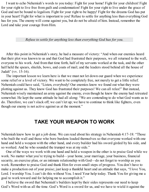I want to echo Nehemiah's words to you today: Fight for your home! Fight for your children! Fight for your right to live free from guilt and condemnation! Fight for your right to live under the grace of God and not be bound to legalism. Fight for your right to be happy! Fight for the dreams God has put in your heart! Fight for what is important to you! Refuse to settle for anything less than everything God has for you. The enemy will come against you, but do not be afraid of him. Instead, remember the Lord and take your courage from Him.

*Refuse to settle for anything less than everything God has for you.*

After this point in Nehemiah's story, he had a measure of victory: "And when our enemies heard that their plot was known to us and that God had frustrated their purposes, we all returned to the wall, everyone to his work. And from that time forth, half of my servants worked at the task, and the other half held the spears, shields, bows, and coats of mail; and the leaders stood behind all the house of Judah" (vv. 15-16).

The important lesson we learn here is that we must not let down our guard when we experience some relief or a level of victory. We want to be completely free, not merely to get a little relief. Nehemiah could have said, "Listen, everybody! Our enemies know we found out what they were plotting against us. They know God has frustrated their purposes! We can all relax!" But instead, Nehemiah wisely maintained an army against the enemy, even though he knew the enemy had retreated somewhat. He kept the same attitude he had all along: "We are contending to do what God wants us to do. Therefore, we can't slack off; we can't let up; we have to continue to think like fighters, even though our enemy is not active against us at the moment."

## **TAKE YOUR WEAPON TO WORK**

Nehemiah knew how to get a job done. We can read about his strategy in Nehemiah 4:17-18: "Those who built the wall and those who bore burdens loaded themselves so that everyone worked with one hand and held a weapon with the other hand, and every builder had his sword girded by his side, and so worked. And he who sounded the trumpet was at my side."

One of the ways we work with one hand and hold a weapon in the other is to praise God while we work. No matter what you're trying to build—your home, your marriage, your business, financial security, an exercise plan, or an intimate relationship with God—do not forget to worship as you work. Remember to praise God and thank Him for even small steps of progress. You don't have to make a production out of your praise; just keep a thankful heart and an attitude that says, "I love You, Lord. I worship You. I can't do this without You. I need Your help today. Thank You for giving me a goal to work toward and for helping me to accomplish it."

I believe the sword that Nehemiah's builders kept by their sides represents our need to keep God's Word with us all the time. God's Word is a sword for us, and we have to wield it against the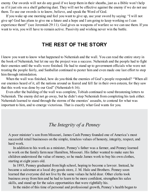enemy. Our swords will not do any good if we keep them in their sheaths, just as a Bible won't help us if it just sits on a shelf gathering dust. They will not be effective against the enemy if we do not use them. To use our swords is to know, believe, and speak the Word of God.

If you wake up one morning and feel you want to give up, use your sword by saying: "I will not give up! God has plans to give me a future and a hope and I am going to keep working so I can experience them!" (see Jeremiah 29:11). God gives us weapons of warfare so we can use them. If you want to win, you will have to remain active. Passivity and wishing never win the battle.

# **THE REST OF THE STORY**

I know you want to know what happened to Nehemiah and the wall. You can read the entire story in the book of Nehemiah, but let me say the project was a success. Nehemiah and the people had to fight their enemies until the walls were finished. He had to stand up to government officials who were not treating the people fairly, and Sanballat continued to pester him and even made one last effort to stop him through intimidation.

When the wall was finished, how do you think the enemies of God's people responded? "When all our enemies heard of it, all the nations around us feared and fell far in their own esteem, for they saw that this work was done by our God" (Nehemiah 6:16).

Even after the building of the wall was complete, Tobiah continued to send threatening letters to Nehemiah. The enemy did not go away, but he didn't stop Nehemiah from completing his task either. Nehemiah learned to stand through the storms of the enemies' assaults, to contend for what was important to him, and to emerge victorious. That is exactly what God wants for you.

## *The Integrity of a Penney*

A poor minister's son from Missouri, James Cash Penney founded one of America's most successful retail businesses on the simple, timeless values of honesty, integrity, respect, and hard work.

In addition to his work as a minister, Penney's father was a farmer, and Penney learned to work on the family farm near Hamilton, Missouri. His father wanted to make sure his children understood the value of money, so he made James work to buy his own clothes, starting at eight years old.

In 1893, Penney graduated from high school, hoping to become a lawyer. Instead, he became a salesman at a local dry goods store, J. M. Hale and Brothers. Penney soon learned that everyone did not live by the same values he held dear. Other clerks took business away from him and he had to learn to be more confident, strengthen his sales skills, and stand up for the sales opportunities that were rightfully his.

In the midst of this time of personal and professional growth, Penney's health began to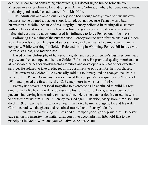decline. In danger of contracting tuberculosis, his doctor urged him to relocate from Missouri to a drier climate. He ended up in Denver, Colorado, where he found employment in the dry goods trade he had learned from Mr. Hale.

The industrious and ambitious Penney soon had enough money saved to start his own business, so he opened a butcher shop. It failed, but not because Penney was a bad businessman; it failed because of his integrity. Penney believed in treating all customers with kindness and respect, and when he refused to grant special treatment to a certain influential customer, that customer used his influence to force Penney out of business.

Following the closing of the butcher shop, Penney went to work for the chain of Golden Rule dry goods stores. He enjoyed success there, and eventually became a partner in the company. While working for Golden Rule and living in Wyoming, Penney fell in love with Berta Alva Hess, and married her.

Based on his philosophy of honesty, integrity, and respect, Penney's business continued to grow and he soon opened his own Golden Rule store. He provided quality merchandise at reasonable prices for working-class families and developed a reputation for excellent service. He refused to take credit, requiring customers to pay cash for their purchases.

The owners of Golden Rule eventually sold out to Penney and he changed the chain's name to J. C. Penney Company. Penney moved the company's headquarters to New York in 1914 and opened the first official J. C. Penney store in Missouri in 1918.

Penney had several personal tragedies to overcome as he continued to build his retail empire. In 1910, he suffered the devastating loss of his wife, Berta, who succumbed to pneumonia, leaving him to raise two sons alone. He wrote that her death caused his world to "crash" around him. In 1919, Penney married again. His wife, Mary, bore him a son, but died in 1923, leaving him a widower again. In 1926, he married again. He and his wife, Caroline, had two daughters and remained married until Penney's death.

J. C. Penney built a thriving business and a life upon good, godly principles. He never gave up on his integrity. No matter what you try to accomplish in life, hold fast to the principles in God's Word and you will always be successful.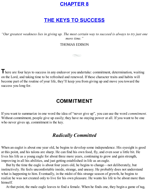### **[CHAPTER](#page-2-0) 8**

# **THE KEYS TO [SUCCESS](#page-2-0)**

"Our greatest weakness lies in giving up. The most certain way to succeed is always to try just one *more time."*

#### THOMAS EDISON

**4320** 

**T**here are four keys to success in any endeavor you undertake: commitment, determination, waiting on the Lord, and taking time to be refreshed and renewed. If these character traits and habits will become part of the routine of your life, they'll keep you from giving up and move you toward the success you long for.

# **COMMITMENT**

If you want to summarize in one word the idea of "never give up", you can use the word *commitment.* Without commitment, people give up easily; they have no staying power at all. If you want to be one who never gives up, commitment is the key.

#### *Radically Committed*

When an eaglet is about one year old, he begins to develop some independence. His eyesight is good at this point, and his talons are sharp. He can find his own food, fly, and even soar a little bit. He lives his life as a young eagle for about three more years, continuing to grow and gain strength, improving in all his abilities, and just getting established in life as an eagle.

But by the time the eagle is about four years old, he begins to change—not deliberately, but instinctively. He feels uncomfortable inside, strange, and uneasy. He probably does not understand what is happening to him. Eventually, in the midst of this strange season of growth, he begins to realize he was not created only to live for his own pleasure. He wants his life to be about more than himself.

At that point, the male eagle leaves to find a female. When he finds one, they begin a game of tag,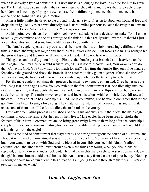which is actually a type of courtship. His uneasiness is a longing for love! It is time for him to grow up. The female eagle soars high in the sky in a figure-eight pattern and makes the male eagle chase her. Now he is no longer flying his own course; he is following someone else—someone who appears to be going in a strange direction.

After a little while she dives to the ground, picks up a twig, flies up to about ten thousand feet, and drops the twig. He dives at approximately two hundred miles per hour to catch the twig in midair and takes it back to her. What is her response? She ignores him.

At this point, even though he probably feels very insulted, he has a decision to make: "Am I going to really get committed and see this through to the finish? Is this really what I want? Or should I just forget about this and find something a little easier to do with my time?"

The female eagle repeats this process, and she makes the male's job increasingly difficult. Each time she flies, the twig gets larger and she flies at a lower altitude. That means the twig is going to hit the ground faster, and the male will have to work harder if he wants to win her over.

This game can literally go on for days. Finally, the female gets a branch that is heavier than the male eagle. I can imagine he would want to say, "This is not fair! Now, God, You *know* I can't do that! Come on, God, You *know* that is too much for me!" This time the female flies only five hundred feet above the ground and drops the branch. If he catches it, they go on together. If not, she flies off and leaves him; she has decided to wait for a male eagle who has the tenacity to be her man.

For the male eagle to continue this process, he must be extremely committed. Once he passes the final twig test, both eagles move from courtship to the final commitment test. She flies high into the sky; he chases her; and suddenly she makes an odd move. In midair, she flips over on her back and sticks her talons up. The male moves over her and locks his talons with hers while they fall toward the earth. At this point he has made up his mind. He is committed, and he would die rather than let her go. Now they begin to sing a love song. They mate for life. Neither of them ever has another mate unless one of them dies. If the female dies, the male raises the young.

Even after the mating process is finished and she is his and they are in their nest, the male eagle continues to court the female for the rest of their lives. Male eagles have been seen to stroke the feathers of their female companions and to bring green twigs home to them long after the courtship is complete. If you are a woman reading this, you are probably wishing every man on earth would learn a few things from the eagle!

This is the kind of commitment that stays steady and strong throughout the course of a lifetime, and I hope it is the kind of commitment you will develop in your life. You may not have it down perfectly, but if you want to move on with God and be blessed in your life, you need this kind of radical commitment—the kind that follows through even when times are tough, when you feel alone or rejected, or when circumstances look bad. Think of the mighty male eagle who stays committed, even though his commitment could cost him his life. And learn to say from the core of your being, "Nothing is going to shake my commitment in this situation. I am going to see it through to the finish. *I will not give up,* no matter what."

### *God, the Eagle, and You*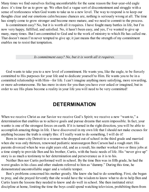Many times we find ourselves feeling uncomfortable for the same reason the four-year-old eagle does: it's time for us to grow up. We often feel a vague sort of discontentment and struggle with a sense of restlessness when God wants to take us to a new level. The way to respond is to keep our thoughts clear and our emotions calm because chances are, nothing is seriously wrong at all. The time has simply come to grow stronger and become more mature, and we need to commit to the process.

Is commitment easy? No, but it is worth all it requires. I have fought many battles in life, but I'm now very happy, fulfilled, and satisfied. No, it hasn't been easy, and yes, I've wanted to give up many, many times. But I am committed to God and to the work of ministry to which He has called me. That doesn't mean I'm never tempted to give up; it just means that the strength of my commitment enables me to resist that temptation.

#### *Is commitment easy? No, but it is worth all it requires.*

God wants to take you to a new level of commitment. He wants you, like the eagle, to be fiercely committed to His purposes for your life and to dedicate yourself to Him. He wants you to be in a committed relationship with Him—for life. I can't imagine anything more satisfying, more rewarding, or more adventuresome. He has more in store for you than you have ever asked or imagined, but in order to see His plans become a reality in your life you will need to be very committed!

# **DETERMINATION**

When we receive Christ as our Savior we receive God's Spirit; we receive a new "want-to," a determination that enables us to achieve goals and pursue dreams that seem impossible. In fact, your wantto is one of the strongest forces on earth. If it is turned in the right direction, you will be able to accomplish amazing things in life. I have discovered in my own life that I should not make excuses for anything because the truth is simply this: if I really want to do something, I will do it!

Born in inner-city Detroit to a woman who dropped out of school in the third grade and married when she was only thirteen, renowned pediatric neurosurgeon Ben Carson had a rough start. His parents divorced when he was eight years old, and as a result, his mother worked two or three jobs at a time simply to provide Ben and his brother, Curtis, with the basic needs of life. His "never give up" story is as much a testimony to her determination and perseverance as it is to his.

Neither Ben nor Curtis performed well in school. By the time Ben was in fifth grade, he had the worst grades in his class and other students referred to him as "dummy." During this time, he demonstrated uncontrollable anger and a volatile temper.

Ben's problems concerned his mother greatly. She knew she had to do something. First, she began to pray, and she prayed fervently that she would have the wisdom to know what to do to help Ben and Curtis learn the lessons they needed to know and do well in school. She then instituted strict discipline at home, limiting the time the boys could spend watching television, prohibiting them from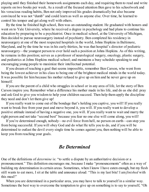playing until they finished their homework assignments each day, and requiring them to read and write reports on two books per week. As a result of the focused attention Ben gave to his schoolwork and his voracious reading habits, Ben not only improved his grades dramatically but also became convinced he was not "dumb" and could learn as well as anyone else. Over time, he learned to control his temper and get along well with others.

By the time he finished high school, Ben was an outstanding student. He graduated with honors and went on to Yale University, where he received a degree in psychology and had plans to continue his education by preparing to be a psychiatrist. Once in medical school, at the University of Michigan, Ben decided to pursue neurosurgery instead of psychiatry. Ben completed his residency in neurosurgery at one of the most respected hospitals in the world, Johns Hopkins in Baltimore, Maryland, and by the time he was in his early thirties, he was that hospital's director of pediatric neurosurgery—the youngest person to ever hold such a position at Johns Hopkins. As of this writing, he remains in this position; serves as a professor of neurological surgery, oncology, plastic surgery, and pediatrics at Johns Hopkins medical school; and maintains a busy schedule speaking to and encouraging young people to maximize their intellectual potential.

If you dream of reaching a goal that seems impossible, remember Ben Carson, who went from being the lowest achiever in his class to being one of the brightest medical minds in the world today. It was possible for him because his mother refused to give up on him and he never gave up on himself.

If you are the parent of a child who struggles in school or in any area of life, let the story of Ben Carson inspire you. Remember what a difference his mother made in his life, and do as she did: pray and ask God to give you wisdom to help your children succeed. Then help them apply the discipline they need and don't let them give up!

If you really want to come out of the bondage that's holding you captive, you will! If you really want to break free from your past and move beyond it, you will. If you really want to develop a positive attitude instead of having a negative one, you will. If you really want to wait and marry the right person and not take "second best" because you fear no one else will come along, you will!

If you're determined enough, nobody—no evil force from hell, no person on earth—can stop you from being successful. If you will obey God and do what He tells you to do, and if you will be determined to outlast the devil every single time he comes against you, then nothing will be able to keep you from reaching your goals.

#### *Be Determined*

One of the definitions of *determine* is: "to settle a dispute by an authoritative decision or a pronouncement." This definition encourages me, because I make "pronouncements" often as a way of building my determination in certain areas. Sometimes, when I know I have eaten enough, but my flesh still wants to eat more, I sit at the table and announce aloud: "This is my last bite! I am *finished* with this meal!"

When you are determined in a particular area, you may have to talk to yourself in a similar way. Sometimes the best way to overcome the temptation to give up on something is to say to yourself, "Oh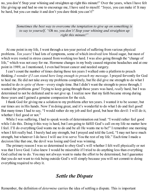no, you don't! Stop your whining and straighten up right this minute!" Over the years, when I have felt like giving up and had no one to encourage me, I have said to myself: "Joyce, you can make it! It may be hard, but you *can* make it and don't you dare think you can't!"

> *Sometimes the best way to overcome the temptation to give up on something is to say to yourself, "Oh no, you don't! Stop your whining and straighten up right this minute!"*

At one point in my life, I went through a ten-year period of suffering from various physical problems. *Ten years!* I had lots of symptoms, some of which involved low blood sugar, but most of which were rooted in stress caused from working too hard. I was also going through the "change of life," which was not easy for me. Hormone changes in my body caused migraine headaches and at one point in 1989, as I mentioned, I even had breast cancer and needed surgery.

I can't count the number of times during those ten years I walked onto a platform to preach thinking, *I wonder if I can stand here long enough to preach my message.* I prayed fervently for God to heal me. He did not take away my problems completely, but He did give me strength to do what I needed to do *in spite of them*—every single time. But I didn't want the strength to press through; I wanted the problems gone! Trying to keep going through those years was hard, *really* hard, but I was determined to not be defeated and to not give up. I realize now that my faith became strong during those years and I gained a genuine compassion for the sick.

I thank God for giving me a solution to my problems after ten years. I wanted it to be sooner, but our times are in His hands. Now I'm doing great, and it's wonderful to do what I do and feel good! But many times I had to say, "I would rather do my job and feel good, but hear this devil: I will do it, whether I feel good or not."

While I was suffering, I had to speak words of determination out loud: "I would rather feel good while I do this. Doing it this way is hard, but I am going to fulfill God's call on my life no matter how I feel. I'll do everything God wants me to do and be all He wants me to be!" I remember one morning when I felt really bad. I barely had any strength, but I prayed and told the Lord, "I may not have much strength, but whatever I do have I will use it to serve You the rest of my life." Each time I made a decision like that one, the devil was losing and God was winning.

The primary reason I was so determined to obey God's will whether I felt well physically or not was that I love God. I also knew I would be miserable if I tried to do anything less than everything God called me to do. You may not always want to make the effort to be determined, but I guarantee that you do not want to risk being outside God's will simply because you will not commit to doing everything required to obey it.

### *Settle the Dispute*

Remember, the definition of *determine* carries the idea of settling a dispute. This is important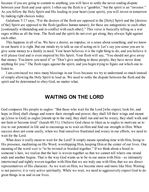because if you are going to commit to anything, you will have to settle the never-ending dispute between your flesh and your spirit. I often say the flesh is a "gambler," but the spirit is an "investor." As you follow the Holy Spirit and His leading in your heart (your spirit), you will invest in tomorrow by making right choices today.

Galatians 5:17 says, "For the desires of the flesh are opposed to the [Holy] Spirit and the [desires of the] Spirit are opposed to the flesh (godless human nature); for these are antagonistic to each other [continually withstanding and in conflict with each other]." This verse is basically telling us a war rages within us all the time. The flesh and the spirit do not ever get along; they always fight against each other.

This happens in all of us. We have a desire, an impulse, or a sense about something, and we know in our hearts it is right. But our minds try to talk us out of acting on it. Let's say you sense you are to give some money to a family in need. Your heart believes it is the right thing to do, and you believe it will please God and is even inspired by His Spirit. Your flesh will say, "You should not give away that money. You know you need it" or "Don't give anything to those people, they have never done anything for you." The flesh rages against the spirit, and you begin trying to figure out which one to listen to.

I am convinced we miss many blessings in our lives because we try to understand so much instead of simply allowing the Holy Spirit to lead us. We need to settle the dispute between the flesh and the spirit and be determined to obey God, no matter what.

# **WAITING ON THE LORD**

God compares His people to eagles: "But those who wait for the Lord [who expect, look for, and hope in Him] shall change and renew their strength and power; they shall lift their wings and mount up [close to God] as eagles [mount up to the sun]; they shall run and not be weary, they shall walk and not faint or become tired" (Isaiah 40:31). I believe God chose to liken us to eagles to motivate us to rise to our potential in life and to encourage us to wait on Him and find our strength in Him. When success does not come easily, when we find ourselves frustrated and weary in our efforts, we need to wait for the Lord.

What does it really mean to wait for the Lord? It simply means spending time with Him, being in His presence, meditating on His Word, worshipping Him, keeping Him at the center of our lives. One meaning of the word *wait* is "to be twisted or braided together." If we think about a braid in someone's hair, we realize that the hair is woven together so that we cannot tell where one strand ends and another begins. That is the way God wants us to be in our union with Him—so intimately intertwined and tightly woven together with Him that we are truly one with Him, that we are direct representatives of His character. As we wait on Him, we become more and more like Him. Waiting is not passive; it is very active spiritually. While we wait, we need to aggressively expect God to do great things in us and in our lives.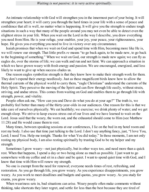An intimate relationship with God will strengthen you in the innermost part of your being. It will strengthen your heart; it will carry you through the hard times in your life with a sense of peace and confidence that all is well, no matter what is happening. It will give you the strength to endure tough situations in such a way that many of the people around you may not even be able to detect even the slightest stress in your life. When you wait on the Lord in the way I describe, you draw everything you need from Him. He is your refuge, your enabler, your joy, your peace, your righteousness, your hope. He gives you everything you need to live in victory over any circumstance.

Isaiah promises that when we wait on God and spend time with Him, becoming more like He is, we will renew our strength. That little prefix *re* means "to go back again, to be made new, to go back to the beginning of something." When we wait on God, our strength is made new again; we can fly as eagles do, over the storms of life; we can walk and run and not faint. We can approach a situation in which we have grown weary with fresh energy and passion. We are encouraged, energized, and less likely to want to give up when success eludes us.

One reason eagles symbolize strength is that they know how to make their strength work for them. They don't expend their energy needlessly. Just as these magnificent birds know how to allow the thermal currents of the physical world to carry them, "eagle Christians" understand the currents of the Holy Spirit. They perceive the moving of the Spirit and can flow through life easily, without strain, striving, and undue stress. This comes from waiting on God and enables them to go through life with strength, power, and vitality.

People often ask me, "How can you and Dave do what you do at your age?" The truth is, we probably feel better than many of the thirty-year-olds in our audiences. One reason for this is that we take care of ourselves physically. We eat healthily; we exercise; we drink plenty of water; and we get enough sleep. We strive to keep excess stress out of our lives and we have learned to wait on the Lord. Jesus said that the weary, the worn out, and the exhausted should come to Him (see Matthew 11:28) and He would cause them to rest.

Many times, between speaking sessions at our conferences, I lie on the bed in my hotel room and rest my body. I also use that time just talking to the Lord. I don't say anything fancy, just, "I love You, Lord; I need You. Help me tonight. Thanks for what You did today." In those moments, I am not only resting my physical body, I am also resting spiritually by trusting God to be my helper and my strength.

Sometimes I grow weary—not just physically, but in other ways too, and need more than a quick rest. When that happens, I spend a day or two being alone as much as possible. I just want to go somewhere with my coffee and sit in a chair and be quiet. I want to spend quiet time with God, and I know that time with Him will renew my strength.

No one is exempt from the need for renewal; everyone needs times of rest, refreshing, and restoration. As you go through life, you grow weary. As you experience disappointments, you grow weary. As you work to meet deadlines and budgets and quotas, you grow weary. As you study for exams, you grow weary.

When weariness sets in, bad situations can arise. Weary people often make comments without thinking, take shortcuts they later regret, and settle for less than the best because they are tired of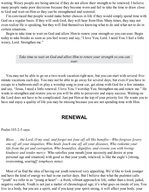waiting. Weary people are being unwise if they do not allow their strength to be renewed. I believe many people make poor decisions because they become worn and fail to take the time to draw close to God and wait on Him so they can be strengthened and restored.

I'm convinced that people would make better choices in life if they would simply spend time with God on a regular basis. If they will seek God, they will hear from Him. Many times, they may not even realize He is speaking, but they will find themselves knowing what to do and what not to do in certain situations.

Begin to take time to wait on God and allow Him to renew your strength so you can soar. Begin today to take breaks as soon as you feel weary and say, "I love You, Lord. I need You. I feel a little weary, Lord. Strengthen me."

> *Take time to wait on God and allow Him to renew your strength so you can soar.*

You may not be able to go on a two-week vacation right now, but you can start with several fiveminute vacations each day. You may not be able to go away for several days, but even if you have to escape to a bathroom stall or play a worship song in your car, get alone with God for a few minutes and say, "Jesus, I need a little renewal. I love You. I worship You. Strengthen me and renew me." He wants to strengthen and restore you so you will be able to persevere and enjoy success. Waiting on the Lord does not have to be complicated. Just put Him at the top of your priority list. He wants you to have and enjoy a quality of life you may be missing because you are not spending time with Him.

### **RENEWAL**

Psalm 103:2-5 says:

Bless . . . the Lord, O my soul, and forget not [one of] all His benefits—Who forgives [every *one of] all your iniquities, Who heals [each one of] all your diseases, Who redeems your life from the pit and corruption, Who beautifies, dignifies, and crowns you with lovingkindness and tender mercy;* Who satisfies your mouth [your necessity and desire at your personal age and situation] with good so that your youth, renewed, is like the eagle's [strong, overcoming, soaring]! *(emphasis mine).*

Most of us find the idea of having our youth renewed very appealing. We'd like to look younger and have the kind of energy we had in our earlier days. But I believe that what the psalmist calls "youth" we refer to as "young at heart"—a fresh, vibrant approach to life, rather than a tired, jaded, negative outlook. Youth is not just a matter of chronological age; it's what goes on inside of you. You live in a body, but you are a spirit, and if you keep your spirit strong, it will affect your body, your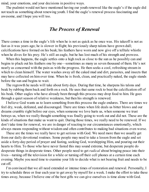mind, your emotions, and your decisions in positive ways.

The psalmist would not have mentioned having our youth renewed like the eagle's if the eagle did not teach us something about renewing youth. I find the eagle's renewal process fascinating and awesome, and I hope you will too.

#### *The Process of Renewal*

There comes a time in the eagle's life when he is not as quick as he once was. His takeoff is not as fast as it was years ago; he is slower in flight; his previously sharp talons have grown dull; calcifications have formed on his beak; his feathers have worn and now give off a telltale whistle when he dives for his prey. He's still an eagle, but he has lost much of his strength and prowess.

When this happens, the eagle settles onto a high rock as close to the sun as he possibly can and begins to pluck out his feathers one by one—sometimes as many as seven thousand of them. He's not nearly as concerned with the pain as with the progress. He then seeks a cool, refreshing stream in which to clean himself. The water washes away all the caked mud and dirt, parasites, and insects that may have collected on him over time. When he is fresh, clean, and practically naked, the eagle stands before the sun and begins to wait.

The regrowth he needs will take about forty days. During that time, he sharpens his talons and beak by rubbing them back and forth on a rock. He uses that same rock to beat the calcification off of his beak. Other eagles who have already been through this process may drop food to him. He goes through a quiet season of relative weakness, but then his strength is renewed.

I believe God wants us to learn something from this process the eagle endures. There are times we feel dry, weak, defeated, and discouraged. There are times when life deals us bitter blows and our dreams crumble right before our eyes, when someone we love hurts us, when someone we trust betrays us, when we really thought something was finally going to work out and did not. These are the kinds of situations that make us want to quit. During those times, we really need to be renewed. If we don't take time for renewal, we are in danger of reacting to our circumstances emotionally, which always means responding without wisdom and often contributes to making bad situations even worse.

These are the times we really have to get serious with God. We need more than we usually get from our daily devotional routines. Some people may need to take a lesson from the eagle and set aside a forty-day period of prayer and fasting, seeking God, worshipping Him, and pouring out their hearts to Him. To those who have never fasted this may sound extreme, but desperate people do desperate things in desperate times. Other people need to get *radical* about bringing peace into their lives—turning off the television for a while or turning off their cell phones at a certain time each evening. Maybe you need time to examine your life to decide what is not bearing fruit and needs to be cut off.

I'm convinced that we all need extended or intense times of restoration and renewal. Personally, I try to schedule three or four each year to get away by myself for a week. I make the effort to take these times away, because I believe one of the best gifts we can give ourselves is time alone with God.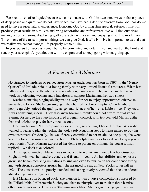We need times of real quiet because we can connect with God in awesome ways in those places of deep peace and quiet. We do not have to feel we have had a definite "word" from God, nor do we need to have a supernatural experience. Honoring God by giving Him special, set-apart time will produce great results in our lives and bring restoration and refreshment. We will find ourselves making better decisions, displaying godly character with ease, and enjoying all of life much more. Time is one of the most important things we can give God. It tells Him He is important to us and that we realize we cannot manage life properly without Him.

In your pursuit of success, remember to be committed and determined, and wait on the Lord and renew your strength. As you do, you will be empowered to keep going without giving up.

#### *A Voice in the Wilderness*

No stranger to hardship or persecution, Marian Anderson was born in 1897, in the "Negro Quarter" of Philadelphia, to a loving family with very limited financial resources. When her father died unexpectedly when she was only ten, money was tight, and her mother went to work as a cleaning woman and a laundress to support Marian and her two sisters.

Marian's amazing singing ability made a way for her to enjoy opportunities otherwise unavailable to her. She began singing in the choir of the Union Baptist Church, where people quickly noticed the quality, range, and richness of her remarkable voice. They knew it was something special. They also knew Marian's family could not afford formal vocal training for her, so the church sponsored a benefit concert, with ten-year-old Marian asthe featured soloist, to pay for her voice lessons.

Her family couldn't afford piano lessons either, so she taught herself to play. When she wanted to learn to play the violin, she took a job scrubbing steps to make money to buy her own instrument. Obviously, she was fiercely committed to her music. At one point, she went to apply for admission to a music school in Philadelphia and was treated rudely by a young receptionist. When Marian expressed her desire to pursue enrollment, the young woman replied, "We don't take colored."

At the age of nineteen Marian was introduced to well-known voice teacher Giuseppe Boghetti, who was her teacher, coach, and friend for years. As her abilities and exposure grew, she began receiving invitations to sing and even to tour. With her confidence strong and with strong supporters around her, she arranged to sing at New York's town hall in 1924. The concert was so poorly attended and so negatively reviewed that she considered abandoning music altogether.

But Marian soon bounced back. She went on to win a voice competition sponsored by the Philadelphia Philharmonic Society and then to triumph over more than three hundred other contestants in the Lewisohn Stadium competition. She began touring again, and in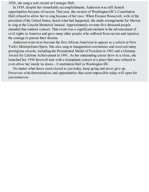1928, she sang a solo recital at Carnegie Hall.

In 1939, despite her remarkable accomplishments, Anderson was still denied opportunities because of racism. That year, the owners of Washington DC's Constitution Hall refused to allow her to sing because of her race. When Eleanor Roosevelt, wife of the president of the United States, heard what had happened, she made arrangements for Marian to sing at the Lincoln Memorial instead. Approximately seventy-five thousand people attended that outdoor concert. That event was a significant moment in the advancement of civil rights in America and gave many other people who suffered from racism and injustice the courage to pursue their dreams.

Anderson went on to become the first African American to appear as a soloist at New York's Metropolitan Opera. She also sang at inauguration ceremonies and received many prestigious awards, including the Presidential Medal of Freedom in 1963 and a Grammy Award for Lifetime Achievement in 1991. As her outstanding career drew to a close, she launched her 1956 farewell tour with a triumphant concert at a place that once refused to even allow her inside its doors—Constitution Hall in Washington DC.

No matter what doors seem closed to you today, keep going and never give up. Persevere with determination, and opportunities that seem impossible today will open for you tomorrow.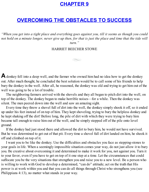### **[CHAPTER](#page-2-1) 9**

# **[OVERCOMING](#page-2-1) THE OBSTACLES TO SUCCESS**

"When you get into a tight place and everything goes against you, till it seems as though you could not hold on a minute longer, never give up then, for that is just the place and time that the tide will *turn."*

#### HARRIET BEECHER STOWE

ඥාල

**A**donkey fell into <sup>a</sup> deep well, and the farmer who owned him had no idea how to get the donkey out. After much thought, he concluded the best solution would be to call some of his friends to help bury the donkey in the well. After all, he reasoned, the donkey was old and trying to get him out of the well was going to be a lot of trouble.

The neighboring farmers arrived with the shovels and they all began to pitch dirt into the well, on top of the donkey. The donkey began to make horrible noises—for a while. Then the donkey was silent. The men peered down into the well and saw an amazing sight.

Every time they threw a shovel full of dirt into the well, the donkey simply shook it off, so it ended up under his feet instead of on top of him. They kept shoveling, trying to bury the helpless donkey and he kept shaking off the dirt! Before long, the pile of dirt with which they were trying to bury him became tall enough to raise him out of the well, and he simply stepped off of the pile onto level ground.

If the donkey had just stood there and allowed the dirt to bury him, he would not have survived. But he was determined to get out of that pit. Every time a shovel full of dirt landed on him, he shook it off and climbed on top of it.

I want you to be like the donkey. Use the difficulties and obstacles you face as stepping-stones to your goals in life. When a seemingly impossible situation comes your way, do not just allow it to bury you. Be creative about overcoming it and determined to make it work for you, not against you. Turn it to your favor, even if you have to get on top of it one step at a time. Let the circumstances that could suffocate you be the very situations that strengthen you and raise you to a new level. Be a person who is willing to work with God to develop a determined, "can do" attitude; act on the truth that His power is at work within you and that you can do all things through Christ who strengthens you (see Philippians 4:13), no matter what stands in your way.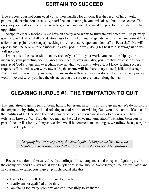# **CERTAIN TO SUCCEED**

True success does not come easily or without hurdles for anyone. It is the result of hard work, patience, determination, creativity, sacrifice, and moving beyond mistakes—but it does come. The only way you will ever be a failure is to give up, and you'll be most tempted to do so when you face opposition.

Scripture clearly teaches us we have an enemy who wants to frustrate and defeat us. His primary goals are to "steal and kill and destroy" us (John 10:10), and he spends his time roaming around "like a lion roaring [in fierce hunger], seeking someone to seize upon and devour" (1 Peter 5:8). He will oppose and interfere with our success in every possible way, doing his best to discourage us so we will give up.

I want you to be successful in every area of your life—your work, your relationships, your marriage, your parenting, your finances, your health, your ministry, your creative expressions, your pursuit of God's plans, and everything else in which you are involved. But I know lasting success requires effort, and as you work toward it, the enemy will be there to try to steal, kill, or destroy it. It's crucial to learn to keep moving forward in strength when success does not come as easily as you would like and when you face the obstacles you are sure to encounter along the way.

# **CLEARING HURDLE #1: THE TEMPTATION TO QUIT**

The temptation to quit is part of being human, but giving in to it is equal to giving up. We do not avoid the temptation by sitting still and refusing to deal with it or wishing God would remove it. It's one of the realities of the Christian life and a hindrance to success we must work to overcome. The Bible tells us in Luke 22:40, "Pray that you may not [at all] enter into temptation." Tempting believers is part of the devil's job. As long as we live, we'll be tempted; and as long as we follow Jesus, our job is to resist temptations.

> *Tempting believers is part of the devil's job. As long as we live, we'll be tempted; and as long as we follow Jesus, our job is to resist temptations.*

Because we don't always realize that feelings of discouragement and thoughts of quitting are from the enemy, we don't always resist such temptations as we should. Some thoughts the enemy may plant in your mind to tempt you to give up might sound like this:

- This is too difficult. It will require too much effort.
- I really am not qualified to do this.
- I am facing too many problems and can't possibly solve them all.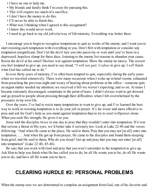- I have no one to help me.
- My friends and family think I'm crazy for pursuing this.
- This will require too much of a sacrifice.
- I don't have the money to do this.
- I'll never be able to finish this.
- What was I thinking when I agreed to this assignment?
- I knew this would never work.
- I need to go back to my old job/city/way of life/ministry. Everything was better there.

I encourage you to begin to recognize temptations to quit as works of the enemy; and I want you to start resisting each temptation with everything in you. Don't flirt with temptation or consider any temptation insignificant. Don't let the devil lure you into passivity or wait until you've been in a depressed, hopeless slump for three days, listening to the enemy list reasons to abandon your cause. Resist the devil at his onset! Declare war against temptation. Show the enemy no mercy. The *instant* you feel tempted to give up, you need to say aloud, "*I will not quit.* I *refuse* to give up. I *will* finish what God has called me to do."

In over thirty years of ministry, I've often been tempted to quit, especially during the early years when we traveled extensively. There were many occasions when I woke up in hotel rooms, exhausted from preaching the previous night and weary of hearing about problems at the office—someone quit; an urgent matter needed my attention; we received a bill we weren't expecting; and so on. At times I became extremely discouraged, sometimes to the point of tears. I didn't always want to get dressed and go preach to people about pressing through their difficulties when I felt overwhelmed by the pressures in my own life.

Over the years, I've had to resist many temptations to want to give up, and I've learned the best way to work at resisting temptation is to do your job in prayer. It's far wiser and more effective to pray and ask for God's help as you stand against temptation than to try to exert willpower alone. When you seek His strength, He gives it to you.

Jesus told the disciples twice in one day to pray that they wouldn't enter into temptation. If it was that serious a threat in His eyes, we'd better take it seriously too. Look at Luke 22:40 and the verses following: "And when He came to the place, He said to them, Pray that you may not [at all] enter into temptation. . . . And when He got up from prayer, He came to the disciples and found them sleeping from grief, and He said to them, Why do you sleep? Get up and pray that you may not enter [at all] into temptation" (Luke 22:40, 45-46).

Be sure that you work with God and pray that you won't surrender to the temptation to give up. Ask Him to help you finish what He has called you to do, be all He wants you to be, do all He wants you to do, and have all He wants you to have.

# **CLEARING HURDLE #2: PERSONAL PROBLEMS**

When the enemy sees we are determined to complete an assignment from God, one of his favorite and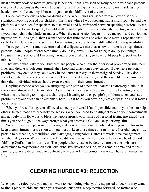most effective tools to make us give up is personal pain. I've seen so many people who face personal crises and problems as they walk through life, and I've experienced personal pain myself as I've headed toward the accomplishment of goals or the fulfillment of dreams.

I once had to conduct a seminar during a time when I was really heartbroken over a serious situation involving one of our children. The place where I was speaking had a small room behind the platform, a nice place for speakers to take breaks and be refreshed between speaking sessions. When the time came for me to speak, I would walk onto the platform and conduct the meeting as usual. Then I would go behind the platform and cry. When the next session began, I dried my tears and carried out my responsibilities again; then I went back to that little room and cried some more. I repeated that cycle for the duration of the seminar. I was hurting personally, but I still fulfilled my responsibility.

To be people who remain determined and diligent, we must learn how to make it through times of personal pain. People of character simply don't say, "Well, I'm not going to do my job tonight because I have a problem! I'm going through a personal crisis, so how could people expect me to minister to them?"

That may sound silly to you, but there are people who allow their personal problems to rule their lives and dictate which commitments they keep and which ones they cancel. If they have personal problems, they decide they can't work in the church nursery on their assigned Sunday. They don't want to do their jobs or keep their word. They fail to do what they said they would do because they think their individual crises should excuse them from their commitments.

Helping someone when you're struggling with pain of a personal nature is extremely difficult; it takes commitment and determination. As a minister, I can assure you, ministering to hurting people when you are hurting too is quite a challenge. Listening to other people's problems when you have problems of your own can be extremely hard. But it helps you develop great compassion and it makes you stronger.

When you're suffering, you still need to keep your word if at all possible and do your best to help others. In fact, those are precisely the seasons when you need to be diligent to keep your commitments and actively look for ways to bless the people around you. Times of personal testing are exactly the times you *need* to go all the way through what you promised God and keep serving Him.

We all experience personal problems, and there are times in life when it is impossible for us to keep a commitment, but we should do our best to keep those times to a minimum. Our challenges may pertain to our health, our children, our marriages, aging parents, stress at work, time management and the list goes on. We cannot allow these difficult circumstances to derail us as we head toward fulfilling God's plan for our lives. The people who refuse to be deterred are the ones who are determined to stay focused on their jobs, who stay devoted to God, who remain committed to their families, who are determined to confront every obstacle that comes their way. They are winners in life.

# **CLEARING HURDLE #3: REJECTION**

When people reject you, you may not want to keep doing what you're supposed to do; you may want to find a place to hide and nurse your wounds, but don't! Keep moving forward, no matter who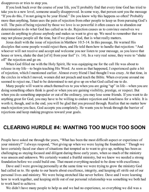disapproves or tries to stop you.

If you look back over the course of your life, you'll probably find that every time God has tried to take you to a new level, someone usually disapproved. In some way, that person sent you the message "If you do this, I'm not going to be your friend." Do you know why this happens so often? Probably more than anything, Satan uses the pain of rejection from other people to keep us from pursuing God's will. The pain of being rejected by those we love is so powerful it often causes us to abandon our determination to do what God has called us to do. Rejection causes us to convince ourselves we cannot do anything to please anybody and makes us want to give up. We need to remember that we may not please people all the time, but if we please God, that is what really matters.

Jesus dealt with the issue of rejection in Matthew 10:5-14. In this passage, He warned His disciples that some people would reject them, and He told them how to handle that rejection: "And whoever will not receive and accept and welcome you nor listen to your message, as you leave that house or town, shake the dust [of it] from your feet" (v. 14). In a very real sense, they were to "shake off" the rejection and go on.

When God filled me with the Holy Spirit, He was equipping me for the call He was about to release in my life—to begin teaching His Word. As soon as that happened, I experienced quite a bit of rejection, which I mentioned earlier. Almost every friend I had thought I was crazy. At that time, in the circles in which I moved, women did not preach and teach the Bible. When everyone around me seemed to reject me, I had to be determined to not give up on what God called me to do.

Many people will want to attach themselves to you when you are going "up" in life—when you are doing something others think is good or when you are gaining visibility, prestige, or respect. But when you do something unpopular or out of the ordinary, you may lose some friends. If you want to do anything great for God, you may have to be willing to endure rejection and loneliness for a while. It is worth it, though, and in the end, you will be glad that you pressed through. Realize that no matter how much rejection you face, God accepts you completely. He wants you to break through the barrier of rejections and keep making progress toward your goals.

# **CLEARING HURDLE #4: WANTING TOO MUCH TOO SOON**

People have asked me through the years, "What has been the most difficult aspect or experience of your ministry?" I always respond, "Not giving up when we were laying the foundation." Though we have certainly faced our share of situations that tempted us to want to give up, nothing has been as challenging as staying focused and diligent during those early years, when so much of the ministry was unseen and unknown. We certainly wanted a fruitful ministry, but we knew we needed a strong foundation before we could build one. That meant everything needed to be done with excellence.

Dave and I were growing personally at the same time we were trying to grow the ministry God had called us to. He spoke to our hearts about excellence, integrity, and keeping all strife out of our personal lives and ministry. We were being stretched like never before. Dave and I were learning how to work together, and keeping strife out of our personal relationship was something we both had to work hard to achieve.

We didn't have many people to help us and we had no experience, so everything we did was a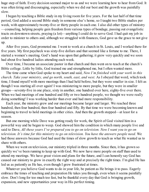huge step of faith. Every decision seemed major to us and we were learning how to hear from God. It was often tiring and discouraging, especially when we did our best and the growth was painfully slow.

I began by teaching a Bible study in my living room for five years. For the last half of that time period, God added a second Bible study in someone else's home, so I taught two Bible studies per week, with approximately twenty-five or thirty people in each one. I also did other types of ministry —counseling, helping people gain freedom from various types of bondage, passing out evangelistic tracts on downtown streets, praying (a lot)—anything I could do to serve God. I had quit my job in order to minister to others and, although we struggled with finances, God gave us the grace to not give up.

After five years, God promoted me. I went to work at a church in St. Louis, and I worked there for five years. My first paycheck was sixty-five dollars and that seemed like a fortune to me. There, I started a women's meeting. God's hand was upon that gathering; it grew very quickly and we soon had about five hundred ladies attending each week.

Over time, I became an associate pastor in that church and then went on to teach at the church's Bible college. Little by little, God trained me and strengthened me, but I often wanted more.

The time came when God spoke to my heart and said, *Now I'm finished with your work in this church. Take your ministry, and go north, south, east, and west.* As I obeyed that word, which took time, I found myself with more meetings than I had held before, but they were smaller in size. I felt as though I was starting all over again! I was ministering to more people, but they were in smaller groups—seventy-five in one place, sixty in another, one hundred over here, eighty-five over there. When we had meetings of one hundred and fifty or two hundred people, we thought we were really doing something! I was working harder than ever and had more responsibility.

Each year, the ministry grew and our meetings became larger and larger. We reached three hundred, then four hundred, then four hundred and fifty. By that time we were becoming known and beginning to travel to hold meetings in other cities. And then the growth stopped—at least for a season.

But one morning while Dave was getting ready for work, the Spirit of God visited him in a powerful way and he began to weep. God showed him the condition in which many people live and said to Dave, *All these years I've prepared you to go on television. Now I want you to go on television. It's time for this ministry to go on television. You have the answers people need.* We had those answers because God had used the times of slow growth to teach us what He wanted us to share with others.

When we went on television, our ministry tripled in three months. Since then, it has grown so quickly we've been running to keep up with God. We now have more people on staff than used to attend my meetings. We have great vision and plans for the future, and I can honestly say God has caused our ministry to grow in exactly the right way and at precisely the right times. I'm glad He has led us as patiently as He has, even though I grew frustrated at times.

Whatever you believe God wants to do in your life, be patient as He brings it to pass. Eagerly embrace the times of teaching and preparation He takes you through, even when it seems painfully slow. Don't long for too much too fast, but be thankful every day that God is bringing growth, expansion, and new opportunities your way in His perfect timing.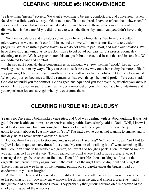# **CLEARING HURDLE #5: INCONVENIENCE**

We live in an "instant" society. We want everything to be easy, comfortable, and convenient. When faced with a little work we say, "Oh, woe is me. That's too hard. I have to unload the dishwasher." I was around before dishwashers existed and all I have to say to those who complain about dishwashers is, be thankful you didn't have to wash the dishes by hand! And you didn't have to dry them!

We have escalators and elevators so we don't have to climb stairs. We have push-button microwaves so we can cook our food in seconds, so we will not miss our favorite television programs. We have instant potato flakes so we do not have to peel, boil, and mash our potatoes. We have drive-through windows so we don't have to get out of our cars for our prescriptions, dry cleaning, or tacos. We have push-button this and push-button that, and instant this and instant that. We are addicted to ease and comfort.

The sad part about all these conveniences is, although we view them as "good," they actually work against us in many ways. They cause us to seek the easy way out when taking the more difficult way just might build something of worth in us. You will never face an obstacle God is not aware of. When your journey becomes difficult, remember that even though the world prefers "the easy road," God did not build you for comfort. He designed and equipped you for adversity, whether you know it or not. He made you in such a way that the best comes out of you when you face hard situations and you experience joy and strength when you overcome them.

### **CLEARING HURDLE #6: JEALOUSY**

Years ago, Dave and I both smoked cigarettes, and God was dealing with us about quitting. It was not good for our health, and it was an expensive, stinky habit. Dave simply said to God, "Well, I know I need to stop smoking, but I am going to continue as I am until You give me the grace to quit. I'm not going to worry about it; I cast my care on You." The next day, he got up not wanting to smoke, and to this day, he has never wanted another cigarette.

Do you think I was able to stop smoking as easily as Dave was? No! Let me repeat: *No!* I had to *suffer!* I tried to quit so many times I lost count. My routine of "walking it out" went something like this: I couldn't stand to be without a cigarette, so I went and bought a pack. Then I reminded myself I was quitting, so I threw it away. Then I reached the point where I had to have a cigarette, so I rummaged through the trash can to find one! Then I felt terrible about smoking, so I put out the cigarette and threw it away again. And in the middle of the night I would dig it out and relight it! There I was, in the wee hours of the morning, puffing on a cigarette under the biggest load of condemnation you can imagine!

At that time, Dave and I attended a Spirit-filled church and after services, I would make a beeline to the parking lot, roll down my car windows, lie down in the car, and smoke a cigarette—and I thought none of our church friends knew. They probably thought our car was on fire because of the smoke rolling out of the windows.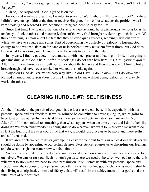All this time, Dave was going through life smoke-free. Many times I asked, "Dave, isn't this *hard* for you?"

"Oh no," he responded. "God's grace is on me."

Furious and wanting a cigarette, I wanted to scream, "Well, where is His grace for *me?!*" Perhaps I didn't have enough faith at the time to receive His grace for me, but whatever the problem was I kept smoking and resented Dave because quitting had been so easy for him.

Since that time, I've learned that one obstacle to experiencing the breakthroughs we long for is the tendency to look at others and become jealous of the way God brought breakthrough in their lives. We think something is unfair about the fact that they enjoyed quick success, seemingly without effort, while we have to struggle and suffer. Part of overcoming the obstacle of jealousy is trusting God enough to believe that His plan for each of us is perfect. It may not seem fair at times, but God does know what He is doing and He knows how He wants to use us in the future.

In my case, I finally got determined and said with much prayer and leaning on God, "I am going to quit smoking! With God's help I *will* quit smoking! I do not care how hard it is, *I am going to quit!*" After that, I went through a difficult period for about thirty days and then it was over. I finally had a breakthrough and have never smoked or wanted to smoke again.

Why didn't God deliver me the easy way like He did Dave? I don't know. But I do know that I learned an important lesson about trusting His timing for me without being jealous of the way He works for others.

# **CLEARING HURDLE #7: SELFISHNESS**

Another obstacle to the pursuit of our goals is the fact that we can be selfish, especially with our personal space and our freedom. If we're going to be committed to never giving up, we're going to have to sacrifice our selfish wants at times. Persistence and determination are hard on the "self." After all, if I'm committed to something, then what happens when the time comes and I don't feel like doing it? We often think freedom is being able to do whatever we want to, whenever we want to do it. But the truth is, if we ever could live that way, it would just drive us to be more and more selfish and self-centered.

If we aren't determined to never give up, it's easy for the devil to talk us out of doing whatever we should be doing by appealing to our selfish desires. Persistence requires us to discipline our feelings and do what is right, no matter how we feel about it.

We need to surrender our freedom and our personal space once in a while and learn to say no to ourselves. We cannot trust our flesh; it won't get us where we need to be when we need to be there. It will want to stop when we need to keep pressing on. It will tempt us with our personal space and freedom—at the expense of our personal growth. It says that feeling good right now is more valuable than living a disciplined, committed lifestyle that will result in the achievement of our goals and the fulfillment of our destinies.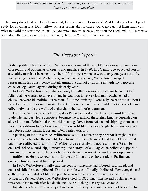*We need to surrender our freedom and our personal space once in a while and learn to say no to ourselves.*

Not only does God want you to succeed, He *created* you to succeed. And He does not want you to settle for anything less. Don't allow failures or mistakes to cause you to give up; let them teach you what to avoid the next time around. As you move toward success, wait on the Lord and let Him renew your strength. Success will not come easily, but it *will* come, if you persevere.

### *The Freedom Fighter*

British political leader William Wilberforce is one of the world's best-known champions of freedom and opponents of cruelty and injustice. In 1780, this Cambridge-educated son of a wealthy merchant became a member of Parliament when he was twenty-one years old, the youngest age permitted. A charming and articulate speaker, Wilberforce enjoyed representing his constituency in Parliament, but did not align himself with any particular cause or legislative agenda during his early years.

In 1785, Wilberforce had what can only be called a remarkable encounter with God. After that, he wanted to do everything he could do to serve God and thought he had to choose between his political career and full-time ministry. Eventually, he realized he didn't have to be a professional minister to do God's work, but that he could do God's work most effectively outside the walls of a church, in the halls of government.

By 1787, Wilberforce had emerged as Parliament's dominant voice against the slave trade. He had very few supporters, because the wealth of the British Empire depended on slave labor and Britain led the world in taking slaves from Africa and shipping them under horrific conditions to docks where they were sold like livestock to plantation owners and then forced into manual labor and often treated terribly.

Speaking of the slave trade, Wilberforce said: "Let the policy be what it might, let the consequences be what they would, I am from this time determined that I would never rest until I have affected its abolition." Wilberforce certainly did not rest in his efforts. He endured sickness, hardship, controversy, the betrayal of colleagues he believed supported him, and the mockery of others, as he tirelessly and passionately worked to stop human

trafficking. He presented his bill for the abolition of the slave trade to Parliament eighteen times before it finally passed.

In 1807, Wilberforce finally saw the goal for which he had labored, sacrificed, and endured ridicule accomplished. The slave trade was officially abolished. However, the end of the slave trade did not liberate people who were already enslaved, so that became Wilberforce's next objective. Wilberforce died in 1833, knowing the end of slavery was imminent. One month after his death, the law abolishing slavery was enacted.

Injustice continues to run rampant in the world today. You may or may not be called to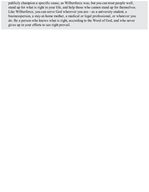publicly champion a specific cause, as Wilberforce was, but you can treat people well, stand up for what is right in your life, and help those who cannot stand up for themselves. Like Wilberforce, you can serve God wherever you are—as a university student, a businessperson, a stay-at-home mother, a medical or legal professional, or whatever you do. Be a person who knows what is right, according to the Word of God, and who never gives up in your efforts to see right prevail.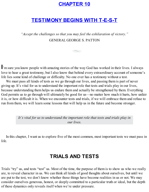## **[CHAPTER](#page-2-2) 10**

# **[TESTIMONY](#page-2-2) BEGINS WITH T-E-S-T**

*"Accept the challenges so that you may feel the exhilaration of victory."* GENERAL GEORGE S. PATTON

æo

**I**'m sure you know people with amazing stories of the way God has worked in their lives. <sup>I</sup> always love to hear a great testimony, but I also know that behind every extraordinary account of someone's life lies some kind of challenge or difficulty. No one ever has a testimony without a test.

We must pass all kinds of tests as we go through our lives, and passing them is part of never giving up. It's vital for us to understand the important role that tests and trials play in our lives, because understanding them helps us endure them and actually be strengthened by them. Everything God permits us to go through will ultimately be good for us—no matter how much it hurts, how unfair it is, or how difficult it is. When we encounter tests and trials, if we will embrace them and refuse to run from them, we will learn some lessons that will help us in the future and become stronger.

> *It's vital for us to understand the important role that tests and trials play in our lives.*

In this chapter, I want us to explore five of the most common, most important tests we must pass in life.

# **TRIALS AND TESTS**

Trials "try" us, and tests "test" us. Most of the time, the purpose of them is to show us who we really are, to reveal character in us. We can think all kinds of good thoughts about ourselves, but until we are put to the test, we don't know whether those things have become realities in us or not. We may consider ourselves generous, honest, or deeply committed to a particular truth or ideal, but the depth of these dynamics only reveals itself when we're under pressure.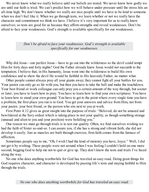We never know what we really believe until our beliefs are tested. We never know how godly we are until our faith is tried. We can't predict how we will behave under pressure until the stress hits an all-time high. We don't know whether we really are nice people until we have to be kind to someone when we don't feel like it. When we go through tests, we learn whether or not we really have the character and commitment we think we have. I believe it's very important for us to really know ourselves; so tests are good for us because they affirm strengths and reveal weaknesses. Don't be afraid to face your weaknesses. God's strength is available specifically for our weaknesses.

#### *Don't be afraid to face your weaknesses. God's strength is available specifically for our weaknesses.*

Why did Jesus—our perfect Jesus—have to go out into the wilderness so the devil could tempt Him for forty days and forty nights? God the Father already knew Jesus would not succumb to the temptation. I believe that, in His humanity, Jesus went into the wilderness to build His own confidence and to show the devil He would be faithful to His heavenly Father, no matter what.

Other people cannot always pray all your giants away; they cannot fight all your battles for you. Your pastor can only go so far with you, but then you have to take the ball and make the touchdown. Your best friend or work colleague can only pray you a certain amount of the way through, but sooner or later, you have to learn how to pray. You have to learn how to find your own scriptures. You have to learn how to stand your own ground. You have to get to the point where every single time you have a problem, the first place you run is to God. You get your answers and advice from Him, not from your pastor, your best friend, or the person who sits next to you at work.

First Peter 4:12 gives us great insight into the purpose of trials: "Beloved, do not be amazed and bewildered at the fiery ordeal which is taking place to test your quality, as though something strange (unusual and alien to you and your position) were befalling you."

One reason we must go through trials is to test our quality. Often, we find ourselves wishing we had the faith of Sister so-and-so. I can assure you, if she has a strong and vibrant faith, she did not develop it easily. Just as muscles are built through exercise, firm faith comes from the furnace of affliction.

Sometimes people say to me, "Oh, I wish I had the kind of ministry you have, Joyce." Well, I did not get it by wishing. These people were not around when I was feeling I couldn't hold on one more second, begging God to help me not to quit or give up. They don't know the tests and trials I've faced along the way.

No one who does anything worthwhile for God has traveled an easy road. Doing great things for God requires character, and character is developed by passing life's tests and staying faithful to Him through the trials.

*No one who does anything worthwhile for God has traveled an easy road.*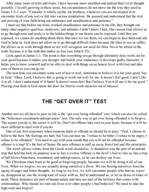After many years of tests and trials, I have become more steadfast and patient than I ever thought possible. I'm still growing in these areas, but circumstances do not move me the way they used to. James 1:2-3 says: "Consider it wholly joyful, my brethren, whenever you are enveloped in or encounter trials of any sort or fall into various temptations. Be assured and understand that the trial and proving of your faith bring out endurance and steadfastness and patience."

I must say that before my trials worked steadfastness and patience in my life, they brought out many other negative qualities, mind-sets, and attitudes I didn't know I had. One reason God allows us to go through tests and trials is so the hidden things in our hearts can be exposed. Until they are exposed, we cannot do anything about them. But once we see them, we can begin to face them and ask God to help us. God does not allow us to go through difficult times because He likes to see us suffer; He allows us to walk through them so we will recognize our need for Him. Never be afraid of the truth, because it is the truth that makes us free (see John 8:32).

Look again at James 1:3. The point is that everything you go through ultimately does work out for your good because it makes you stronger and builds your endurance; it develops godly character; it helps you to know yourself and to be able to deal with things on an honest level with God and take care of them so you can go on.

The next time you encounter some sort of test or trial, determine to believe it is for your good. Say to God: "Okay, Lord, I believe this is going to work out well for me. It doesn't feel good. I don't like it at all. I don't understand it! It hurts! It doesn't seem fair! But I believe You will use it for my good." Placing your faith in God opens the door for Him to work miracles out of messes!

# **THE "GET OVER IT" TEST**

Another test we all have to pass in life is the "get over being offended" test, which can also be called the "bitterness-resentment-unforgiveness" test. The only way to get over being offended is to forgive. The sooner you do it, the easier it will be. Don't let offense take root in your heart, because it will be more difficult to deal with if you do.

One of our first responses when someone hurts or offends us should be to pray: "God, I choose to believe the best. My feelings are hurt, but You can heal me. I refuse to be bitter; I refuse to be angry; I refuse to be offended." You need to say with your mouth that you will not be offended because offense is a trap! It's the bait of Satan. He uses offenses to pull us away from God and His principles.

The word *offense* comes from the Greek word *skandalon*. A skandalon was the part of an animal trap that held the bait; its purpose was to lure a victim. Offense is the devil's bait to lure us into a trap of full-blown bitterness, resentment, and unforgiveness, so he can destroy our lives.

We Christians must learn to be good at forgiving people, because we will be doing it all of our lives. When we forgive, we are actually doing ourselves a favor. We are freeing ourselves from the agony of anger and bitter thoughts. As long as we live, we will encounter people who hurt us, reject us, disappoint us, use the wrong tone of voice with us, fail to understand us, or let us down in times of need. Those dynamics are part of human nature and they are part of the territory that comes with relationships. Why should we ruin our lives over other people's bad behavior? We need to take the high road and forgive!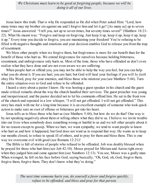*We Christians must learn to be good at forgiving people, because we will be doing it all of our lives.*

Jesus knew this truth. That is why He responded as He did when Peter asked Him: "Lord, how many times may my brother sin against me and I forgive him and let it go? [As many as] up to seven times?" Jesus answered: "I tell you, not up to seven times, but seventy times seven!" (Matthew 18:21- 22). What He meant was: "Forgive and keep on forgiving. Just keep it up, keep it up, keep it up, keep it up." Every time you decide to forgive, you are maintaining your freedom! You're refusing to be filled with negative thoughts and emotions and your decision enables God to release you from the trap of resentment.

We bless other people when we forgive them, but forgiveness is more for our benefit than for the benefit of those who hurt us. We extend forgiveness for ourselves because holding bitterness, resentment, and unforgiveness only hurts us. Most of the time, those who have offended us don't even realize what they have done and are not even aware we are suffering.

When people hurt or offend you, you may not be able to help the way you feel, but you can help what you do about it. If you are hurt, you are hurt; but God will heal your feelings if you will *by faith* obey His Word, pray for your enemies, and bless those who mistreat you (see Matthew 5:44). Turn the entire situation over to God and refuse to be offended.

I heard a story about a pastor I know. He was hosting a guest speaker in his church and the guest made critical remarks about the way the church handled their services. The guest preacher was young and inexperienced, and the pastor decided not to let his comments offend him. He sat in the front row of the church and repeated in a low whisper, "I will not get offended. I will not get offended." This story has stuck with me for a long time because it is an excellent example of someone who took quick action to make sure no root of offense or bitterness got into his heart.

Jesus tells us to bless those who hurt us (see Matthew 5:44), but how do we do that? One way is by not speaking negatively about them or telling others what they did to us. I believe we invite trouble into our lives when somebody does something wrong or hurtful to us and we tell other people about it for no reason except to gossip. When we hurt, we want sympathy, we tend to want people to know who hurt us and how it happened, but God does not want us to respond that way. He wants us to keep our mouths closed, to refuse to speak ill of others, and to pray for them and bless them. This is one way we overcome evil with good (see Romans 12:21)!

The Bible is full of stories of people who refused to be offended. Job was doubly blessed when he prayed for those who hurt him (see Job 42:10). Moses prayed for Miriam and Aaron right away when they judged him and came against him (see Numbers 12:13). You see, Moses was a godly man. When wronged, he fell on his face before God, saying basically, "Oh, God, oh, God, forgive them, forgive them, forgive them. They don't know what they're doing."

> *The next time someone hurts you, do yourself a favor and forgive quickly, refuse to be of ended, and bless and pray for that person.*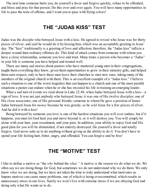The next time someone hurts you, do yourself a favor and forgive quickly, refuse to be offended, and bless and pray for that person. Do this over and over again. You will have many opportunities in life to pass the tests of offense, and I want you to pass with flying colors!

### **THE "JUDAS KISS" TEST**

Judas was the disciple who betrayed Jesus with a kiss. He agreed to reveal who Jesus was for thirty pieces of silver, and said he would do it by kissing him, which was an acceptable greeting in Jesus' day. The "kiss" traditionally is a greeting of love and affection; therefore, the "Judas kiss" inflicts a deeper wound than ordinary offenses do. This kind of attack comes from someone with whom you have a close relationship, someone you love and trust. Many times a person who becomes a "Judas" in your life is someone you have helped and treated well.

There are many sad stories about pastors who have mentored young men in their congregations, taught them everything they know, given them opportunities to grow in their ministry gifts, and helped them earn respect, only to have these men leave their churches to start new ones, taking many of the members of the original church with them. This is an excellent example of a "Judas kiss." I believe such a situation is one of the worst tragedies that can happen to a church and one of the most painful situations a pastor can endure when he or she has invested his life in training an emerging leader.

What a sad turn of events we read about in Luke 22:48, when Judas betrayed Jesus with a kiss—a sign of love. It was not just anybody who betrayed Jesus; it was one of His twelve disciples; one of His close associates; one of His personal friends; someone to whom He gave a position of honor. Judas betrayed Jesus for *money* because he was greedy, so he *sold* Jesus for a few pieces of silver. And he did it with a kiss!

Being betrayed by someone you love is one of the hardest situations you will ever endure, but if it happens, you must let God heal you and move beyond it, or it will destroy you. You will simply be alone with your hurt, your resentment, and your pain. In addition, your ability to enjoy God and His good plan for you will be diminished, if not entirely destroyed. Do yourself a favor and totally forgive. God never asks us to do anything without giving us the ability to do it. You don't have to spend your life feeling hurt, bitter, angry, and offended. You can forgive and be free!

# **THE "MOTIVE" TEST**

I like to define a motive as "the *why* behind the *what."* A motive is the reason we do what we do. We often say we are doing things for God, but sometimes we do not understand why we do them. We only know *what* we are doing, but we have not taken the time to truly understand what motivates us. Impure motives can cause many problems, one of which is being overcommitted, which results in unnecessary stress in our lives. Surely we won't live with extreme stress if we are obeying God and doing only what He wants us to do.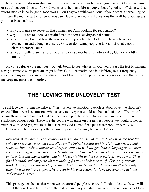Never agree to do something in order to impress people or because you fear what they may think or say about you if you don't. God wants us to help and bless people, but a "good work" done with a wrong motive is no longer a good work. Don't say yes with your mouth if your heart is screaming no.

Take the motive test as often as you can. Begin to ask yourself questions that will help you assess your motives, such as:

- Why did I agree to serve on that committee? Am I looking for recognition?
- Why did I want to attend a certain function? Am I seeking social status?
- Why did I say I would lead the missions group at church? Do I really have a heart for evangelism and a longing to serve God, or do I want people to talk about what a good church member I am?
- Why do I really want that promotion at work so much? Is it motivated by God or worldly ambition?

As you evaluate your motives, you will begin to see what is in your heart. Pass the test by making sure your motives are pure and right before God. The motive test is a lifelong test. I frequently reevaluate my motives and discontinue things I find I am doing for the wrong reason, and that helps me keep my priorities in order.

# **THE "LOVING THE UNLOVELY" TEST**

We all face the "loving the unlovely" test. When we ask God to teach us about love, we shouldn't expect Him to send us someone who is easy to love; that would not be much of a test. The test of loving those who are unlovely takes place when people come into our lives and affect us like sandpaper on our souls. These are the people who grate on our nerves, people we would rather not interact with. And yet, we know in our hearts God Himself has put these people in our lives. Galatians 6:1-3 basically tells us how to pass the "loving the unlovely" test:

*Brethren, if any person is overtaken in misconduct or sin of any sort, you who are spiritual [who are responsive to and controlled by the Spirit] should set him right and restore and reinstate him, without any sense of superiority and with all gentleness, keeping an attentive eye on yourself, lest you should be tempted also. Bear (endure, carry) one another's burdens and troublesome moral faults, and in this way fulfill and observe perfectly the law of Christ (the Messiah) and complete what is lacking [in your obedience to it]. For if any person thinks himself to be somebody [too important to condescend to shoulder another's load] when he is nobody [of superiority except in his own estimation], he deceives and deludes and cheats himself.*

This passage teaches us that when we are around people who are difficult to deal with, we will still treat them well and help restore them if we are truly spiritual. We won't make more out of their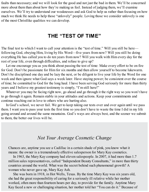faults than necessary; and we will look for the good and not just the bad in them. We'll be concerned more about them than about how they're making us feel. Instead of judging them, we'll examine ourselves. We'll try to understand our weaknesses and ask God to help us rather than focusing on how much we think He needs to help those "unlovely" people. Loving those we consider unlovely is one of the most Christlike qualities we can develop.

# **THE "TEST OF TIME"**

The final test to which I want to call your attention is the "test of time." Will you still be here following God, obeying Him, living by His Word—five years from now? Will you still be doing everything He has called you to do ten years from now? Will you walk with Him every day for the rest of your life, even through difficulties, and refuse to give up?

Let me encourage you as you think about passing the test of time: Make every effort to be on fire for God. Don't be passionate for Him for six months and then allow yourself to become lukewarm. Don't be disciplined one day and be lazy the next, or be diligent to live your life by the Word for one week and then ignore what God says a week later. Have staying power; be consistent over the course of time; be committed to God for the long haul. I have been serving God seriously for more than thirty years and I believe my greatest testimony is simply, "I'm still here!"

Whatever you may be facing right now, go ahead and go through it the right way so you won't have to go through it again. Remain stable in your attitudes and actions. Keep your commitments and continue reaching out in love to others who are hurting also.

In God's school, we never fail. We get to keep taking our tests over and over again until we pass them. I want you to pass your tests the first time so you don't have to waste the time I did in my life going around and around the same mountains. God's ways are always best, and the sooner we submit to them, the better our lives will be.

#### *Not Your Average Cosmetic Change*

Chances are, anytime you see a Cadillac in a certain shade of pink, you know what it means: the owner is a tremendously effective salesperson for Mary Kay cosmetics.

In 1963, the Mary Kay company had eleven salespeople. In 2007, it had more than 1.7 million sales representatives, called "Independent Beauty Consultants," in more than thirty countries around the world. What was the secret behind such phenomenal growth? A woman who never gave up, Mary Kay Ash.

She was born in 1918, in Hot Wells, Texas. By the time Mary Kay was six years old, she had the great responsibility of caring for a seriously ill relative while her mother worked, often more than fourteen hours per day, to provide for the family. Anytime Mary Kay faced a new or challenging situation, her mother told her "You can do it." Because of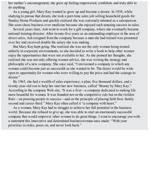her mother's encouragement, she grew up feeling empowered, confident, and truly able to do anything.

As a young girl, Mary Kay wanted to grow up and become a doctor. In 1938, while studying to pursue that dream, she took a part-time sales job selling household goods for Stanley Home Products and quickly realized she was extremely talented as a salesperson. She soon chose business over medicine because she enjoyed such amazing success in sales.

Several years later, Ash went to work for a gift company, where she eventually became national training director. After twenty-five years as an outstanding employee in the area of direct sales, Ash resigned from the company because a man she had trained was promoted over her and received double the salary she was making.

But Mary Kay kept going. She realized she was not the only woman being treated unfairly in corporate environments, so she decided to write a book to help other women enjoy the opportunities that were not available to her. As she penned her thoughts, she realized she was not only offering women advice, she was writing the strategy and philosophy of a new company. She once said, "I envisioned a company in which any woman could become just as successful as she wanted to be. The doors would be wide open to opportunity for women who were willing to pay the price and had the courage to dream."

By 1963, she had a wealth of sales experience, a plan, five thousand dollars, and a twenty-year-old son to help her start her new business, called "Beauty by Mary Kay." According to the company Web site, "It was a first—a company dedicated to making life more beautiful for women. It was founded not on the competitive rule but on the Golden Rule—on praising people to success—and on the principle of placing faith first, family second and career third." Mary Kay often called it "a company with heart."

As a woman, Mary Kay had to struggle to achieve her full potential in the business world. Because she refused to give up, she was able to start an enormously successful company that would empower other women to do great things. I want to encourage you with a statement this innovative and determined businesswoman once made: "With your priorities in order, press on, and never look back."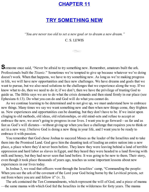#### **[CHAPTER](#page-2-3) 11**

## **TRY [SOMETHING](#page-2-3) NEW**

*"You are never too old to set a new goal or to dream a new dream."* C. S. LEWIS

ඥාල

Someone once said, "Never be afraid to try something new. Remember, amateurs built the ark. Professionals built the *Titanic.*" Sometimes we're tempted to give up because whatever we're doing doesn't work. When that happens, we have to try something new. As long as we're making progress in life, we will have new opportunities and face new challenges. We have dreams and goals that we want to pursue, but we also need solutions to the challenges that we experience along the way. If we know what to do, then we need to do it; if we don't, then we have the privilege of trusting God to guide us. The Bible says we are to do what the crisis demands and then stand firmly in our place (see Ephesians 6:13). Do what you can do and God will do what you cannot do.

As we continue learning to be determined and to not give up, we must understand how to embrace new things. Many times we say we want something new and then when new things come, they frighten us. New experiences and opportunities can be daunting, but they don't have to be. If we insist upon clinging to old methods, old ideas, old relationships, or old mind-sets and refuse to accept or embrace the new, we aren't going to progress in our lives. I want you to go forward—as far and as fast as God's will dictates—without giving up when you face a challenge that requires you to think or act in a new way. I believe God is doing a new thing in your life, and I want you to be ready to embrace it with passion.

You remember that God chose Joshua to succeed Moses as the leader of the Israelites and to take them into the Promised Land. God gave him the daunting task of leading an entire nation into a new place, a place where they'd never been before. They knew they were leaving behind a land of terrible oppression and hard labor as slaves in Egypt, and they heard they were headed to a land flowing with milk and honey, but they had never seen that land before. It was going to be new to them. Their story, even though it took place thousands of years ago, teaches us some important lessons about new experiences in our lives today.

In Joshua 3, we read that officers went through the Israelites' camp, "Commanding the people: When you see the ark of the covenant of the Lord your God being borne by the Levitical priests, set out from where you are and follow it" (v. 3).

The ark contained the Ten Commandments, which represent the will of God, and a piece of manna —the same manna with which God fed the Israelites in the wilderness for forty years. The manna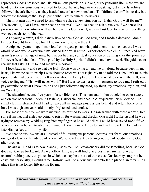represents God's presence and His miraculous provision. On our journey through life, when we are headed into new situations, we need to follow the ark, figuratively speaking, just as the Israelites followed the ark literally as they headed toward a new homeland. To "follow the ark" in our day is to follow the leading of the Holy Spirit, who lives within all believers.

The first question we need to ask when we face a new situation is, "Is this God's will for me?" The second is, "Do I have inner peace about this?" We also need to ask ourselves if we sense His presence in the new situation. If we believe it is God's will, we can trust God to provide everything we need each step of the way.

As a young woman, I didn't know how to seek God as I do now, and I made a decision I don't believe I would have made had I known how to follow the ark.

At eighteen years of age, I married the first young man who paid attention to me because I was afraid no one would ever want me, due to the sexual abuse I experienced as a child. I received Jesus as my Savior at the age of nine, but I never had any spiritual education or training after that point, so I'd never heard the idea of "being led by the Holy Spirit." I didn't know how to seek His guidance or realize that asking Him to lead me was important.

I look back now and see that the Holy Spirit was trying to lead me all along, because deep in my heart, I knew the relationship I was about to enter was not right. My mind told me I shouldn't miss this opportunity, but deep inside I felt uneasy about it. I simply didn't know what to do with the still, small voice telling me, "This will never work." But I was so desperate for someone to love me, I refused to pay attention to what I knew inside and I just followed my head, my flesh, my emotions, my plan, and my "want to."

The situation became five years of a terrible mess. This man and I often traveled to other states, and on two occasions—once in Oakland, California, and once in Albuquerque, New Mexico—he simply left me stranded and I had to leave all my meager possessions behind and return home on a bus. I was eighteen years old, lonely, frightened, and confused.

For most of the time we were married, he refused to work. He ran around with other women, lied, stole from me, and ended up going to prison for writing bad checks. One night I woke up and he was trying to remove my wedding ring from my finger so he could sell it. I could have saved myself five years of heartache and trouble had I simply known how to listen to God and allow Him to lead me into His perfect will for my life.

We need to "follow the ark" instead of following our personal desires, our fears, our emotions, our good ideas, or the advice of others. We follow the ark by taking one step of obedience to God after another.

The ark will lead us to new places, just as the Old Testament ark did the Israelites, because God does not take us backward. As we follow Him, we will find ourselves in unfamiliar places, uncomfortable places, or places in which we may be unsure of ourselves. Our journeys may not be easy, but personally, I would rather follow God into a new and uncomfortable place than remain in a place that is no longer life-giving for me.

> *I would rather follow God into a new and uncomfortable place than remain in a place that is no longer life-giving for me.*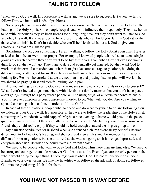# **FAILING TO FOLLOW**

When we do God's will, His presence is with us and we are sure to succeed. But when we fail to follow Him, we invite all kinds of problems.

Some people have miserable lives for no other reason than the fact that they refuse to follow the leading of the Holy Spirit. Some people keep friends who influence them negatively. They may be fun to be with, or perhaps they've been friends for a long, long time, but they don't want to listen to God and obey His will. It's always best to have close friends who can build your faith in God rather than those who diminish it. Don't just decide who you'll be friends with, but ask God to give you relationships that are right for you.

Sometimes we pray for something but aren't willing to follow the Holy Spirit even when He tries to lead us into the answer to our prayer. For example, I know of people who refuse to attend singles groups at church because they don't want to go by themselves. Even when they believe God wants them to do so, they won't go. They want to date and eventually get married, but they want God to work on their terms. I can understand where it might take some courage to go alone, but doing the difficult thing is often good for us. It stretches our faith and often leads us into the very thing we are looking for. We must be careful that we are not planning and praying that our plan will work, when we should be praying first and then following God's plan.

Are you willing to say yes to God even if it means saying no to your friends or even to yourself? What if you're invited to go somewhere with friends or a family member, but you don't have peace about going? It might be a party where people will be using drugs, or a movie that contains nudity. You'll have to compromise your conscience in order to go. What will you do? Are you willing to spend the evening at home alone in order to follow God?

In each of these situations, people who go ahead and do what they want to do are following their own desires over God's will. Is it possible, if they were to follow the leadership of the Holy Spirit, something truly wonderful would happen? Maybe a nice evening at home would provide the peace, quiet, rest, and refreshment they need after a hectic work week. Maybe they would make some new friends they could really enjoy if they would be bold enough to attend the singles group alone.

My daughter Sandra met her husband when she attended a church event all by herself. She was determined to follow God's leading, and she received a great blessing. I remember that it was difficult for her to go alone, but she told me that she was not going to sit home, get depressed, and complain about her life when she could make a different choice.

We need to be people who want to obey God and follow Him more than anything else. We need to be strong and courageous and do whatever God leads us to do. Even if you are the only person in the whole world doing the right thing, I encourage you to obey God. Do not follow your flesh, your friends, or your own wishes. Be like the Israelites who followed the ark and, by doing so, followed God into the good things He had for them.

# **YOU HAVE NOT PASSED THIS WAY BEFORE**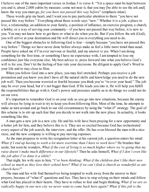I believe one of the most important verses in Joshua 3 is verse 4: "Yet a space must be kept between you and it, about 2,000 cubits by measure; come not near it, that you may [be able to see the ark and] know the way you must go, *for you have not passed this way before*" (emphasis mine).

These words grip my heart, and I want you to pay particular attention to them: "you have not passed this way before." Everything about those words says "new." Whether it is a job, a place to live, a relationship, an addition to your family, a position of influence, an exercise program, a church, a hobby, or a way of serving your community—if you have not passed that way before, it is new to you. You may not know how to get there or what to do when you do. But if you follow the ark (God), you will arrive at your destination and He will direct you in everything you need to do.

One of the biggest obstacles to following God is fear—simply because "you have not passed this way before." Things we have never done before always make us feel a little more timid than usual. People have asked me if I'm ever nervous or fearful, and my answer is yes. When I am doing something for the first time, or something I have no experience with, I am tempted to lose my confidence just like everyone else. My best advice is: press forward into what you believe God's will is for you. Don't let the feeling of fear rule your decisions. Be diligent to apply God's Word to your life and to stay close to Him.

When you follow God into a new place, you may feel stretched. Perhaps you receive a job promotion and you know you don't have all the natural skills and knowledge you need to do the new job well. Then you become worried or fearful because you think you're "in over your head." The job may be over your head, but it's not bigger than God. If He leads you into it, He will help you fulfill the responsibilities that go with it. God's power and presence enable us to do things we could not do on our own.

It's important to remember God is on your side as you go into new situations, because the enemy will always be lying in wait to try to keep you from following Him. Most of the time, he attempts to make us turn around and go back to our old circumstances by using the "what if" strategy. The goal of this scheme is to stir up such fear that you decide to not walk into the new place. In actuality, it looks something like this.

A man gets a new job in a new city. He and his wife have been praying for a new opportunity and a better job for him, and they believe this is it. They are so excited because God has orchestrated every aspect of the job search, the interview, and the offer. He has even blessed the man with a nice raise, and the new company is willing to pay moving expenses.

As the man prepares to write his resignation letter at his current job, a question enters his mind: *What if I end up having to work a lot more overtime than I have to work here?* He brushes that aside, but soon he wonders, *What if the cost of living is so much higher where we're going that my raise doesn't make much dif erence in our lifestyle?* Then he asks himself, *What if I don't even like the job after I've done it a while?*

That night, his wife says to him, "*I've been thinking: What if the children don't like their new* school as much as they love their school here? What if we can't find a church as wonderful as our *church here?*"

The man and his wife find themselves being tempted to walk away from the answer to their prayers, because of "what if" questions and lies. They have to stop relying on their minds and follow what God has placed in their hearts. They have to refuse to fear and begin thinking, *What if we are so* radically happy in our new city we never want to come back here again? What if this job is the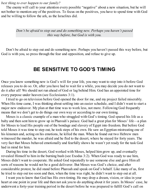*best thing to ever happen to our family?*

The enemy will call to your attention every possible "negative" about a new situation, but he will not bother to mention any of the positives. To focus on the positives, you have to spend time with God and be willing to follow the ark, as the Israelites did.

> *Don't be afraid to step out and do something new. Perhaps you haven't passed this way before, but God is with you.*

Don't be afraid to step out and do something new. Perhaps you haven't passed this way before, but God is with you, so press through the fear and opposition, and refuse to give up.

# **BE SENSITIVE TO GOD'S TIMING**

Once you know something new is God's will for your life, you may want to step into it before God releases you to do so. Or, after you have had to wait for a while, you may decide you do not want to do it after all! We should not run ahead of God or lag behind Him. God has an appointed time for every purpose under heaven (see Ecclesiastes 3:1).

I tried to go on television before God opened the door for me, and my project failed miserably. When His time came, I was thinking about settling into an easier schedule, and I didn't want to start a major new endeavor. My plan at that time was to work less, not more. Following God frequently means that we don't get to do things our own way or according to our own timing.

Moses is a classic example of a man who struggled with God's timing. God spared his life as a baby and then sent him to grow up in Pharoah's palace. God had a great plan for Moses' life—a plan for Moses to lead His people out of the bondage and slavery of Egypt into freedom. But before God told Moses it was time to step out, he took steps of his own. He saw an Egyptian mistreating one of his kinsmen and, acting on his emotions, he killed the man. When he found out two Hebrew men witnessed the murder, he was afraid and he fled to the desert, where he stayed for forty years. The very fact that Moses behaved emotionally and fearfully shows he wasn't yet ready for the task God had in mind for him.

During his time in the desert, God worked with Moses, helped him grow up, and eventually revealed Himself to him in the burning bush (see Exodus 3:2). When God was ready to use him, Moses didn't want to cooperate. He asked God repeatedly to use someone else and gave Him all sorts of reasons he would not be a good deliverer. But Moses was God's choice, and after considerable protest, he did stand before Pharoah and speak on God's behalf. Like many of us, first he tried to step out too soon and then, when the time was right, he didn't want to step out at all.

I want you to know that God has His own timing. He may drop a dream, vision, or idea in your heart at one point in your life and then not ask you to do anything about it for years. In Moses' case, he underwent a forty-year training period in the desert before he was prepared to fulfill God's call on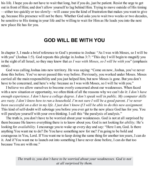his life. I hope you do not have to wait that long, but if you do, just be patient. Resist the urge to get out in front of Him; and don't allow yourself to lag behind Him. Trying to move outside of His timing —either too quickly or too slowly—will cause you the kind of frustration that makes you want to give up, because His presence will not be there. Whether God asks you to wait two weeks or two decades, be sensitive to His timing in your life and be willing to wait for Him as He leads you into the next new place He has for you.

# **GOD WILL BE WITH YOU**

In chapter 3, I made a brief reference to God's promise to Joshua: "As I was with Moses, so I will be with you" (Joshua 1:5). God repeats this pledge in Joshua 3:7: "This day I will begin to magnify you in the sight of all Israel, so they may know that *as I was with Moses, so I will be with you*" (emphasis mine).

God was calling Joshua into new territory. He was saying: "Come on now, Joshua, you've never done this before. You've never passed this way before. Previously, you worked under Moses. Moses carried all the main responsibility and you just helped him, but now Moses is gone. But you don't have to be concerned, and here's why: because as I was with Moses, so I will be with you."

I believe we allow ourselves to become overly concerned about our weaknesses. When faced with a new situation or opportunity, we often think of all the reasons why we can't do it: *I don't have enough experience. I don't have a college degree. I don't speak well in public. My computer skills* are rusty. I don't know how to run a household. I'm not sure I will be a good parent. I've never been successful on a diet in my life. I just don't know if I will be able to do this new assignment. This kind of self-doubt will sabotage you before you ever get to the new place God has for you. You will paralyze yourself with your own thinking. I call this "the paralysis of analysis."

The truth is, you don't have to be worried about your weaknesses. God is not at all surprised by them because He knows everything there is to know about you. God is not looking for *ability;* He's looking for *availability*. I encourage you to wake up every day and say: "Here I am, God. Is there anything You want me to do? Do You have something new for me? I'm going to be bold and courageous in You, Lord. If You want me to keep doing the same thing for another ten years, I can do it. And if You want me to launch out into something I have never done before, I can do that too because You are with me."

> *The truth is, you don't have to be worried about your weaknesses. God is not at all surprised by them.*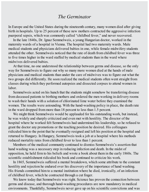#### *The Germinator*

In Europe and the United States during the nineteenth century, many women died after giving birth in hospitals. Up to 25 percent of these new mothers contracted the aggressive infection puerperal sepsis, which was commonly called "childbed fever," and never recovered.

In the late 1840s, Dr. Ignaz Semmelweis, a young Hungarian doctor, worked in the maternity wards of a hospital in Vienna. The hospital had two maternity wards. Male medical students and physicians delivered babies in one, while female midwifery students attended the other. Semmelweis noticed that the rate of death from childbed fever was three to five times higher in the ward staffed by medical students than in the ward where midwives delivered babies.

At that time, no one understood the relationship between germs and disease, so the only way for Semmelweis to figure out why so many more women died at the hands of male physicians and medical students than under the care of midwives was to figure out what the two groups did differently. He soon realized the medical students often went straight from classes during which they performed autopsies and dissected corpses to attend women in labor.

Semmelweis acted on his hunch that the students might somehow be transferring disease from deceased patients to birthing mothers and ordered the men working in delivery rooms to wash their hands with a solution of chlorinated lime water before they examined the women. The results were astounding. With the hand-washing policy in place, the death rate in the ward dropped from more than 18 percent to less than 1.5 percent.

We might think Semmelweis would be applauded for his outstanding work, but instead, he was widely and sharply criticized and even met with hostility. The director of the hospital where he worked felt Semmelweis had undermined his leadership, so he refused to grant the doctor any promotions or the teaching position he desired. His colleagues ridiculed him to the point that he eventually resigned and left his position at the hospital and returned to Hungary. In Hungary, Semmelweis took a job at a hospital where his methods reduced mortality rates from childbed fever to less than 1 percent.

Members of the medical community continued to dismiss Semmelweis's assertion that hand washing was a necessary step in reducing infection and death. In the midst of opposition, he held firm to his beliefs and wrote a book about them in the early 1860s. The scientific establishment ridiculed his book and continued to criticize his work.

In 1865, Semmelweis suffered a mental breakdown, which some attribute to the constant hostility and rejection he endured over his discovery of the importance of hand washing. His friends committed him to a mental institution where he died, ironically, of an infection of childbed fever, which he contracted through a cut finger.

We know today that Semmelweis was right. Science has proven the connection between germs and disease, and thorough hand-washing procedures are now mandatory in medical environments. Thankfully, Semmelweis never gave up on his scientific convictions and was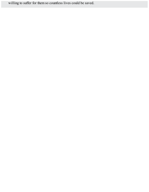willing to suffer for them so countless lives could be saved.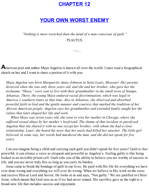### **[CHAPTER](#page-2-0) 12**

# **YOUR OWN [WORST](#page-2-0) ENEMY**

*"Nothing is more wretched than the mind of a man conscious of guilt."* PLAUTUS

**4300** 

**A**merican poet and author Maya Angelou is known all over the world. <sup>I</sup> once read <sup>a</sup> biographical sketch on her and I want to share a portion of it with you:

*Maya Angelou was born Marguerite Annie Johnson in Saint Louis, Missouri. Her parents divorced when she was only three years old, and she and her brother, who gave her the nickname "Maya," were sent to live with their grandmother in the small town of Stamps, Arkansas. There, the young Maya endured racial discrimination, which was legal in America's southern states at that time. Also in Arkansas, she observed and absorbed powerful faith in God and the gentle manner and courtesy that marked the tradition of her African American people. Angelou says her grandmother and extended family taught her the values that later shaped her life and work.*

*When Maya was seven years old, she went to visit her mother in Chicago, where she suf ered sexual abuse by her mother's boyfriend. The shame of that incident so paralyzed Angelou that she shared it with no one except her brother, with whom she had a close relationship. Later, she heard the news that her uncle had killed her attacker. The little girl believed, in some way, her words had murdered the man, and she did not speak for five years.*

Can you imagine being a child and carrying such guilt you didn't speak for five years? Guilt is *that* powerful; it can silence a voice as eloquent and powerful as Angelou's. Feeling guilty is like being locked in an invisible prison cell. Guilt robs you of the ability to believe you are worthy of success in life, and you are never truly free as long as you carry its burden.

Jesus came to break the bondage of guilt in our lives. He paid with His life for everything we have ever done wrong and everything we will ever do wrong. When we believe in His work on the cross and receive Him as Lord and Savior, He looks at us and says, "Not guilty." We are justified in Christ Jesus, which means that God sees us as if we had never sinned. His sacrifice gave us the right to a brand-new life that includes success and enjoyment.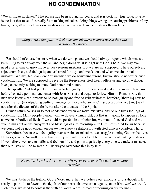# **NO CONDEMNATION**

"We all make mistakes." That phrase has been around for years, and it is certainly true. Equally true is the fact that most of us really *hate* making mistakes, doing things wrong, or causing problems. Many times, the guilt we feel over our mistakes is much worse than the mistakes themselves.

#### *Many times, the guilt we feel over our mistakes is much worse than the mistakes themselves.*

We should of course be sorry when we do wrong, and we should always repent, which means to be willing to turn away from the sin and begin doing what is right with God's help. We may even need a brief time of grieving over very serious mistakes. But we are not supposed to hate ourselves, reject ourselves, and feel guilty and ashamed for days and weeks on end when we sin or make mistakes. We may feel *convicted* of sin when we do something wrong, but we should not experience condemnation. We are supposed to receive the forgiveness God freely offers us and go on with our lives, constantly seeking to know God better and better.

The apostle Paul had plenty of reasons to feel guilty. He'd persecuted and killed many Christians before he had a personal encounter with Jesus Christ and began to follow Him. In Romans 8:1, this man who knew what it means to be both guilty and free of guilt writes: "Therefore, [there is] now no condemnation (no adjudging guilty of wrong) for those who are in Christ Jesus, who live [and] walk not after the dictates of the flesh, but after the dictates of the Spirit."

Human nature causes us to feel condemned when we make mistakes, and no one likes feelings of condemnation. Many people I know want to do everything right, but that isn't going to happen as long as we're in bodies of flesh. If we could be perfect in our behavior, we wouldn't need God and we would miss out on the enjoyment and blessings of a relationship with Him. Jesus died for us because we could not be good enough on our own to enjoy a relationship with God who is completely holy.

Sometimes, because we feel guilty over our sins or mistakes, we struggle to enjoy God or the lives He has given us. No matter how hard we try, we will never be able to live without making mistakes. If we believe we have to suffer and feel terrible and go on a guilt trip every time we make a mistake, then our lives will be miserable. The way to overcome this is by faith.

> *No matter how hard we try, we will never be able to live without making mistakes.*

We must believe the truth of God's Word more than we believe our emotions or our thoughts. It really is possible to *know* in the depths of our hearts that we are not guilty, even if we *feel* we are. At such times, we need to confess the truth of God's Word instead of focusing on our feelings.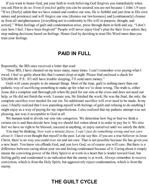If you want to honor God, put your faith to work believing God forgives you immediately when you ask Him to do so. Even if you *feel* guilty you can be assured you are not because 1 John 1:9 says: "If we [freely] admit that we have sinned and confess our sins, He is faithful and just (true to His own nature and promises) and will forgive our sins [dismiss our lawlessness] and [continuously] cleanse us from all unrighteousness [everything not in conformity to His will in purpose, thought, and action]." When feelings of guilt and condemnation arise, press through them in faith and say, "I don't care how I feel. I have been forgiven!" People will never enjoy God's plan for their lives unless they stop making decisions based on feelings. Honor God by deciding to trust His Word more than you trust your feelings.

### **PAID IN FULL**

Reportedly, the IRS once received a letter that read:

"Dear IRS, I have cheated on my taxes many, many times. I can't remember ever paying what I owed. I feel so guilty about this that I cannot sleep at night. Please find enclosed a check for \$20,000.00. P.S.: If I still have trouble sleeping, I'll send more money."

Guilt will cause people to do unusual things. Most of the time, guilt is nothing more than our pathetic way of sacrificing something to make up for what we've done wrong. The truth is, either Jesus did a complete and thorough job when He paid for our sins at the cross and does not need our help, or He did not finish the work. I assure you, He finished the work; He was the final, the only, the complete sacrifice ever needed for our sin. No additional sacrifice will ever need to be made. In my case, I finally realized that I was punishing myself with feelings of guilt and refusing to do anything I might enjoy as a way of paying for my imperfections. I also realized that my pathetic attempt was not pleasing, nor was it acceptable to God at all.

We humans tend to divide our sins into categories. We determine how big or bad we think a certain sin is and then decide how long we should feel rotten about it in order to pay for it. We also feel we have no right to be blessed, succeed at anything, or enjoy ourselves until we satisfy the debt.

You may be thinking, *Now wait a minute,Joyce, I can't just do something wrong and not care about it.* I have even thought that myself in the past. Let me say this: if you are a true believer in Jesus Christ, there is no way you could ever sin and not care. That is not possible because He has given you a new heart. You know sin offends God, and you love God, so of course you will care. But there is a difference between caring about your sin and feeling condemned because of it. Caring about it simply means the convicting power of the Holy Spirit is at work in a heart that is tender toward God, but feeling guilty and condemned is an indication that the enemy is at work. Always remember to receive conviction, which is from the Holy Spirit, but aggressively reject condemnation, which is from the enemy.

# **THE GUILT CYCLE**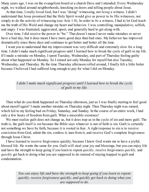Many years ago, I was on the evangelism board at a church Dave and I attended. Every Wednesday night, we walked around neighborhoods, knocking on doors and telling people about Jesus.

At that time, I really loved God, but I was "doing" witnessing, not *being* a witness. I didn't understand that Jesus promised that the Holy Spirit would give us power to *be* His witnesses, not simply to do the activity of witnessing (see Acts 1:8). In order to *be* a witness, I had to let God teach me the truth of His Word and change my heart and behavior. I was controlling, manipulative, selfish, and angry. I was frustrated, aggravated, upset, and generally hard to get along with.

Over time, I did receive the power to "be." That doesn't mean I never make mistakes or never have a bad day, but it does mean I have more good days than bad ones. My behavior has improved dramatically since those days and continues to get better and better all the time.

I want you to understand that my improvement was very difficult and extremely slow for a long time. I didn't make much significant progress until I learned how to break the cycle of guilt in my life. If I made a mistake on Monday, I spent Tuesday, Wednesday, and part of Thursday feeling guilty about what happened on Monday. So I ruined not only Monday for myself but also Tuesday, Wednesday, and Thursday. By the time Thursday afternoon rolled around, I finally felt a little better because I believed I had suffered long enough to pay for what I did on Monday.

> *I didn't make much significant progress until I learned how to break the cycle of guilt in my life.*

Then what do you think happened on Thursday afternoon, just as I was finally starting to feel good about myself again? I made another mistake on Thursday night. Then Thursday night was ruined, which led to my feeling bad on Friday, Saturday, and Sunday. In the course of an entire week, I had only a few hours of freedom from guilt. What a miserable existence!

We must realize guilt does not change us, but it does trap us in the cycle of sin and more guilt. The truth is, the guilt itself is sin because the Bible says whatever is not of faith is sin. Guilt is certainly not something we have by faith, because it is rooted in fear. A right response to sin is to receive conviction from God, admit the sin, confess it, turn from it, and receive God's complete forgiveness through Jesus Christ.

I have learned to receive forgiveness quickly, because I know God wants me to have a joyful, blessed life. He wants the same for you. Guilt will steal your joy and blessings, but you can enjoy life and have the strength to keep going if you learn to repent *quickly,* receive forgiveness *quickly,* and *quickly* get back to doing what you are supposed to do instead of staying trapped in guilt and condemnation.

> *You can enjoy life and have the strength to keep going if you learn to repent quickly, receive forgiveness quickly, and quickly get back to doing what you are supposed to do.*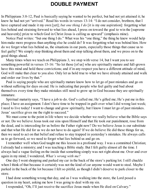# **DOUBLE PAYMENT**

In Philippians 3:8-12, Paul is basically saying he wanted to be perfect, but had not yet attained it; he knew he had not yet "arrived." Read his words in verses 13-14: "I do not consider, brethren, that I have captured and made it my own [yet]; *but one thing I do* [it is my one aspiration]: forgetting what lies behind and straining forward to what lies ahead, I press on toward the goal to win the [supreme and heavenly] prize to which God in Christ Jesus is calling us upward" (emphasis mine).

Notice Paul writes: "but one thing I do." What was his "one thing," the thing he knew would help him make more progress than anything else he could do? It was forgetting what was behind him. How do we forget what lies behind us, the situations in our pasts, especially those things that cause us to feel guilty? We simply stop thinking about them and stop talking about them, and we press on to the good things ahead.

Many times when we teach on Philippians 3, we stop with verse 14, but I want you to see something powerful in verses 15-16: "So let those [of us] who are spiritually mature and full-grown have this mind and hold these convictions; and if in any respect you have a different attitude of mind, God will make that clear to you also. Only let us hold true to what we have already attained and walk and order our lives by that."

Paul is saying people who are spiritually mature know how to let go of past mistakes and go on without suffering for days on end. He is indicating that people who feel guilty and bad about themselves every time they make mistakes still need to grow up in God because they are spiritually immature.

Spiritual maturity says, "I have a job to do. God's called me; He's gifted me; He's put me in this place; I have an assignment. I don't have time to be trapped in guilt over what I did wrong last week; I need to live today! I want to change and grow spiritually, but I know I must let go of past mistakes. Jesus' sacrifice gives me the right to succeed."

We must come to the point in life where we decide whether we really believe what the Bible says or not. Do we believe Jesus took our sins upon Himself and that He took our punishment, rose from the dead, and is interceding for us before the Father right now? Do we believe Jesus is our substitute and that what He did for us we do not have to do again? If we do believe He did these things for us, then we need to act on that belief and refuse to stay trapped in yesterday's mistakes. He always calls us to go forward, so we need to forget what lies behind us and go on.

I remember well when God taught me this lesson in a profound way. I was a committed Christian; I already had a ministry; and I was teaching a Bible study. But I felt guilty almost all the time. I always had a vague feeling on the inside that something simply was not right about me. Over and over again in my mind, I wondered, *What's wrong with me?*

One day I went shopping and parked my car in the back of the store's parking lot. I still chuckle when I think of that because it certainly was not the kind of car anyone would want to steal. Maybe I parked in the back of the lot because I felt so pitiful, as though I didn't deserve to park closer to the store.

I had done something wrong that day, and as I was walking into the store, the Lord posed a question in my heart, asking me how I was going to deal with my sin.

I responded, "Oh, I'll just receive the sacrifice Jesus made when He died on Calvary."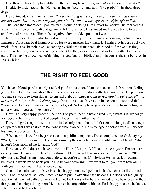God then continued to place different things in my heart: *I see, and when do you plan to do that?* I suddenly understood what He was trying to show me, and said, "Oh, probably in about three days."

He continued: *Don't you realize all you are doing is trying to pay for your sin and I have already done that? You can't pay for your sin. I've done it through the sacrifice of My Son.*

The Lord then impressed upon me that I would be doing Him a favor to receive His forgiveness and simply let go of the guilt and get on with His business. He showed me He was trying to use me and I was of no value to Him in the negative, downtrodden position I was in.

None of us can be of value to God while we're trapped in guilt and condemning feelings. Only immature Christians beat themselves up for every mistake they make. But mature believers apply the work of the cross in their lives, accepting by faith that Jesus shed His blood to forgive our sins, receiving His forgiveness, and going on about the things God has called us to do without a trace of guilt. This may be a new way of thinking for you, but it is biblical and it is your right as a believer in Jesus Christ.

# **THE RIGHT TO FEEL GOOD**

You have a blood-purchased right to feel good about yourself and to succeed in life without feeling guilty. I want you to think about this: Jesus paid for your freedom with His own blood. He purchased you and set you free from slavery to sin and guilt. *You have a right to feel good about yourself and to succeed in life without feeling guilty.* You do not even have to be in the neutral zone and feel "okay" about yourself; you can actually feel good. Not only have you been set free from feeling bad about yourself, you can like yourself!

Dave is a very happy, peaceful person. For years, people have asked him, "What's it like for you for Joyce to be the one in front of people? Doesn't that bother you?"

Dave did go through some transition in the early years, but it didn't take him long at all to accept completely that I was called to be more visible than he is. He is the type of person who simply sets his mind to agree with God.

When our ministry first began to take on a public component, Dave complained to God, saying, "Well, this doesn't seem fair. The man is usually the one who is most visible and 'out front.' Why haven't You anointed me to teach, God?"

Dave knew God does not have to explain Himself or justify His actions to anyone. I'm not sure exactly how He answered Dave's question, but I do know Dave soon came to me and said, "It's obvious that God has anointed you to do what you're doing. It's obvious He has called you and I believe He wants me to back you up and be your covering. I just want to tell you, from now on I'm with you; I'm for you. I'll go where you go."

One of the main reasons Dave is such a happy, contented person is that he never walks around feeling belittled because I often receive more public attention than he does. He does not feel guilty about what he is not called or anointed to do. He knows what he is anointed to do; he is great at those things; and he enjoys doing them. He is never in competition with me. He is happy because he knows who he is and he likes himself.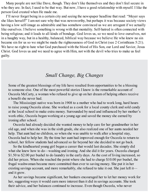Many people are not like Dave, though. They don't like themselves and they don't feel secure in who they are. In fact, I used to be that way. But now, I have a good relationship with myself. I like the person God created when He made me.

I'll never forget being in a certain city and seeing the newspaper headline that read: "Meyer says she likes herself!" I am not sure why that was newsworthy, but perhaps it was because society views having a low self-image as admirable and has somehow convinced us we are arrogant if we actually like ourselves. I believe something is wrong with that mentality. Self-hatred is often connected with being religious; and it leads to all kinds of bondage. God loves us, so we need to love ourselves, not in a haughty way, but in a healthy, balanced, biblical way because we believe He who knew no sin became sin for us so we might be made the righteousness of God in Christ (see 2 Corinthians 5:21). We have no right to hate what God purchased with the blood of His Son, our Lord and Savior, Jesus Christ. God loves us and we need to agree with Him, not with the devil who tries to make us feel guilty.

### *Small Change, Big Changes*

Some of the greatest blessings of my life have resulted from opportunities to be a blessing to someone else. One of the most powerful stories I know is the remarkable account of Osceola McCarty, a woman who refused to give up on her dream of helping others receive a benefit she never had.

The Mississippi native was born in 1908 to a mother who had to work long, hard hours to raise young Osceola alone. She worked as a cook for a local county clerk and sold candy at the local school to make extra money. Surrounded by need and influenced by her mother's work ethic, Osceola began working at a young age and saved the money she earned by ironing after school.

Osceola had already decided she wanted money to help care for her grandmother in her old age, and when she was in the sixth grade, she also realized one of her aunts needed her help. That aunt had no children, so when she was unable to walk after a hospital stay, Osceola had to help her. By the time her aunt had improved enough for Osceola to return to school, her fellow students had advanced so far beyond her she decided to not go back.

So the kindhearted young girl began a career that would last decades. She simply did what she knew how to do—washing and ironing. And she did it for years. Osceola charged \$1.50 to \$2.00 per bushel to do laundry in the early days. As the cost of living increased, so did her prices. When she reached the point where she had to charge \$10.00 per bushel, the frugal washwoman became more committed than ever to saving money. She put it in her existing savings account, and more remarkably, she refused to take it out. She just left it and it grew.

As her savings became significant, her bankers encouraged her to let her money work for her, suggesting ways it would earn more interest than it did in savings accounts. She took their advice, and her balances continued to increase. Even though Osceola, who never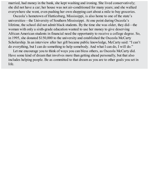married, had money in the bank, she kept washing and ironing. She lived conservatively; she did not have a car; her house was not air-conditioned for many years; and she walked everywhere she went, even pushing her own shopping cart about a mile to buy groceries.

Osceola's hometown of Hattiesburg, Mississippi, is also home to one of the state's universities—the University of Southern Mississippi. At one point during Osceola's lifetime, the school did not admit black students. By the time she was older, they did—the woman with only a sixth-grade education wanted to use her money to give deserving African American students in financial need the opportunity to receive a college degree. So, in 1995, she donated \$150,000 to the university and established the Osceola McCarty Scholarship. In an interview after her gift became public knowledge, McCarty said: "I can't do everything, but I can do something to help somebody. And what I can do, I will do."

Let me encourage you to think of ways you can bless others, as Osceola McCarty did. Have some kind of dream that involves more than getting ahead personally, but that also includes helping people. Be as committed to that dream as you are to other goals you set in life.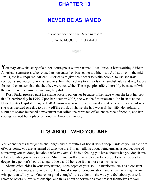### **[CHAPTER](#page-2-1) 13**

# **NEVER BE [ASHAMED](#page-2-1)**

*"True innocence never feels shame."* JEAN-JACQUES ROUSSEAU

ඥාල

You may know the story of a quiet, courageous woman named Rosa Parks, a hardworking African American seamstress who refused to surrender her bus seat to a white man. At that time, in the mid-1950s, the law required African Americans to give their seats to white people, to use separate restrooms and water fountains, and to submit themselves to all sorts of shameful rules and regulations for no other reason than the fact they were not white. These people suffered terribly because of who they were, not because of anything they did.

Rosa Parks pressed past the shame society put on her because of her race when she kept her seat that December day in 1955. Upon her death in 2005, she was the first woman to lie in state at the United States Capitol. Imagine that! A woman who was once refused a seat on a bus because of who she was decided one day to throw off the cloak of shame she had worn all her life. Her refusal to submit to shame launched a movement that rolled the reproach off an entire race of people, and her courage earned her a place of honor in American history.

# **IT'S ABOUT WHO YOU ARE**

You cannot press through the challenges and difficulties of life if down deep inside of you, in the core of your being, you are ashamed of who you are. I'm not talking about being embarrassed because of something you've done, but about *who you are.* Guilt is a feeling you have about what you do; shame relates to who you are as a person. Shame and guilt are very close relatives, but shame lodges far deeper in a person's heart than guilt does, and I believe it is a more serious issue.

Shame often hides in your very nature, in the depth of your soul. It manifests itself as a constant feeling of uneasiness, a low-level but continual sense of condemnation, and a never-ending internal whisper that tells you, "You're not good enough." It is evident in the way you feel about yourself, relate to others, view relationships, and think about opportunities that present themselves to you.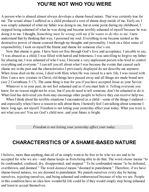# **YOU'RE NOT WHO YOU WERE**

A person who is abused almost always develops a shame-based nature. That was certainly true for me. The sexual abuse I suffered as a child produced a root of shame deep inside of me. Early on, I was simply ashamed of what my father was doing to me, but at some point during my childhood, I stopped being ashamed of what he was doing and became terribly ashamed of myself because he was doing it to me. I thought, *Something must be wrong with me if he wants to do this to me.* I now understand that by thinking that way, I poisoned my soul. Everything in me became tainted as the destructive power of shame coursed through my thoughts and personality. I took on a false sense of responsibility; I took on myself the blame and shame for someone else's sin.

Now that shame is gone. I have been set free through God's love and acceptance. I am able to say, "I was abused as a child; I was filled with hatred and bitterness; I was unwilling to forgive my father for abusing me; I was ashamed of who I was; I became a very unpleasant person who tried to control everything and everyone." I can tell you all about what I was because the events that caused such shame are in the past and the characteristics I previously displayed do not describe me anymore. When Jesus died on the cross, I died with Him; when He was raised to a new life, I was raised with Him. I am a new creature in Christ; old things have passed away and all things are made brand new (see 2 Corinthians 5:17). The same thing is true for you if you have accepted Jesus as your Savior.

Whatever is in your past, do not feel ashamed and as if you must hide it. Telling everyone you know for no reason might not be wise, but if you do need to tell someone, don't be ashamed to do it. What God has delivered you from may encourage other people to believe they can receive help too.

When I think about the terrible situations I encountered as a child—some of the things I endured and especially when I have a reason to talk about them, I honestly feel I am talking about someone I knew long ago, not myself. Freedom is not letting your yesterday affect your today. What you were is not what you are! You are God's child now, and your future is bright.

*Freedom is not letting your yesterday af ect your today.*

# **CHARACTERISTICS OF A SHAME-BASED NATURE**

I believe, more than anything, that all of us simply want to be free to be who we are and to be accepted for who we are—and shame keeps us from being able to do that. The word *shame* means "to be confounded, confused, dry, disappointed, and stopped." To be confounded means "to be defeated, overthrown, and damned." The word *damned* means "doomed to punishment." Therefore, if we have shame-based natures, we are doomed to punishment. We punish ourselves every day by hating ourselves, rejecting ourselves, and being ashamed and embarrassed because of who we are. People in this condition have no idea how wonderful life could be if they would simply stop being ashamed and learn to accept themselves.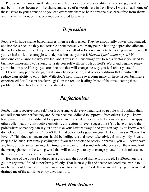People with shame-based natures may exhibit a variety of personality traits or struggle with a number of issues because of the shame and sense of unworthiness in their lives. I want to call some of these issues to your attention so you can overcome them or help someone else break free from shame and live in the wonderful acceptance Jesus died to give us.

### *Depression*

People who have shame-based natures often are depressed. They're emotionally down, discouraged, and hopeless because they feel terrible about themselves. Many people battling depression alienate themselves from others. They live isolated lives full of self-doubt and totally lacking in confidence. If you've had a lifetime struggle with depression, ask yourself, *How do I feel about myself?* No medicine can change the way you feel about yourself. I encourage you to see a doctor if you need to, but more importantly you should saturate yourself with the truth of God's Word and begin to renew your mind on who He says you are, because that will change the way you feel about yourself.

I know many people struggle with anxiety, depression, and other conditions that significantly reduce their ability to enjoy life. With God's help, I have overcome many of these issues, but I have experienced few "instant breakthroughs" on the road to healing. Most of the time, leaving these problems behind has to be done one step at a time.

### *Perfectionism*

Perfectionists receive their self-worth by trying to do everything right so people will applaud them and tell them how perfect they are. Some become addicted to approval from others. Do you know how painful it is to be addicted to approval and the kind of person who becomes angry or unhappy if others offer healthy constructive criticism, correction, or even suggestions? You have to get to the point where somebody can say, "I don't like your hair that way," and you can say, "You know what? I do." Or someone might say, "I don't think that color looks good on you." But you can say, "Okay, but I love it." This does not mean you should be belligerent and never take advice from anybody. Please keep the balance. I'm simply saying that if you are addicted to others' approval, you will never have any freedom. Satan can arrange ten times every day to find somebody who gives you the wrong look, the wrong glance, or the wrong word that will cause you to try to change yourself to suit others; so, therefore, you are never true to yourself.

Because of the abuse I endured as a child and the root of shame it produced, I suffered horrible guilt every time I failed to perform perfectly. That intense guilt and shame rendered me unable to do much that would make a difference or amount to anything for God. It was an underlying pressure that drained me of the ability to enjoy anything I did.

### *Hard-Heartedness*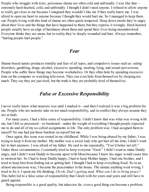People who struggle with toxic, poisonous shame are often cold and unfriendly. I was like that extremely hard-hearted, cold, and unfriendly. I thought I didn't need anyone. I refused to allow anyone to really get close to me because I imagined they wouldn't like me if they really knew me. I was afraid to open my heart to anyone because I thought they would hurt me. So I managed to keep them out. People living with this kind of shame are often quick-tempered. Deep down inside they're angry about their lives and the things that have happened to them, but they express it wrongly. Hard-hearted people usually have an edge of harshness about them and spend their lives being misunderstood. Everyone thinks they are mean, but in reality they're deeply wounded and hurt. Always remember, "hurting people hurt people."

#### *Fear*

Shame-based nature produces timidity and fear of all types, and compulsive issues such as: eating disorders, gambling, drugs, alcohol, excessive spending, stealing, lying, and sexual perversions. People who suffer these things may become workaholics. Or they often hide by spending excessive time on the computer or watching television. They can even hide from themselves by sleeping too much. They say they are just tired, but the truth is they are probably tired of themselves.

### *False or Excessive Responsibility*

I never really knew what neurosis was until I studied it—and then I realized it was a big problem for me. People who are neurotic take on too much responsibility, and in conflict they always assume they are at fault.

For many years, I had a false sense of responsibility. I didn't know that was what was wrong with me, but I felt so pressured—so burdened—under the weight of everything I thought people expected me to do and all of my so-called assignments in life. The only problem was: I had assigned them to myself! No one had put those burdens on myself but me.

Once again, this issue was rooted in my childhood. While I was being abused by my father, I was trying to keep it from my mother. My mother was a sweet lady who got hurt all the time; I didn't want her to hurt anymore. I was afraid of my father. He said to me repeatedly, "You'd better not tell." Under those circumstances, I constantly tried to keep everyone "fixed." I didn't want to make Daddy angry, and I didn't want Daddy to become upset with Mom because I knew his anger would cause him to mistreat her. So I had to keep Daddy happy; I had to keep Mother happy. I had one brother, and I tried to keep him from finding out or getting hurt. I thought I had to keep everything fixed. So in an almost unconscious way, I became the peacemaker in the house. The minute anything went wrong, I tried to fix it. I spent my life thinking, *Uh-oh, Dad's getting mad. What can I do to bring peace?* This habit led to a false sense of responsibility that I dealt with for years and years and still have to guard against.

Being responsible is a good quality, but taken too far, even a good thing can become a problem.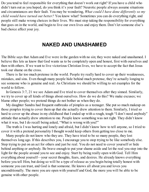Do you tend to feel responsible for everything that doesn't work out right? If you have a child who didn't turn out as you hoped, do you think it's your fault? Neurotic people always assume situations and circumstances are their fault. You may be wondering, *What could I have done differently so my child would have turned out better?* You know what? Sometimes you can do everything right, and people still make wrong choices in their lives. We must stop taking the responsibility for everything that goes on in the world, and begin to live our own lives and enjoy them. Don't let someone else's bad choice affect your joy.

# **NAKED AND UNASHAMED**

The Bible says that Adam and Eve were in the garden with no sin; they were naked and unashamed. I believe this lets us know that God wants us to be completely open and honest, first with ourselves and then with others. If we want to live victorious Christian lives, we have to accept the fact that Jesus took our shame on the cross.

There is far too much pretense in the world. People try really hard to cover up their weaknesses, mistakes, and sins. Even though many people hide behind much pretense, they're actually longing to see someone who is genuine and real. As Christians we should be willing to set examples for the world to follow.

In Genesis 3:7, 21 we see Adam and Eve tried to cover themselves after they sinned. Similarly, we try to cover up all kinds of things about ourselves. How do we do this? We make excuses; we blame other people; we pretend things do not bother us when they do.

My daughter Sandra had frequent outbreaks of pimples as a teenager. She put so much makeup on those pimples trying to cover them up that she actually drew attention to them. Similarly, I tried so hard to cover up the abuse in my childhood that I ended up with a rough, tough "I don't need anybody" attitude that actually drew attention to me. People knew something was not right. They didn't know what it was, but I do recall being asked, "What is wrong with you?"

The truth is I was hurting and lonely and afraid, but I didn't know how to tell anyone, so I tried to cover it with a pretend personality I thought would keep others from getting too close to me.

Many people do not know who they are. They have tried to be so many people, they lost themselves long ago. If this describes you, I encourage you to stop trying to be like somebody else. Stop trying to put on an act for others and just be real. You do not need to cover yourself or hide behind anything or anybody. Be brave enough to put your shame aside and let the real you step into the light for the people around you to see and enjoy. Start by being really open with God. Tell Him everything about yourself—your secret thoughts, fears, and desires. He already knows everything before you tell Him, but doing so will be a type of release as you begin being totally honest with someone you can trust, and God is that someone. He knows all about you and loves you unconditionally. The more you are open with yourself and God, the more you will be able to be genuine with other people.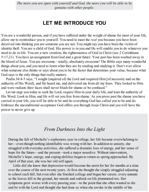*The more you are open with yourself and God, the more you will be able to be genuine with other people.*

# **LET ME INTRODUCE YOU**

You are a wonderful person, and if you have suffered under the weight of shame for most of your life, allow me to reintroduce you to yourself. You need to meet the *real* you because you have been deceived into thinking you are someone you are not. You might say you have been the victim of identity theft. You are a child of God. His power is in you and He will enable you to do whatever you need to do in life. You are a new creation, the righteousness of God in Christ (see 2 Corinthians 5:17,21). You have an assignment from God and a great future. Your past has been washed away in the blood of Jesus. You are awesome—totally, absolutely awesome! The Bible says many wonderful things about you, and you need to learn what they are by reading and studying it. Don't ever allow what someone else thinks or says about you to be the factor that determines your value, because what God says is the only things that really matters.

Psalm 34:4-5 says, "I sought (inquired of) the Lord and required Him [of necessity and on the authority of His Word], and He heard me, and delivered me from all my fears. They looked to Him and were radiant; their faces shall never blush for shame or be confused."

Let me urge you today to seek the Lord, require Him in your daily life, and trust the authority of His Word. Look to Him, and He will set you free from shame. As you press past the shame you have carried in your life, you will be able to be and do everything God has called you to be and do. Embrace the unconditional acceptance God offers you through Jesus Christ and you will have the power to never give up.

#### *From Darkness Into the Light*

During the fall of Michelle's sophomore year in college, her life became overwhelming to her—even though nothing identifiable was wrong with her. In addition to anxiety, she struggled with everyday activities, she suffered a dramatic loss of energy, and her sense of hope for the future—and the present—took a major nosedive. Without intervention, Michelle's hope, energy, and coping abilities began to return as spring approached. By April of that year, she was her old self again.

Little did she know that depression would become the norm for her for months at a time over the course of the next twenty years. At first she thought she simply struggled adjusting to school each fall, but even after she finished college and began her career, every autumn as the leaves fell to the ground, her moods and outlook on life plummeted too. Her symptoms grew worse with every passing year—to the point that she often wanted to die and be with the Lord and thought she had done so when she awoke in the middle of the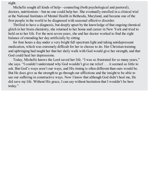night.

Michelle sought all kinds of help—counseling (both psychological and pastoral), doctors, nutritionists—but no one could help her. She eventually enrolled in a clinical trial at the National Institutes of Mental Health in Bethesda, Maryland, and became one of the first people in the world to be diagnosed with seasonal affective disorder.

Thrilled to have a diagnosis, but deeply upset by the knowledge of that ongoing chemical glitch in her brain chemistry, she returned to her home and career in New York and tried to hold on to her life. For the next seven years, she and her doctor worked to find the right balance of extending her day artificially by sitting

for four hours a day under a very bright full spectrum light and taking antidepressant medication, which was extremely difficult for her to choose to do. Her Christian training and upbringing had taught her that her daily walk with God would give her strength, and that God could heal her depressions.

Today, Michelle knows the Lord saved her life. "I was so frustrated for so many years," she says. "I couldn't understand why God wouldn't give me relief . . . it seemed so little to ask. But God's ways aren't our ways, and His timing is often different than ours would be. But He does give us the strength to go through our afflictions and the insight to be able to use our suffering in constructive ways. Now I know that although God didn't heal me, He did save my life. Without His grace, I can say without hesitation that I wouldn't be here today."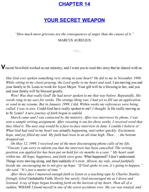#### **[CHAPTER](#page-2-2) 14**

# **YOUR SECRET [WEAPON](#page-2-2)**

*"How much more grievous are the consequences of anger than the causes of it."* MARCUS AURELIUS

**4300** 

**V**incent Newfield worked at our ministry, and <sup>I</sup> want you to read this story that he shared with us:

*Has God ever spoken something very strong in your heart? He did to me in November 1998. While sitting in my closet praying, the Lord spoke to my heart and said,* I am moving you and your family to St. Louis to work for Joyce Meyer. Your gift will be a blessing to her, and you and your family will be blessed greatly.

*Wow! Was that really God*? *He had never spoken to me that way before. Repeatedly, His* words rang in my ears for weeks. The strange thing was, I had yet to fill out an application *or send in my resume. But in January 1999, I did. Within weeks my references were being called. I was in awe.* Could God have really spoken to me? *I thought.* Is He really moving us to St. Louis? *A new journey of faith began to unfold.*

*March came and I was contacted by the ministry. After two interviews by phone, I was sent a sample writing assignment. After sweating it out for three weeks, I received word that they liked it. The next step would be a face-to-face interview in June. I couldn't believe it! What God had said in my heart was* actually *happening, and rather quickly. Excitement,* hope, and joy filled my soul. My faith had risen to an all-time high. Then  $\dots$  the bottom *dropped out.*

*On May 12, 1999, I received one of the most discouraging phone calls of my life. "Vincent, I am sorry to inform you that the interview has been cancelled. The writing position you applied for has been put on hold for six months to a year." My heart sank within me. All hope, happiness, and faith were gone.* What happened? I don't understand. Things were moving along, and then suddenly it's over. *Allison, my wife, stood faithfully beside me, encouraging me to not give up hope. "If God spoke to you, it's going to happen," she said. "It's just a matter of time."*

*After three days I mustered enough faith to listen to a teaching tape by Charles Stanley fittingly titled* Unshakable Faith. *Slowly but surely, God encouraged me as I drove and listened. A ray of hope began breaking forth on the horizon of my heart. Then all of a sudden,* WHAM! *I found myself in one of the worst accidents ever. My car was totaled, and*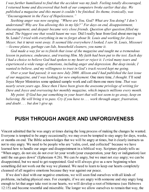*I was further humiliated to find that the accident was my fault. Feeling totally discouraged, I returned home and discovered that both of our computers broke earlier that day. We published a magazine and this meant it couldn't be finished. Its theme, ironically, was "Encouragement in the Face of Hopelessness."*

*Seething anger was now surging. "Where are You, God? What are You doing? I don't understand? Why are You allowing this in my life?" For days on end, disappointment, discouragement, and despair became very close friends. Question after question filled my mind. The biggest one that would haunt me was:* Did I really hear from God about moving to St. Louis? *I tried with everything in me to forget about St. Louis and working for Joyce Meyer, but it* never *went away. It seemed like everywhere I looked, I saw St. Louis, Missouri —license plates, garbage can lids, household cleaners, you name it.*

*God made a way for us to finish that issue of the magazine and taught me a tremendous lesson in patience, endurance, and trusting Him. My faith had been put to the test. Each day* I had a choice to believe God had spoken to my heart or reject it. I cried many tears and *experienced a wide range of emotions, including anger and depression. But deep inside, I wanted to believe, and my willingness to trust in God's track record kept me going.*

*Over a year had passed; it was now July 2000. Allison and I had published the last issue of our magazine, and I was looking for new employment.* One more time, *I thought.* I'll send Joyce Meyer Ministries some updated sample work and call them one more time. *That was nearly seven years ago. Since then I have been given the awesome privilege of writing for Dave and Joyce and overseeing her monthly magazine, which impacts millions every month.*

*My point: If God has put something in your heart that will not seem to go away, keep on* believing. He will bring it to pass. Cry if you have to ... work through anger, frustration, *and doubt . . . but don't give up.*

# **PUSH THROUGH ANGER AND UNFORGIVENESS**

Vincent admitted that he was angry at times during the long process of making the changes he wanted. Everyone is tempted to be angry occasionally; we may even be tempted to stay angry for days, weeks, or months on end. The Bible acknowledges that we will be angry at times, but it clearly instructs us not to stay angry. We need to be people who are "calm, cool, and collected" because we have learned how to handle our anger and disappointment in a biblical way. Scripture plainly tells us: "When angry, do not sin; do not ever let your wrath (your exasperation, your fury or indignation) last until the sun goes down" (Ephesians 4:26). We can *be* angry, but we must not *stay* angry; we can be disappointed, but we need to get reappointed. God will always give us a new beginning when something did not work out the way we planned. We need to learn to keep our hearts completely cleansed of all negative emotions because they war against our peace.

If we don't deal with our negative emotions, we will soon find ourselves with all kinds of problems, including physical ones. For example, if we are angry with someone and stay angry long enough to let that anger take root in our hearts, we will develop a root of bitterness (see Hebrews 12:15) and become resentful and miserable. The longer we allow ourselves to remain that way, the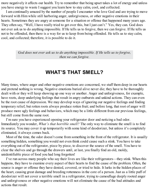more negatively it affects our health. Try to remember that being upset takes a lot of energy and unless you have energy to waste I suggest you learn how to stay calm, cool, and collected.

I am continually amazed by the number of people I encounter who love God and are trying to move forward with Him while still harboring anger, unforgiveness, or other negative emotions in their hearts. Sometimes they are angry at someone for a situation or offense that happened many years ago. They often say, "Well, I have really tried to get over this, but I just can't." Yes, they can. God does not ever ask us to do anything impossible. If He tells us to forgive, then we can forgive. If He tells us not to be offended, then there is a way for us to keep from being offended. He tells us to stay calm, cool, and collected; therefore, it is possible to do it.

> *God does not ever ask us to do anything impossible. If He tells us to forgive, then we can forgive.*

# **WHAT'S THAT SMELL?**

Many times, where anger and other negative emotions are concerned, we stuff them deep in our hearts and pretend nothing is wrong. Negative emotions buried alive never die; they have to be thoroughly dealt with or they will keep showing up one way or another. Anger and unforgiveness, for example, have roots, deep underlying feelings that result in angry outbursts and unkind actions. They can even be the root cause of depression. We may develop ways of ignoring our negative feelings and finding temporary relief, but rotten roots always produce rotten fruit; and before long, that root of anger will produce more ugly feelings and behaviors, which may be a little different from our previous feelings, but still come from the same root.

I'm sure you have experienced opening your refrigerator door and noticing a bad odor. Immediately you wonder, *What's that horrible smell?* The only way to eliminate the smell is to find its source. You may cover it up temporarily with some kind of deodorizer, but unless it's completely eliminated, it always comes back.

Most of the time, the odor doesn't come from something in the front of the refrigerator. It is usually something hidden, something you would not even think could cause such a stink. You have to take everything out of the refrigerator, piece by piece, to discover the source of the smell. You have to clear the shelves and go through the drawers until, at last, you finally find an old, moldy, unidentifiable piece of food you had long forgotten!

I've run across many people who say their lives are like their refrigerators—they stink. When this happens, they have to examine every aspect of their hearts to find the cause of the problem. Often, the source is anger or offense they have denied, covered, or tried to hide. It lurks in the hidden places of the heart, causing great damage and breeding rottenness in the core of a person. Just as a little puff of deodorizer will not cover a terrible smell in a refrigerator, trying to camouflage deeply rooted anger and unforgiveness or other negative emotions will not eliminate the cause of the bad attitudes and actions that result.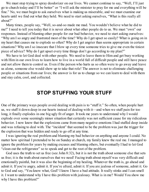We must stop trying to spray deodorizer on our lives. We cannot continue to say, "Well, I'll just go to church today and I'll be better" or "I will ask the minister to pray for me and everything will be fine." No, we must begin to ask ourselves what is making us miserable, and we must examine our hearts until we find out what they hold. We need to start asking ourselves, "What is this really all about?"

Many times, people say, "Well, so-and-so made me mad. You wouldn't believe what he did to me!" I need to tell you today that it is never about what other people do to us. We must "own" our responses. Instead of blaming other people for our bad behavior, we need to start asking ourselves: "Why am I so angry and frustrated most of the time? Why do I get upset so easily? What is going on in my heart that causes me to explode so often? Why do I get angrier than seems appropriate in certain situations? Why am I so insecure that I blow up every time someone tries to give me even the tiniest piece of advice? Why do I get upset every time things don't go according to my plan?"

We have to let God deal with other people. We need to leave them to Him and get busy working with Him in our own lives to learn how to live in a world full of difficult people and still have peace and not allow them to control us. Even if the person who hurts us so often were to go away and leave us alone, someone else would show up to take that role! The answer is not to eliminate challenging people or situations from our lives; the answer is for us to change so we can learn to deal with them and stay calm, cool, and collected.

### **STOP STUFFING YOUR STUFF**

One of the primary ways people avoid dealing with pain is to "stuff it." So often, when people hurt us, we stuff it down deep in our hearts instead of dealing with it—and when we stuff pain for too long, it finally explodes in one big ugly fit of anger. It took me years to understand why I would explode over some seemingly minor situation that certainly was not sufficient cause for my ridiculous behavior. I now know that the explosions came from many negative emotions I had stuffed deep inside and was refusing to deal with. The "incident" that seemed to be the problem was just the trigger for the explosion that was hidden and ready to go off at any time.

I was ignoring the real problem and blaming my bad behavior on anything and anyone I could. No matter how spiritual I pretended to be on Sunday at church, my family knew the real me. I managed to ignore the problem for years by making excuses and blaming others, but eventually I had to let God "clean out the refrigerator" so to speak and get to the root of the problem.

God uses the truth to set us free (see John 8:32), but it is not the truth about someone else that sets us free; it is the truth about ourselves that we need! Facing truth about myself was very difficult and emotionally painful, but it was also the beginning of my healing. Whatever the truth is, go ahead and admit it. If you're angry, admit it. If you're afraid, admit it. If you are jealous of someone, admit it. Go to God and say, "You know what, God? I know I have a bad attitude. It really stinks and I can smell it. I want to understand why I have this problem with jealousy. What is in me? Would You show me why I have this problem?"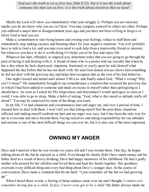*God uses the truth to set us free (see John 8:32), but it is not the truth about someone else that sets us free; it is the truth about ourselves that we need!*

Maybe the Lord will show you immediately what your struggle is. Perhaps you are insecure; maybe you do not know who you are in Christ. You may compare yourself to others too often. Perhaps you suffered a major hurt or disappointment years ago and you have not been willing to forgive or allow God to heal you yet.

Make a commitment to start being honest and owning your feelings; refuse to stuff them and immediately stop making excuses and blaming others for your negative emotions. You will probably have to talk to God a lot, and you may even need to seek help from a trustworthy friend or minister, but whatever you have to do is worth doing if it helps you to be free and enjoy life.

Whatever has hurt, offended, or angered you, determine today that you are going to go through the pain of facing it and dealing with it. A friend of mine who is a pastor told me recently that when he has a day where he feels depressed, impatient, frustrated, or easily upset he asks himself what happened the day before that he has not dealt with. He said God almost always shows him something he did not deal with the previous day and helps him recognize that as the root of his bad behavior.

One night I tossed and turned until almost 5:00 a.m. and finally asked God, "What's wrong? Why can't I sleep?" He immediately brought to my remembrance a situation that occurred the previous day in which I had been unkind to someone and made an excuse to myself rather than apologizing as I should have. As soon as I asked for His forgiveness and determined I would apologize as soon as I could, I was able to go to sleep. Make a habit of asking, "God, what is this mood or attitude really all about?" You may be surprised by some of the things you learn.

In my life, I've had situations and circumstances hurt and anger me, and over a period of time, I learned how to deal with them. I won't tell you that letting myself feel the pain those situations inflicted and making myself confront my hurt and my anger was easy, but it has been the only way for me to overcome and move beyond them. Facing ourselves and taking responsibility for our attitudes and actions is one of the most difficult things we can ever do, but it is also one of the most important.

### **OWNING MY ANGER**

Dave and I married when he was twenty-six years old and I was twenty-three. One day, he began talking about all the fun he enjoyed as a child. Even though his family didn't have much money and his father died as a result of heavy drinking, Dave had happy memories of his childhood. He had a godly mother who prayed for her children and loved them and kept her family together. Her goodness overrode every difficult thing and every bad thing about Dave's younger days. In the course of conversation, Dave made a comment that hit me hard: "I just remember all the fun we had growing up."

When I heard those words, a feeling of deep sadness came over me and I thought, *I cannot ever remember having fun as a child. In fact, I never even got to be a child.* My father always made me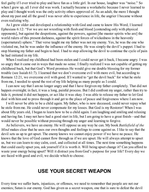feel guilty if I ever tried to play and have fun as a little girl. In our house, laughter was "noise." So when I grew up, all I ever did was work. I actually became a workaholic because I never learned to play and I thought work was the only activity others approved of. As an adult, the more I thought about my past and all the good I was never able to experience in life, the angrier I became without even realizing why.

As I grew older and developed a relationship with God and came to know His Word, I learned Ephesians 6:12: "For we are not wrestling with flesh and blood [contending only with physical opponents], but against the despotisms, against the powers, against [the master spirits who are] the world rulers of this present darkness, against the spirit forces of wickedness in the heavenly (supernatural) sphere." That verse taught me my father was not my enemy. Yes, he was the one who violated me, but he was under the influence of the enemy. He was simply the devil's puppet. I had to stop blaming my father and begin to heal. I had to stop allowing the devil to continue the cycle of pain he had initiated in my life.

When I realized my childhood had been stolen and I could never get it back, I became angry. I was so angry that it came out in ways that made no sense. I finally realized I was not capable of getting my childhood back, but that God's Word promises He would give me double blessing for my former trouble (see Isaiah 61:7). I learned that we don't overcome evil with more evil, but according to Romans 12:21, we overcome evil with good. If I wanted to "get the devil back" for what he stole from me, I needed to spend the rest of my life helping as many people as I could.

I can now say that I am no longer angry and that I have forgiven my father completely. That did not happen overnight; in fact, it was a long, painful process. But I did confront my anger, rather than try to hide it, pretend it did not happen, or act like it was okay. I was able to release my father to let God deal with him and to press through it and get to the place of peace and forgiveness where I am now.

I will never be able to be a child again. My father, who is now deceased, could never repay what he stole from me. He could never compensate for my losses. But God is my Restorer! When I was about fifty years old, I began to learn how to be a child again. I am laughing and smiling and relaxing and having fun. I may not have had a good start in life, but I am going to have a great finish—and that would never be possible without pressing through my anger and learning to forgive.

As believers, we have an enemy. He will oppose us any way he can. My book *Battlefield of the Mind* makes clear that he uses our own thoughts and feelings to come against us. I like to say that the devil sets us up to get upset. The enemy knows we cannot enjoy power if we have no peace. He knows that the love of God cannot flow through us if we are upset. He will always attempt to upset us, but we can learn to stay calm, cool, and collected at all times. The next time something happens that could easily upset you, ask yourself if it is worth it. Will being upset change it? Can you afford to waste your energy being upset? Will it distract you from God's purpose for your life? Every day we are faced with good and evil; we decide which to choose.

# **USE YOUR SECRET WEAPON**

Every time we suffer hurts, injustices, or offenses, we need to remember that people are not our enemies; Satan is our enemy. God has given us a secret weapon, one that is sure to defeat the devil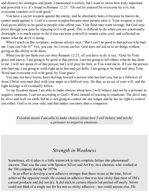and destroy his strategies and plans. I mentioned it earlier, but I want to stress how truly important and powerful it is. It's found in Romans 12:21: "Do not let yourself be overcome by evil, but overcome (master) evil with good."

You have a secret weapon against the enemy, and he absolutely hates it because he knows he cannot stand against it. I call it a secret weapon because most people miss it. Your weapon is your God-given ability to be good to people who offend you. Your flesh may want revenge, but God says press through your pain by repaying evil with good. This is difficult to do when you are emotionally distraught; it is much easier to do if you can train yourself to remain calm, cool, and collected no matter what the devil is doing.

When I teach on this scripture, someone always says, "But I can't be good to that person who hurt me. I just can't do it!" Yes, you can. As I wrote earlier, God does not ask us to do things without giving us the ability to do them.

When you do not think you can obey Romans 12:21, all you have to do is say, "God, by Your grace and mercy, I am going to be good to that person. I am not going to tell others what he has done to me. I will not speak ill of that person, but I will pray for him, as You want me to. If I see the person who hurt me, I am going to walk right up to him and say hello. I am going to be kind and obey Your Word and overcome evil with good, by Your grace."

You may not have warm, fuzzy feelings toward a person who has hurt you, but as a follower of Jesus Christ, you must deal with your anger in a biblical way. Do that, as an act of your will, and the right feelings will eventually follow.

To me freedom means I am able to make choices about how I will behave and not be a prisoner to negative emotions. I can act according to God's Word instead of reacting to situations. The devil may be alive and well on earth, but he is not going to control me any longer and he has no right to control you either. God is on your side, and that makes you more than a conqueror.

> *Freedom means I am able to make choices about how I will behave and not be a prisoner to negative emotions.*

### *Strength in Weakness*

Sometimes, all it takes is a little teamwork to turn complete failure into phenomenal success. That was the case with Spencer Silver and Art Fry, two chemists who worked at the 3M company during the 1970s.

In an effort to develop a new adhesive stronger than those in use at the time, Silver achieved the opposite result. He created an adhesive that was less sticky than most of 3M's current products and did not dry. It did stick to certain objects but peeled off easily. Silver could not think of a single use for his not-so-sticky adhesive—nor could anyone else. He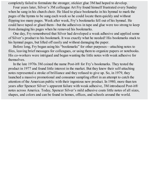completely failed to formulate the stronger, stickier glue 3M had hoped to develop.

Four years later, Silver's 3M colleague Art Fry found himself frustrated every Sunday when he sang in his church choir. He liked to place bookmarks in his hymnal to mark the pages of the hymns to be sung each week so he could locate them quickly and without flipping too many pages. Week after week, Fry's bookmarks fell out of his hymnal. He could have taped or glued them—but the adhesives in tape and glue were too strong to keep from damaging his pages when he removed his bookmarks.

One day, Fry remembered that Silver had developed a weak adhesive and applied some of Silver's product to his bookmark. It was exactly what he needed! His bookmarks stuck to his hymnal pages, but lifted off easily and without damaging the paper.

Before long, Fry began using his "bookmarks" for other purposes—attaching notes to files, leaving brief messages for colleagues, or using them to organize papers or notebooks. His co-workers were intrigued and began wanting the little notes with weak adhesive for themselves.

In the late 1970s 3M coined the name Post-it® for Fry's bookmarks. They tested the product in 1977 and found little interest in the market. But they knew their self-attaching notes represented a stroke of brilliance and they refused to give up. So, in 1979, they launched a massive promotional and consumer sampling effort in an attempt to catch the attention of the American public with their ingenious new product. In 1980, more than ten years after Spencer Silver's apparent failure with weak adhesive, 3M introduced Post-it® notes across America. Today, Spencer Silver's mild adhesive coats little notes of all sizes, shapes, and colors and can be found in homes, offices, and schools around the world.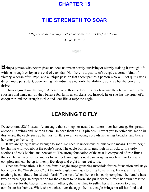### **[CHAPTER](#page-2-3) 15**

# **THE [STRENGTH](#page-2-3) TO SOAR**

*"Refuse to be average. Let your heart soar as high as it will."* A. W. TOZER

420

**B**eing <sup>a</sup> person who never gives up does not mean barely surviving or simply making it through life with no strength or joy at the end of each day. No, there is a quality of strength, a certain kind of victory, a sense of triumph, and a unique passion that accompanies a person who will not quit. Such a determined, persistent, overcoming individual has not only the ability to survive but the power to thrive.

Think again about the eagle. A person who thrives doesn't scratch around the chicken yard with roosters and hens, nor do they behave fearfully, as chickens do. Instead, he or she has the spirit of a conqueror and the strength to rise and soar like a majestic eagle.

### **LEARNING TO FLY**

Deuteronomy 32:11 says: "As an eagle that stirs up her nest, that flutters over her young, He spread abroad His wings and He took them, He bore them on His pinions." I want you to notice the action in this verse: the eagle stirs up her nest, flutters over her young, spreads her wings broadly, and bears her young on her wings.

If we are going to have strength to soar, we need to understand all this verse means. Let me begin by sharing with you about the eagle's nest. The eagle builds its nest high on a rock, with sturdy sections of rock behind and beneath it. The strong foundation of the nest is composed of tree limbs that can be as large as two inches by six feet. An eagle's nest can weigh as much as two tons when complete and can be up to twenty feet deep and eight to ten feet wide.

Once the foundation is laid, the female eagle stops gathering materials for the foundation and stays home to do the "finish work," but the male eagle continues to bring home vines, leaves, animal fur, anything he can find to build and "furnish" the nest. When the nest is nearly complete, the female lays two or three eggs. In preparation for the eaglets to be born, she pulls feathers from her own breast to pad the nest for the babies. Like most mothers, she is willing to suffer herself in order to bring comfort to her babies. While she watches over the eggs, the male eagle brings her all her food and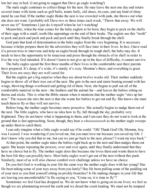lets her stay in bed. (I am going to suggest that Dave go eagle watching!)

The male eagle continues to collect things for the nest. He may leave the nest one day and return several times with items such as golf balls, tennis balls, old shoes, tin cans, and any kind of shiny metal he can find. If the mother eagle thinks the nest is too crowded with junk, she throws out what she does not want. I probably tell Dave two or three times each week, "Throw that away. We will never use it!" Sometimes I just do it myself when he isn't watching!

Meanwhile, when the time comes for the baby eaglets to be born, they begin to peck on the shells of their eggs with a small, tooth-like appendage on the end of their beaks. The eaglets use this "tooth" to peck and peck and peck and peck and peck until they finally break through the shell.

God puts that kind of determination in the baby eagles from the very beginning. It is necessary because it helps prepare them for the adversities they will face later in their lives. In fact, I have read if a person tries to intervene and help an eaglet break through its tough shell, the baby may die. It needs to have the opportunity to be tenacious and press through the obstacle of its shell in order to live the way God intended. If it doesn't learn to not give up in the face of difficulty, it cannot survive.

The baby eagles spend the first three months of their lives in the comfortable nest their parents have prepared. It's deep; it's wide; it's sturdy; it's cozy. Momma's there; and everything is great. Their lives are easy; they are well cared for.

But the eaglets get a big surprise when they are about twelve weeks old. Their mother suddenly begins to throw all of their toys out of the nest. She gets in the nest and starts beating around with her wings, throwing things overboard and getting rid of them. Next, she begins to pull out all of the comfortable material in the nest—the feathers and the animal fur—and leaves the babies sitting on thorns and sticks. This is what the Bible means when it mentions that the mother eagle "stirs up her nest." The reason she stirs the nest is that she wants her babies to get out and fly. She knows she must teach them to fly or they will not survive.

Before long, the mother eagle becomes more proactive. She actually begins to nudge them out of the nest. The little eaglets, who have no idea how to fly, fall through the sky, probably very frightened. They do not know what is happening to them, and I am sure they do not want to look at the ground that is fast approaching. Soon, though, they hear a *whoooooooosh* as the mother eagle sweeps up under them to catch them.

I can only imagine what a little eagle would say if he could: "Oh! Thank God! Oh, Momma, boy, was I scared. I was wondering if you loved me, but you must love me because you saved my life. I don't know why you did that to me, but can we just go back to the nest, please? I want my toys back."

At that point, the mother eagle takes the babies right back up to the nest and then nudges them out again. She keeps repeating the process, over and over again, until they finally understand that they have no choice but to fly. The mother eagle does this because she loves them and wants them to have the best life they can possibly have. Most baby eagles won't get out of the nest without this push. Similarly, most of us will also choose comfort over challenge unless we have no choice.

Do you feel God is working in your life the same way the mother eagle does with her young? Has He been taking some of your toys away from you lately? Has He been pulling some of the padding out of your nest so you find yourself sitting on prickly branches? Is He making changes in your life that are leaving you uncomfortable? Is He saying to you, "Come on, it is time to fly"?

Sometimes we feel God has dropped us. We do not know what is going on in our lives; we feel as though we are plummeting toward the earth and we dread the crash landing. We must not be tempted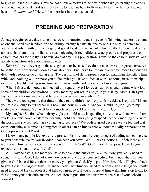to give up in these situations. We cannot allow ourselves to be afraid when we go through situations we do not understand. God is simply trying to teach us how to fly—and before we fall too far, we'll hear it: *whoooooooosh!* He will be there just in time to save us!

# **PREENING AND PREPARATION**

An eagle begins every day sitting on a rock, systematically passing each of his wing feathers (as many as one thousand two hundred on each wing), through his mouth, one by one. He exhales onto each feather and oils it with oil from a special gland located near his tail. This is called preening; it takes about an hour; and it is similar to a steam cleaning. It reconditions, waterproofs, and prepares the eagle's feathers for the flying he will do that day. This preparation is vital to the eagle's survival and ability to function at his optimum capacity.

Some believers never gain the strength to soar because they do not take time to prepare themselves to be their best every day. I don't know about you, but I have to prepare every day before I go out and deal with people or do anything else. The best form of daily preparation for maximum strength is time with God. Nothing will prepare you to face what you have to face at work, at home, in relationships, or in daily life like taking some time to commune with God before your busy day begins.

When I first understood that I needed to prepare myself for every day by spending time with God, some of my children complained. "Every morning you get up and go to your study, Mom. Can't you just act like a normal mother and fix our breakfast once in a while?"

They were teenagers by that time, so they really didn't need help with breakfast. I replied: "Listen, you're old enough to put cereal in a bowl and pour milk on it. And you should be glad I go to my study every morning. You will have a much nicer day if I take this time with God!"

My daughter Sandra, who is thirty-eight years old now, is spending some time with me while I am working on this book. Yesterday morning, I told her I was going to spend my early morning time with the Lord, and she replied, "Are you going to get nice?" We both laughed because we've learned that even something as simple as being nice to others can be impossible without that daily preparation in God's presence and Word.

I know many people feel extremely pressed for time, and the very thought of adding something else to your schedule makes you shudder. I can hear you now: "Well, I have a house full of children and teenagers. How do you expect me to spend time with God?" Or, "I work three jobs. How do you expect me to spend time with God?"

All I have to say is, the more you have to do and the busier you are, the more you really need to spend time with God. I do not know how you need to adjust your schedule, but I know the time you give to God is no different than the money you give to God. If you give Him time, He will give it back to you. He is in charge of time; He knows how much time you need to accomplish the things you really need to do, and He can protect and help you manage it if you will spend time with Him. Stop trying to fit God into your schedule and make a decision to put Him first; then work the rest of your schedule around Him.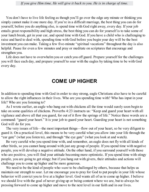You don't have to live life feeling as though you'll go over the edge any minute or thinking you simply cannot make it one more day. If you're in a difficult marriage, the best thing you can do for yourself, before you do anything else, is spend time with God right away, every day. If your job entails great responsibility and high stress, the best thing you can do for yourself is to take some of your lunch break, get in your car, and spend time with God. If you have a child who is challenging to raise and hard to deal with, spending time with God before you begin your day will be the best investment you can make. Taking a few five-minute "spiritual vacations" throughout the day is also helpful. Pause for even a few minutes and pray or meditate on scriptures that encourage and strengthen you.

Life does not have to overwhelm you or catch you off guard. Prepare yourself for the challenges you will face each day, and prepare yourself to soar with the eagles by taking time to be with God every day.

# **COME UP HIGHER**

In addition to spending time with God in order to stay strong, eagle Christians also have to be careful to allow the right influences in their lives. Who are you spending time with? Who has input in your life? Who are you listening to?

As I wrote earlier, an eagle who hung out with chickens all the time would surely soon begin to take on some qualities of chickens. Proverbs 4:23 instructs us: "Keep and guard your heart with all vigilance and above all that you guard, for out of it flow the springs of life." Notice these words are a command: "guard your heart." It is your job to guard your heart. Guarding your heart is not something God will do for you.

The very issues of life—the most important things—flow out of your heart, so be very diligent to guard it. On a practical level, this means to be very careful what you allow into your life through the "ear gate" (what you listen to), and through "the eye gate" (what you look at and watch).

Be very careful who you spend time with, and remember, an eagle does not fly with all kinds of other birds, so you cannot hang around with just any group of people. If you spend time with negative people, you will develop a negative attitude. On the other hand, if you surround yourself with those who are positive, you will find your attitude becoming more optimistic. If you spend time with stingy people, you are going to get stingy; but if you hang out with givers, their attitudes and actions will challenge you to come up higher and be more generous.

We need to be the kind of people who *want* to be challenged by others, because that helps us maintain our strength to soar. Let me encourage you to pray for God to put people in your life whose behavior will convict you to live at a higher level. God wants all of us to come up higher. I believe we should live with the goal of never giving up or being content where we are, but to always be pressing forward to come up higher and move to the next level in our faith and in our lives.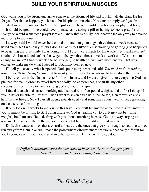# **BUILD YOUR SPIRITUAL MUSCLES**

God wants you to be strong enough to soar over the storms of life and to fulfill all the plans He has for you. For that to happen, you have to build spiritual muscles. You cannot simply *wish* you had spiritual muscles; you have to *build* them just as you have to build muscles in your physical body.

It would be great if we could develop muscles by taking a pill or having someone pray for us. Everyone would want those prayers! We all know that is a silly idea because the only way to develop muscles is to work out!

I always said I would *never* be the kind of person to go to a gym three times a week because I hated exercise! I was okay if I was doing an activity I liked such as walking or golfing (and happened to be getting exercise while I was doing it); but I didn't care much for the whole "let's just exercise" routine. As I mentioned earlier, I now go to the gym three times a week to work out. What made me change my mind? I finally wanted to be stronger, be healthier, and have more energy. That was enough to make me do what I needed to obtain my desired goal.

I'll tell you exactly what happened. God spoke to my heart and said, *You need to do something now so you'll be strong for the last third of your journey.* He wants me to have strength to soar.

I believe I am in the "last trimester" of my ministry, and I want to give birth to everything God has planned for me. In order to travel internationally, do conferences, and fulfill my other responsibilities, I have to have a strong body to house my spirit.

I found a coach and started working out. I started with five-pound weights, and at first I thought I would never be able to lift them. Then I went to seven and a half, then to ten, then to twelve and a half, then to fifteen. Now I can lift twenty pounds easily and sometimes even twenty-five, depending on the exercise I am doing.

It only took nine weeks to work up to this level. You will be amazed at the progress you make if you'll simply be willing to start doing whatever God is leading you to do. It may not be lifting weights, but I am sure He is dealing with you about something because God is always urging us upward. Doing the difficult things God asks is what helps us build spiritual muscle.

Difficult situations, ones that are hard to bear, are the ones that give you strength to soar, so do not run away from them. You will reach the point where circumstances that were once very difficult for you become easy. In fact, you rise above the storms of life, just as the eagle does.

> *Dif icult situations, ones that are hard to bear, are the ones that give you strength to soar, so do not run away from them.*

> > *The Gilded Cage*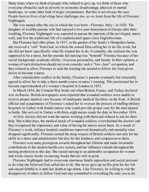Many times when we think of people who refused to give up, we think of those who overcame obstacles such as poverty or economic disadvantage, physical or mental handicaps, or some other kind of tragic circumstance. But this is not always the case. People born to lives of privilege have challenges too, as we learn from the life of Florence Nightingale.

She was named after the city in which she was born—Florence, Italy—in 1820. The daughter of wealthy parents who had enjoyed a two-year honeymoon in Europe after their wedding, Florence Nightingale was expected to pursue the interests of the privileged, marry well, and live the traditional life of a sophisticated upper-class Englishwoman.

But Florence had other plans. In 1837, in the garden of her family's Hampshire home, she received a "call" from God, in which she sensed Him calling her to do His work, but she did not know specifically what He wanted her to do. Eventually, she realized she was supposed to be a nurse, but her parents felt nursing was "beneath" Florence because of her social background, academic ability, vivacious personality, and beauty. In their opinion, a woman of such distinction should not even consider such a "low class" occupation, and they refused to allow Florence to seek the training she needed to follow her God-given desire to become a nurse.

After considerable conflict in the family, Florence's parents eventually but reluctantly agreed to allow her to take a three-month course in nurse's training. This positioned her to become superintendent of a women's hospital in London in 1853.

In March 1854, the Crimean War broke out when Britain, France, and Turkey declared war on Russia. British newspapers soon reported that wounded soldiers were unable to receive proper medical care because of inadequate medical facilities on the front. A British official and acquaintance of Florence's asked her to oversee the process of staffing military hospitals in Turkey with female nurses who could provide proper care for the men injured in battle. She arrived in Turkey with thirty-eight nurses ready for duty in November 1854.

At first, doctors did not want the nurses working with them and refused to ask for their help. But within days, the medical needs of wounded soldiers overwhelmed the doctors and they recognized the importance and value of having the nurses assist them. As a result of Florence's work, military hospital conditions improved dramatically and mortality rates dropped significantly. Florence earned the deep respect of British soldiers not only for her skills as a nurse and administrator but also for her kindness and compassion to them.

Florence won many prestigious awards throughout her lifetime and made invaluable contributions to the modern health care system, and her influence extends throughout the nursing profession to this day. She raised nursing to an admirable occupation for women and wrote classic books on nursing, books that are still in print.

Florence Nightingale had to overcome enormous family opposition and social pressure to do what she believed God called her to do. She never gave up on His plan for her life and stayed faithful to it until her death at age ninety. Like Florence, be willing to risk the disapproval of others to follow God and stay committed to everything He asks you to do.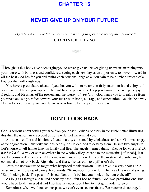### **[CHAPTER](#page-2-4) 16**

### **NEVER GIVE UP ON YOUR [FUTURE](#page-2-4)**

*"My interest is in the future because I am going to spend the rest of my life there."* CHARLES F. KETTERING

ඥාල

**T**hroughout this book I've been urging you to never give up. Never giving up means marching into your future with boldness and confidence, seeing each new day as an opportunity to move forward in all the best God has for you and taking each new challenge as a mountain to be climbed instead of a boulder that will crush you.

You have a great future ahead of you, but you will not be able to fully enter into it and enjoy it if your past still holds you captive. The past has the potential to keep you from experiencing the joy, freedom, and blessings of the present and the future—*if you let it.* God wants you to break free from your past and set your face toward your future with hope, courage, and expectation. And the best way I know to never give up on your future is to refuse to be trapped in your past.

### **DON'T LOOK BACK**

God is serious about setting you free from your past. Perhaps no story in the Bible better illustrates this than the unfortunate account of Lot's wife. Let me remind you.

A man named Lot and his family lived in a city consumed by wickedness and sin. God was angry at the degradation in that city and one nearby, so He decided to destroy them. He sent two angels to Lot's house to tell him to take his family and flee. The angels warned them: "Escape for your life! *Do not look behind you* or stop anywhere in the whole valley; escape to the mountains [of Moab], lest you be consumed" (Genesis 19:17, emphasis mine). Lot's wife made the mistake of disobeying the command to not look back. Right then and there, she turned into a pillar of salt.

Jesus did not want us to forget what happened to this woman. Luke 17:32 is a very short Bible verse in which Jesus spoke only three words: "Remember Lot's wife." That was His way of saying: "Stop looking back. The past is finished. Don't look behind you; look to the future ahead!"

As long as I thought and talked about my past, I felt I had no future. God was providing one, but I would have totally missed it had I not finally understood I had to "let go in order to go on!"

Sometimes when we focus on our past, we can't even see our future. We become discouraged,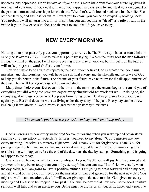hopeless, and depressed. Don't behave as if your past is more important than your future by giving it too much of your time. If you do, it will keep you trapped in days gone by and steal your enjoyment of the present moment and your hope for the future. When Lot's wife looked back, she lost her life. She lost her family, and she lost her future. I want you to know: you can be destroyed by looking back! You probably will not turn into a pillar of salt, but you can become as "dead" as a pile of salt on the inside if you allow excessive focus on the past to steal the life you have today.

# **NEW EVERY MORNING**

Holding on to your past only gives you opportunity to relive it. The Bible says that as a man thinks so is he (see Proverbs 23:7). I like to make this point by saying, "Where the mind goes the man follows." If I put my mind on the past, I will keep repeating it one way or another, but if I put it on the future I will make progress toward God's dream for me.

You don't have to be afraid of repeating the past. If you believe God is greater than your sins, mistakes, and shortcomings, you will have the spiritual energy and the strength and the grace of God to help you do better in the future. The dreams of your future have no room for the disappointments of the past. They will keep you weighted down and stuck.

Many times, before your feet even hit the floor in the mornings, the enemy begins to remind you of everything you did wrong the previous day or everything that did not work out well. In doing so, the enemy's goal is to use yesterday to keep you from living today. He always wants to use your past against you. But God does not want us living under the tyranny of the past. Every day can be a new beginning if we allow it. God's mercy is greater than yesterday's mistakes.

*The enemy's goal is to use yesterday to keep you from living today.*

God's mercies are new every single day! So every morning when you wake up and Satan starts reading you an inventory of yesterday's failures, you need to say aloud: "God's mercies are new every morning. I receive Your mercy right now, God. I thank You for forgiveness. Thank You for putting my past behind me and calling me forward into a great future." Instead of wondering what terrible thing will happen before the end of the day, start the day by saying, "Something good is going to happen to me today!"

Chances are, the enemy will be there to whisper to you, "Well, you will just be disappointed and you won't do any better today than you did yesterday"; but you can say, "I don't know exactly what the day holds, but I am going to have a positive attitude. I am going to press forward and do my best, and at the end of this day, I will get over the mistakes I make and get ready for the next new day. You might as well leave me alone, devil, I will never give up on the new mercies God gives me every morning and I refuse to be trapped in my past." You will be amazed at how much some good positive self-talk will help and even energize you. Being negative drains us all, but faith, hope, and a positive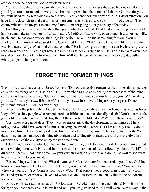attitude open the door for God to work miracles.

You are the only one who can silence the enemy when he rehearses the past. No one can do it for you. If you are determined to overcome him and to press into the wonderful future God has for you, you will need to learn to talk back to the devil. You cannot borrow someone else's determination; you have to dig down deep and get a firm grip on your inner strength and say: "I will not give up! The enemy will not use my past to steal my future! I am not going to let yesterday affect today!"

Fulfilling your destiny demands letting go of what lies behind. I had to stop mourning over what I had lost and take an inventory of what I had left. I offered that to God, even though it did not seem like much, and He has done wonderful things in my life. He will do the same thing for you if you will work with Him instead of against Him. God called Himself "I AM" (see Exodus 3:14). He said that was His name. Why? What kind of a name is that? He is making a strong point that He is ever present, ready to work in our lives right now. He is with us to help us right now! He is able to make even past mistakes work to our benefit if we trust Him. Will you let go of the past and live every day fully while you press into your future?

# **FORGET THE FORMER THINGS**

The prophet Isaiah urges us to forget the past: "Do not [earnestly] remember the former things; neither consider the things of old" (Isaiah 43:18). Remembering and considering are processes of the mind, so Isaiah is basically saying: "Get your mind off your *old* sins, your *old* failures, your *old* mistakes, your *old* friends, your *old* life, the *old* nature, your *old* job—everything about your past. Do not let your mind dwell on such "former things."

After I left the job in which I taught well-attended Bible studies at a church and was leading Joyce Meyer Ministries, people who remembered the Bible studies occasionally asked: "Don't you miss the good old days when we were all together at the church for Bible study? Weren't those good times?"

Yes, those were good days. They were so important to the development of the ministry I have today, and we did have wonderful times studying the Word together. But I have to say I really don't miss those times. They were good days, but the days I am living now are better! If we miss the "old days" long enough and keep thinking about them and talking about them, we will completely think ourselves out of the ability to enjoy today or the future.

I don't know exactly what God has in His plan for me, but I do know it will be good. I am excited about walking it out with Him, and in order to do that I have to refuse to allow my mind to "drift" into directions that will not benefit me. Do your own thinking on purpose, and don't just wait to see what happens to fall into your mind.

We see things with our mind. What do you see? After Abraham had endured a great loss, God led him to a mountaintop. He told him to look north, south, east, and west and then said, "You can have whatever you see!" (see Genesis 13:14-17). Wow! That sounds like a good plan to me. Why look back and get more of what we have had when we can look forward and enjoy things too wonderful for us to even imagine?

As we continue reading in Isaiah 43, God says: "Behold, I am doing a new thing! Now it springs forth; do you not perceive and know it and will you not give heed to it? I will even make a way in the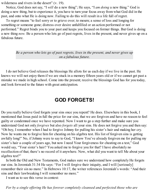wilderness and rivers in the desert" (v. 19).

Notice, God does not say, "I *will* do a new thing"; He says, "I *am doing* a new thing." God is doing a new thing, but to experience it, you have to turn your focus away from what God did in the past, and onto what He is doing now. Failing to do this will result in a life full of regret.

To regret means "to feel sorry or to grieve over; to mourn; a sense of loss and longing for something or someone gone; distress over desire unfulfilled or an action performed or not performed." Regret binds you to your past and keeps you focused on former things. But God is doing a new thing *now.* Be a person who lets go of past regrets, lives in the present, and never gives up on a fabulous future.

*Be a person who lets go of past regrets, lives in the present, and never gives up on a fabulous future.*

I do not believe God releases the blessings He allots for us each day if we live in the past. He knows we will not enjoy them if we are stuck in a memory fifteen years old or if we cannot get past a mistake we made in high school. Come into the present; receive the blessings God has for you today, and look forward to the future with great anticipation.

### **GOD FORGETS!**

Do you really believe God forgets your sins once you repent? He does. Elsewhere in this book, I mentioned that Jesus paid in full the price for our sins, that we are forgiven and have no reason to feel guilty or condemned once we have repented. Now I want to go a step further and make sure you understand God not only *forgives* but also *forgets* all your sins. He does not forgive you and then say: "Oh boy, I remember when I had to forgive Johnny for pulling his sister's hair and making her cry. Now he wants me to forgive him for cheating on his algebra test. His list of forgiven sins is getting awfully long!" No, if Johnny were to say to God, "I know You've already forgiven me for pulling my sister's hair a couple of years ago, but now I need Your forgiveness for cheating on a test," God would say, "Your sister's hair? You asked me to forgive you for that? I have absolutely no recollection of that; there's no record of it anywhere. Now, what did you want to tell Me about your algebra test?"

In both the Old and New Testaments, God makes sure we understand how completely He forgets our sins. In Jeremiah 31:34 He says: "For I will forgive their iniquity, and I will [seriously] remember their sin no more." In Hebrews 10:17, the writer references Jeremiah's words: "And their sins and their lawbreaking I will remember no more."

I want us to see this verse in context:

*For by a single of ering He has forever completely cleansed and perfected those who are*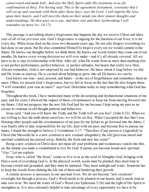*consecrated and made holy. And also the Holy Spirit adds His testimony to us [in confirmation of this]. For having said, This is the agreement (testament, covenant) that I will set up and conclude with them after those days, says the Lord: I will imprint My laws upon their hearts, and I will inscribe them on their minds (on their inmost thoughts and understanding), He then goes on to say, And their sins and their lawbreaking I will remember no more (vv. 14-17).*

This passage is not talking about a forgiveness that happens the day we receive Christ and takes care of all of our *previous* sins. God's forgiveness is ongoing for the duration of our lives; it is for every day. When Jesus died on the cross two thousand years ago, He not only forgave everything we had done in our pasts, but He also committed Himself to forgive every sin we would commit in the future. He knows our thoughts before we think them; He knows our words before they come out of our mouths; He knows every wrong decision we will ever make—and it's all already covered. All we have to do is stay in relationship with Him. After all, what He wants from us more than anything else is not perfect performance, perfect behavior, or perfect attitudes, but hearts that really love Him. Always remember, God is not surprised by our bad behavior. He knew about it long before we did and He wants us anyway. He is excited about helping us grow into all He knows we can be.

God buries our sins—past, present, and future—in the sea of forgetfulness and remembers them no more. Often, we preach God's forgiveness, but we fail to focus on the fact that He also forgets them. "I will remember your sins no more!" says God. Determine today to stop remembering what God has forgotten.

Throughout this book, I have mentioned many of the devastating and dysfunctional situations of my past, and for years I allowed the impact of those circumstances to keep me from moving forward into my future. I did not progress into the new life God had for me because I kept using my past as an excuse to continue in old thought patterns and behaviors.

Jesus said, "And you will know the Truth, and the Truth will set you free" (John 8:32). When we are willing to face the truth about ourselves, we will be set free. When I accepted the fact that I was blaming other people and the circumstances of my past for my failure to go forward into the future, I was finally able to take responsibility for my life, deal with my past, and become free to pursue my future. I found the strength to believe 2 Corinthians 5:17: "Therefore if any person is [ingrafted] in Christ (the Messiah) he is a new creation (a new creature altogether); the old [previous moral and spiritual condition] has passed away. Behold, the fresh and new has come!"

Being a new creation in Christ does not mean all your problems and weaknesses vanish into thin air the minute you make a commitment to live for God. It means you become brand-new spiritual "clay." Let me explain.

Jesus, who is called "the Seed," comes to live in us as the seed of Almighty God, bringing with Him a seed of everything God is. In the physical world, seeds must be planted; they need time to become rooted and grounded; and they must be nurtured. They need sunlight and water. Someone has to keep the weeds from choking the life out of them and hindering their growth.

A similar process is necessary in our spiritual lives. We do not become "new creations" overnight, but through a process. God's Word needs to be planted in our hearts, and it needs time to take root in us. We need the water of God's Word (see Ephesians 5:26) and the light of His Spirit to strengthen us. It is also extremely helpful to take advantage of every opportunity we have to be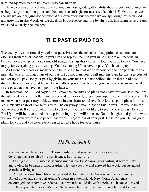nurtured by more mature believers who can guide us.

As we continue and continue and continue in these good, godly habits, those seeds God planted in us begin to grow up like plants and become trees of righteousness (see Isaiah 61:3). Over time, we realize we are changing not because of our own effort but because we are spending time with God and growing in His Word. As we dwell in His presence and live by His truth, His image is re-created in us and we truly become new.

## **THE PAST IS PAID FOR**

The enemy loves to remind you of your past. He takes the mistakes, disappointments, hurts, and offenses from former seasons in your life and replays them in your mind like broken records. In between every verse of those same old songs, he sings this chorus: "Now you have to pay. You have to pay for everything you did wrong. You have to pay! You have to pay! You have to pay!"

As I mentioned earlier, many people believe the lie that we somehow need to compensate for the misjudgments or wrongdoings of our pasts. I do not want you to fall into this trap. Let me urge you not to ever try to "pay" for your past by giving up your future. Do not believe the lie that a bad past disqualifies you for a great future. Do not allow yourself to believe you have made so many mistakes in the past that you have no hope for the future.

In Jeremiah 29:11, God says: "For I know the thoughts and plans that I have for you, says the Lord, thoughts and plans for welfare and peace and not for evil, to give you hope in your final outcome." No matter what your past may hold, determine in your heart to believe that God has good plans for you. Your mistakes cannot change this truth. The only way it would not be true in your life would be for you to reject it. If you are not willing to believe it, you are not likely to see it come to pass for you. But if you will believe it and not stop believing it, you will soon see God's thoughts and plans toward you are for your welfare and peace, not for evil, regardless of your past. He is for you; He has great plans for you; and you have every reason to have hope for your future.

### *He Stuck with It*

You may never have heard of Thomas Adams, but you have probably enjoyed the product developed as a result of his persistence. Let me explain.

During the 1860s, success seemed impossible for Adams. After failing at several jobs and trades, he became a photographer. He was creative and enjoyed his work, but struggled to make a living at it.

About the same time, Mexican general Antonio de Santa Anna went into exile in the United States and stayed at Adams's home in Staten Island, New York. Santa Anna encouraged the innovative Adams to see what he could do with chicle, a substance derived from the sapodilla trees of Mexico. Santa Anna believed the chicle might be used to make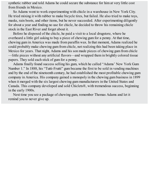synthetic rubber and told Adams he could secure the substance for him at very little cost from friends in Mexico.

So Adams went to work experimenting with chicle in a warehouse in New York City. He tried mixing it with rubber to make bicycle tires, but failed. He also tried to make toys, masks, rain boots, and other items, but he never succeeded. After experimenting diligently for about a year and finding no use for chicle, he decided to throw his remaining chicle stock in the East River and forget about it.

Before he disposed of the chicle, he paid a visit to a local drugstore, where he overheard a little girl asking to buy a piece of chewing gum for a penny. At that time, chewing gum in America was made from paraffin wax. In that moment, Adams realized he could probably make chewing gum from chicle, not realizing this had been taking place in Mexico for years. That night, Adams and his son made pieces of chewing gum from chicle —little pieces without any artificial flavors—and wrapped them in brightly colored tissue papers. They sold each stick of gum for a penny.

Adams finally found success selling his gum, which he called "Adams' New York Gum Number 1." In 1888, his "Tutti-Frutti" gum became the first to be sold in vending machines and by the end of the nineteenth century, he had established the most profitable chewing gum company in America. His company gained a monopoly in the chewing gum business in 1899 when it merged with the six largest chewing gum manufacturers in the United States and Canada. This company developed and sold Chiclets®, with tremendous success, beginning in the early 1900s.

Next time you see a package of chewing gum, remember Thomas Adams and let it remind you to never give up.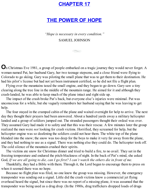## **[CHAPTER](#page-2-0) 17**

## **THE [POWER](#page-2-0) OF HOPE**

*"Hope is necessary in every condition."* SAMUEL JOHNSON

ඥාල

**O**<sup>n</sup> Christmas Eve 1981, <sup>a</sup> group of people embarked on <sup>a</sup> tragic journey they would never forget. <sup>A</sup> woman named Pat, her husband Gary, her two teenage stepsons, and a close friend were flying to Colorado to go skiing. Gary was piloting the small plane that was to get them to their destination. He had his pilot's license but had not yet been instrument certified, so he did not file a flight plan.

Flying over the mountains taxed the small engine, and they began to go down. Gary saw a tiny clearing along the tree line in the middle of the mountain range. He aimed for it and although they crash-landed, he was able to keep much of the plane intact and right side up.

The impact of the crash broke Pat's back, but everyone else's injuries were minimal. Pat was unconscious for a while, but she vaguely remembers her husband saying that he was leaving to get help.

The four stayed in the cramped cabin of the plane and waited overnight for help to arrive. The next day they thought their prayers had been answered. About a hundred yards away a military helicopter landed and a group of soldiers jumped out. The stranded passengers thought their ordeal was over. They assumed Gary had made it to safety and that this was their rescue. A few minutes later the group realized the men were *not* looking for crash victims. Horrified, they screamed for help, but the helicopter engine was so deafening the soldiers could not hear them. The white top of the plane blended into the snow; the snow was too deep for the boys to make it very far away from the plane, and they had nothing to use as a signal. There was nothing else they could do. The helicopter took off. The cold silence of the mountain crushed their spirits.

The victims ate snow for Christmas dinner and tried to build a fire, to no avail. They sat in the freezing temperature and endured the pitch-blackness of night. In the back of Pat's mind, she asked God, If we are all going to die, can I go first? I can't watch the others die in front of me.

Thankfully, they had a Bible with them. Through it, the Lord began to encourage them to press on when it seemed there was no hope.

Because no flight plan was filed, no one knew the group was missing. However, the emergency transponder was sending out a signal. Little did the crash victims know a commercial jet flying overhead heard the signal, but since there was no report of a missing plane, it was assumed that the transponder was being used as a drug drop. (In the 1980s, drug traffickers dropped loads of drugs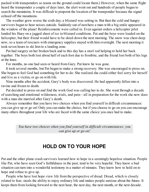packed with transponders so teams on the ground could locate them.) However, when the same flight heard the transponder a couple of days later, the alert went out and hundreds of people began to search the mountains. It was difficult to pinpoint the location of the transponder because the signal echoed off the mountains.

The weather grew worse the sixth day; a blizzard was setting in. But then the cold and hungry survivors began to hear noises outside. Suddenly out of nowhere a man with a big smile appeared in the window of the plane! Reinforcements were called in. Even against orders a helicopter pilot landed his Huey on a jagged sheet of ice in blizzard conditions. Pat and the boys were loaded on the helicopter, but their friend would have to be skied down the next morning. The snow was chest deep now, so a team of rescuers with emergency supplies stayed with him overnight. The next morning it took seven hours to ski him to a landing zone.

Pat had surgery on her broken back and to this day has a steel rod helping to hold her back together. The boys both lost about half of each foot due to frostbite, and the friend lost both of his legs at the knee.

For months, no one had seen or heard from Gary. Pat knew he was gone.

It took several months, but Pat began to make a strong recovery. She was encouraged to press on. She began to feel God had something for her to do. She realized she could either feel sorry for herself and live as a victim, or go on with life.

Nine months after the accident, Gary's body was discovered. He had apparently fallen into a ravine and frozen to death.

Pat decided to press on and find the work God was calling her to do. She went through a decade of searching and emotional wilderness, trials, and pain—all in preparation for the work she now does with a man she married after Gary's death.

Always remember that you have two choices when you find yourself in difficult circumstances: you can give up or go on! Only you can make the choice, but if you choose to go on you can encourage many others throughout your life who are faced with the same choice you once had to make.

> *You have two choices when you find yourself in dif icult circumstances: you can give up or go on!*

# **HOLD ON TO YOUR HOPE**

Pat and the other plane crash survivors learned how to hope in a seemingly hopeless situation. People like Pat, who have seen God's faithfulness in the past, tend to be very hopeful. They know a bad situation can turn into a wonderful testimony in a matter of minutes. They know how to hold on to hope and refuse to give up.

People who have lost hope view life from the perspective of dread. Dread, which is closely related to fear, steals the ability to enjoy ordinary life and makes people anxious about the future. It keeps them from looking forward to the next hour, the next day, the next month, or the next decade.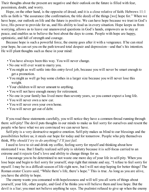Their thoughts about the present are negative and their outlook on the future is filled with fear, pessimism, doubt, and worry.

Hope, on the other hand, is the opposite of dread; and it is a close relative of faith. Hebrews 11:1 tells us faith is "the assurance (the confirmation, the title deed) of the things [we] hope for." When we have hope, our outlook on life and the future is positive. We can have hope because we trust in God's love, His power to provide for us, and His ability to lead us in every situation. Hope keeps us from worrying, allows us to leave our unanswered questions in God's hands, empowers us to stay at peace, and enables us to believe the best about the days to come. People with hope are happy, optimistic, and full of strength and courage.

Because hope is such a powerful force, the enemy goes after it with a vengeance. If he can steal your hope, he can set you on the path toward total despair and depression—and that's his intention. He will plant thoughts such as these in your mind:

- You have always been this way. You will never change.
- No one will ever want to marry you.
- You might as well settle into this entry-level job, because you will never be smart enough to get a promotion.
- You might as well go buy some clothes in a larger size because you will never lose this weight.
- Your children will never amount to anything.
- You will not have enough money for retirement.
- No one in your family has lived more than seventy years, so you cannot expect a long life.
- You will never own a new car.
- You will never own your own home.
- You will never get out of debt.

If you read these statements carefully, you will notice they have a common thread running through them: self-pity! The devil puts thoughts in our minds to make us feel sorry for ourselves and resent the people who have what we are convinced we can never have.

Self-pity is a very destructive negative emotion. Self-pity makes us blind to our blessings and the possibilities before us; it steals our hope for today and for tomorrow. People who pity themselves think, *Why should I try to do anything? I'll just fail.*

I used to love to sit and drink my coffee, feeling sorry for myself and thinking about how mistreated I was. But I finally realized self-pity is idolatry because it is self-focus carried to an extreme and it rejects God's love and ability to change things for us.

I encourage you to be determined to not waste one more day of your life in self-pity. When you lose hope and begin to feel sorry for yourself, stop right that minute and say, "I refuse to feel sorry for myself. I may be in a difficult season of life right now, but I will not stop hoping for better things! The Roman orator Cicero said, "While there's life, there's hope." This is true. As long as you are alive, you have the ability to hope.

The enemy wants you consumed with hopelessness and will tell you all sorts of things about yourself, your life, other people, and God if he thinks you will believe them and lose hope. But the devil is a liar; you must not believe anything he says. The psalmist refused to give up when the enemy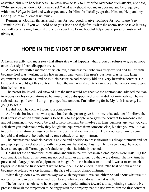assaulted him with hopelessness. He knew how to talk to himself to overcome such attacks, and said, "Why are you cast down, O my inner self? And why should you moan over me and be disquieted within me? *Hope in God* and wait expectantly for Him, for I shall yet praise Him, my Help and my God" (Psalm 42:5, emphasis mine).

Remember, God has thoughts and plans for your good, to give you hope for your future (see Jeremiah 29:11). If you will hold on to your hope and fight for it when the enemy tries to take it away, you will see amazing things take place in your life. Being hopeful helps you to press on instead of giving up.

# **HOPE IN THE MIDST OF DISAPPOINTMENT**

A friend recently told me a story that illustrates what happens when a person refuses to give up hope even after significant disappointment.

A pastor met with a member of his church, a businessman who was very excited and full of faith because God was working in his life in significant ways. The man's business was selling large equipment to companies, and he told his pastor he had recently bid on a very lucrative contract. He believed he would get this contract. In fact, the man was absolutely *convinced* the vendor would give him the business.

The pastor believed God showed him the man would not receive the contract and advised the man to reconsider his expectations so he would not be disappointed when it did not materialize. The man refused, saying, "I *know* I am going to get that contract. I'm believing for it. My faith is strong. I am going to get it."

He did not. The contract went to a competitor.

At first the businessman was upset, but then the pastor gave him some wise advice: "I believe the best course of action at this point is to go talk to the people who gave the contract to someone else and let them know you would be glad to help them and be involved in their business any way you can. Tell them you understand why they bought the equipment from someone else, but that you would like to do the installation because you have the best installers anywhere." He encouraged him to remain hopeful and refuse to be defeated by one setback or disappointment.

The businessman took his pastor's advice and decided to press through his disappointment and not give up hope for a relationship with the company that did not buy from him, even though he would have to accept a different type of relationship than he initially wanted.

He did get the contract for installation and while the businessman's employees were installing the equipment, the head of the company noticed what an excellent job they were doing. The next time he purchased a large piece of equipment, he bought from the businessman—and it was a much, much bigger sale than the first contract would have been. So he ended up with "the best of both worlds" because he refused to stop hoping in the face of a major disappointment.

When things don't work out the way we wish they would, we can either be sad about what we did not get, or we can be creative and look to see what we can do with what is left.

The businessman chose to have a positive, hopeful attitude toward a disappointing situation. He pressed through the temptation to be angry with the company that did not award him the first contract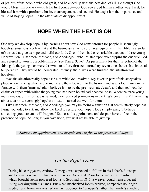or jealous of the people who did get it, and he ended up with the best deal of all. He thought God would bless him one way—with the first contract—but God rewarded him in another way. First, He blessed him with a profitable business arrangement, and second, He taught him the importance and value of staying hopeful in the aftermath of disappointment.

# **HOPE WHEN THE HEAT IS ON**

One way we develop hope is by learning about how God came through for people in seemingly hopeless situations, such as Pat and the businessman who sold large equipment. The Bible is also full of stories that give us hope and build our faith. One of them is the remarkable account of three young Hebrew men—Shadrach, Meshach, and Abednego—who insisted upon worshipping the one true God and refused to worship a golden image (see Daniel 3:1-6). As punishment for their rejection of the false god, the young men were thrown into a fiery furnace—turned up seven times hotter than its usual temperature. They would be incinerated instantly; their lives were finished; the situation was hopeless.

Was the situation really hopeless? Not with God involved. My favorite part of this story takes place when the king who tried to incinerate them looked into the furnace and saw a fourth man in the furnace with them (many scholars believe him to be the pre-incarnate Jesus), and then realized the chains or ropes with which the young men had been bound had become loose. When the three young men came out of the furnace unharmed, they received promotions in the king's government! Everything about a terrible, seemingly hopeless situation turned out well for them.

Like Shadrach, Meshach, and Abednego, you may be facing a situation that seems utterly hopeless. I urge you today to ask and allow the Lord to restore your hope. Hope simply says, "I believe something good can and will happen." Sadness, disappointment, and despair have to flee in the presence of hope. As long as you have hope, you will not be able to give up.

*Sadness, disappointment, and despair have to flee in the presence of hope.*

## *On the Right Track*

During his early years, Andrew Carnegie was expected to follow in his father's footsteps and become a weaver in his home country of Scotland. Prior to the industrial revolution, which brought steam-powered looms to Scotland in 1847, a weaver could make a decent living working with his hands. But when mechanized looms arrived, companies no longer needed hand loom weavers. When this happened to Carnegie's father, the family's standard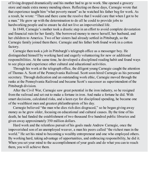of living dropped dramatically and his mother had to go to work. She opened a grocery store and made extra money mending shoes. Reflecting on those days, Carnegie wrote that that experience taught him "what poverty meant" as he watched his father beg for work. As a result, he wrote: "Then and there came the resolve that I would cure that when I got to be a man." He grew up with the determination to do all he could to provide jobs to hardworking people and to ensure he did not live an impoverished life.

In 1848, Carnegie's mother took a drastic step in an effort to avoid complete devastation and financial ruin for her family. She borrowed money to move herself, her husband, and her children to America. Two of her sisters had already settled in Pittsburgh, so the Carnegie family joined them there. Carnegie and his father both found work in a cotton factory.

Carnegie then took a job in Pittsburgh's telegraph office as a messenger boy. He distinguished himself by working hard and eagerly volunteering for new or additional responsibilities. At the same time, he developed a disciplined reading habit and found ways to see plays and experience other cultural and educational activities.

Through his work at the telegraph office, the diligent young Carnegie caught the attention of Thomas A. Scott of the Pennsylvania Railroad. Scott soon hired Carnegie as his personal secretary. Through dedication and an outstanding work ethic, Carnegie moved through the ranks at the Pennsylvania Railroad and became Scott's successor as superintendent of the Pittsburgh division.

After the Civil War, Carnegie saw great potential in the iron industry, so he resigned from the railroad and set out to make a fortune in iron. And make a fortune he did. With smart decisions, calculated risks, and a keen eye for disciplined spending, he became one of the wealthiest men and greatest philanthropists of his day.

Carnegie believed "the man who dies rich dies disgraced," so he began giving away money as he grew older, focusing on educational and cultural causes. By the time of his death, he had funded the establishment of two thousand five hundred public libraries and given away approximately 350 million dollars.

Hard work and the relentless pursuit of his goals made Andrew Carnegie, once the impoverished son of an unemployed weaver, a man his peers called "the richest man in the world." He set his mind to becoming a wealthy entrepreneur and one who employed others. By working hard, taking advantage of opportunities, and embracing responsibility, he did it. When you set your mind to the accomplishment of your goals and do what you can to reach them, you will achieve them.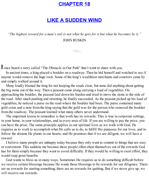### **[CHAPTER](#page-2-1) 18**

# **LIKE A [SUDDEN](#page-2-1) WIND**

"The highest reward for a man's toil is not what he gets for it but what he becomes by it." JOHN RUSKIN

ඥාල

**I** once heard <sup>a</sup> story called "The Obstacle in Our Path" that <sup>I</sup> want to share with you.

In ancient times, a king placed a boulder on a roadway. Then he hid himself and watched to see if anyone would remove the huge rock. Some of the king's wealthiest merchants and courtiers came by and simply walked around it.

Many loudly blamed the king for not keeping the roads clear, but none did anything about getting the big stone out of the way. Then a peasant came along carrying a load of vegetables. On approaching the boulder, the peasant laid down his burden and tried to move the stone to the side of the road. After much pushing and straining, he finally succeeded. As the peasant picked up his load of vegetables, he noticed a purse on the road where the boulder had been. The purse contained many gold coins and a note from the king saying that the gold was for the person who removed the boulder from the roadway. The peasant learned what many others never understand.

The important lesson to remember is that work has its rewards. This is true in corporate settings, in your home, in your relationships, and in every area of life. If you are willing to pay the price, you can have the prize. The same principle applies in our spiritual lives as we walk with God. He requires us to work to accomplish what He calls us to do, to fulfill His purposes for our lives, and to follow the dreams He plants in our hearts; and He promises that if we are diligent, we will have a reward.

I believe many people are unhappy today because they only want to commit to things that are easy or convenient. This saddens me because these people often cheat themselves out of the rewards God has for them simply because they want to avoid difficulty. If they would be willing to exert effort, they would reap great benefits.

God wants to bless us in many ways. Sometimes He requires us to do something difficult before we receive certain blessings because He wants those blessings to be rewards for our diligence. There are no rewards for starting something; there are no rewards for quitting. But if we never give up, we *will* receive our rewards.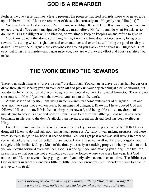# **GOD IS A REWARDER**

Perhaps the one verse that most clearly presents the promise that God rewards those who never give up is Hebrews 11:6: "He is the rewarder of those who earnestly and diligently seek Him [out]."

We must believe God is a *rewarder* of those who diligently seek Him. If we are diligent, we can expect rewards. We cannot manipulate God; we must believe His Word and do what He asks us to do. He tells us the diligent will be blessed, so we simply keep on keeping on and refuse to give up.

You know by now that doing something the right way one time does not necessarily bring great reward. It is doing what is right over and over and over and over that will bring the good result you desire. You must be diligent when everyone else around you slacks off or gives up. Diligence is not easy, but it has its rewards—and I guarantee you, they are worth every effort and every sacrifice you make.

## **THE WORK BEHIND THE REWARDS**

There is no such thing as a "drive-through" breakthrough! You can get a drive-through hamburger or a drive-through milkshake; you can even drop off and pick up your dry cleaning at a drive-through, but you do not have the option of drive-through convenience if you want a reward from God. There are no shortcuts with Him. If you want the reward, you have to do the work.

At this season of my life, I am living in the rewards that come with years of diligence—not one year, not two years, not even ten years, but *decades* of diligence. Knowing I have obeyed God and followed His call on my life is the most important reward, and being able to live my dream of ministering to others is an added benefit. It thrills me to realize that although I did not have a great beginning in life due to the devil's attack, I am having a great finish and God has been exalted as King.

I want to remind you that I did not see rewards quickly. For many years I actually felt that I was doing all I knew to do and still not making much progress. Actually, I was making progress, but there were so many things in my life that needed fixing I couldn't get past what was still wrong in order to see what had changed for the better. I want you to know this so you will not be discouraged if you struggle with similar feelings. Most of the time, you really are making progress when you do not think you are moving forward even one inch. God is working in you and moving you along, little by little, in such a way that you may not even notice you are no longer where you were last year. But God notices; and He wants you to keep going, even if you only advance one inch at a time. The Bible says God delivers us from our enemies little by little (see Deuteronomy 7:22). Merely refusing to give up is a victory in itself.

> *God is working in you and moving you along, little by little, in such a way that you may not even notice you are no longer where you were last year.*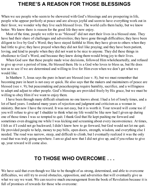# **THERE'S A REASON FOR THOSE BLESSINGS**

When we see people who seem to be showered with God's blessings and are prospering in life, people who appear perfectly at peace and are always joyful and seem to have everything work out in their favor, we wonder why they live such blessed lives. The world calls them lucky, but we know better. We know there is reason for the good life they now enjoy.

Most of the time, people we refer to as "blessed" did not start their lives in a blessed state. They have had their share of challenges and adversities; they have gone through difficulties; they have been diligent to live by God's Word; they have stayed faithful to Him; they have given to others when they had little to give; they have prayed when they did not feel like praying; and they have been patient, loving, and kind to people when they did not want to be nice to anyone. They did these things in obedience to God's Word, and because they knew doing them would bring joy to their lives.

When God saw that these people made wise decisions, followed Him wholeheartedly, and refused to give up over a period of time, He blessed them. He is a God who loves to bless us, but He does test us to see if we are determined and willing to live for Him even when we don't get what we would like.

In Matthew 5, Jesus says the pure in heart are blessed (see v. 8), but we must remember that becoming pure in heart is not easy or quick. He also says that the makers and maintainers of peace are blessed (see v. 9); but peacemaking and peacekeeping require humility, sacrifice, and a willingness to adapt and adjust to other people. God's blessings are provided freely by His grace, but we must be willing to obey Him if we want to enjoy them.

I have been through many difficult situations no one knows about. I had a lot of lonely times, and a lot of hard years. I endured many years of rejection and judgment and criticism as a woman in ministry. But now I have the reward. It was not easy, but it is worth it. Your reward will come too if you will refuse to give up! I shudder to think what my life would be like now had I given up during one of those times I was so tempted to quit. I thank God that He kept pushing me forward and sometimes even dragging me while I was kicking and screaming about every inconvenience. At times, I felt as if I could not go backward; I didn't know how to go forward, but God would not let me quit. He provided people to help, money to pay bills, open doors, strength, wisdom, and everything else I needed. The road was narrow, steep, and difficult to climb, but I eventually realized it was the only road that was truly going anywhere. I am so glad now that I did not give up, and if you refuse to give up, your reward will come also.

# **TO THOSE WHO OVERCOME . . .**

We have said that even though we like to be thought of as strong, determined, and able to overcome difficulties, we still try to avoid obstacles, opposition, and adversities that will eventually give us what we say we want. We can receive much encouragement from the book of Revelation because it is full of promises of rewards for those who overcome: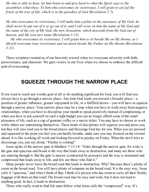He who is able to hear, let him listen to and give heed to what the Spirit says to the *assemblies (churches). To him who overcomes (is victorious), I will grant to eat [of the fruit] of the tree of life, which is in the paradise of God (Revelation 2:7).*

*He who overcomes (is victorious), I will make him a pillar in the sanctuary of My God; he* shall never be put out of it or go out of it, and I will write on him the name of My God and *the name of the city of My God, the new Jerusalem, which descends from My God out of heaven, and My own new name (Revelation 3:12).*

*He who overcomes (is victorious), I will grant him to sit beside Me on My throne, as I Myself overcame (was victorious) and sat down beside My Father on His throne (Revelation 3:21).*

These scriptures remind us of our heavenly reward when we overcome adversity with faith, perseverance, and character. We gain victory in our lives when we choose to embrace the difficult path of overcoming.

# **SQUEEZE THROUGH THE NARROW PLACE**

If you want to reach any worthy goal at all or do anything significant for God, you will find you always have to go through a narrow place. Any time God leads you toward a broader place—a position of greater influence, greater enjoyment in life, or a fulfilled desire—you will have to squeeze through a narrow place. Your narrow place may be a time when you have to walk away from negative relationships, when you have to discipline your mouth to speak positively instead of complaining, or when you have to put yourself on such a tight budget you can no longer afford some of the small pleasures of life, such as a cup of gourmet coffee or a movie ticket. You may have to choose to work while others are entertaining themselves. These kinds of disciplines will squeeze you and press you, but they will also lead you to the broad places and blessings God has for you. When you are pressed and squeezed to the point you feel you can hardly breathe, make sure you stay focused on the reward ahead. It is like working all week and looking forward to payday on Friday. When the devil tries to discourage you, just say aloud, "Payday is coming!"

Jesus spoke of the narrow gate in Matthew 7:13-14: "Enter through the narrow gate; for wide is the gate and spacious and broad is the way that leads away to destruction, and many are those who are entering through it. But the gate is narrow (contracted by pressure) and the way is straitened and compressed that leads away to life, and few are those who find it."

Many people never leave the broad road that leads to destruction. Why? Because there's plenty of room on the broad road. You will have plenty of company on the broad road. It is the easy way. Jesus calls it "spacious," and when I think of that, I think of a person who has room to carry all their fleshly baggage with them on that road! The broad road may be easy and wide, but it does not lead to anything good. In fact, it leads to destruction.

Those who really want to find life must follow what Jesus calls the "compressed" way. It's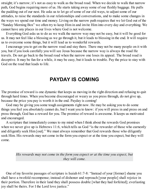straight; it's narrow; it's not as easy to walk as the broad road. When we decide to walk that narrow path, God begins requiring more of us. He starts taking away some of our fleshly baggage. He pulls the padding out of our nest. He asks us to let go of some of our old ways, to adjust some of our attitudes, to raise the standards in our relationships and conversations, and to make some changes in the ways we spend our time and money. Living on the narrow path requires that we let God out of the "Sunday Morning Box" we often try to keep Him in and invite Him into every day and everything. We cannot have any places in our lives where God is not welcome.

Everything God asks us to do as we walk the narrow way may not be easy, but it will be good for us. It may not feel like a blessing as we go through it, but it leads to blessing in the end. It will require us to overcome some things, but it will lead us to wonderful rewards.

I encourage you to get on the narrow road and stay there. There may not be many people on it with you, but if you look carefully you will see Jesus because the narrow way is always the road He travels. Do not go back to the broad road when the narrow one loses its appeal. The broad road is deceptive. It may be fun for a while, it may be easy, but it leads to trouble. Pay the price to stay with God on the road that leads to life.

## **PAYDAY IS COMING**

The promise of reward is one dynamic that keeps us moving in the right direction and refusing to quit through hard times. When you become discouraged or weary as you press through, do not give up, because the price you pay is worth it in the end. Payday is coming!

God may be giving you some tough assignments right now. He may be asking you to do some things you feel you absolutely cannot do, but I want you to know: if you will press in and press on and press through, God has a reward for you. The promise of reward is awesome. It keeps us motivated and encouraged.

A scripture that immediately comes to my mind when I think about the rewards God promises when we never give up is Hebrews 11:6, which tells us God "is the rewarder of those who earnestly and diligently seek Him [out]." We must always remember that God rewards those who diligently seek Him. His rewards may not come in the form you expect or at the time you expect, but they will come.

> *His rewards may not come in the form you expect or at the time you expect, but they will come.*

One of my favorite passages of scripture is Isaiah 61:7-8: "Instead of your [former] shame you shall have a twofold recompense; instead of dishonor and reproach [your people] shall rejoice in their portion. Therefore in their land they shall possess double [what they had forfeited]; everlasting joy shall be theirs. For I the Lord love justice."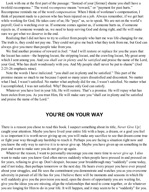Look with me at the first part of the passage: "Instead of your [former] shame you shall have a twofold recompense." The word *recompense* means "reward," or "payment for past hurts." Recompense reminds me of the word *compensation.* When I think of workman's compensation, I think of payment made to a person who has been injured on a job. Always remember, if we get hurt while working for God, He takes care of us; He "pays" us, so to speak. We are not on the world's payroll; God is watching over us. If someone comes against us, if someone hurts us, if someone rejects us, if someone wounds us, we need to keep serving God and doing right, and He will make sure we get what we deserve in the end.

Realizing that I did not have to try to collect from people who hurt me was life-changing for me. The truth is, they could not pay me. They could not give me back what they took from me, but God can always give you more than people take from you.

We find another promise of reward in Joel: "And I will restore or replace for you the years that the locust has eaten—the hopping locust, the stripping locust, and the crawling locust, My great army which I sent among you. And *you shall eat in plenty and be satisfied* and praise the name of the Lord, your God, Who has dealt wondrously with you. And My people shall never be put to shame" (Joel 2:25-26 emphasis mine).

Note the words I have italicized: "you shall eat in plenty and be satisfied." This part of the promise means so much to me because I spent so many years dissatisfied and discontent. No matter what I had, I wasn't satisfied. No matter what anybody did for me, I wasn't satisfied. No matter what I accomplished, I was not satisfied. Why? Because only God can satisfy.

Whatever you have lost in your life, He will restore. That's a promise. He will repay what has been stolen from you. As you trust Him, He will make sure you "shall eat in plenty and be satisfied and praise the name of the Lord."

# **YOU'RE ON YOUR WAY**

There is a reason you chose to read this book. I suspect something about its title, *Never Give Up!,* caught your attention. Maybe you have lived your entire life with a hope, a dream, or a goal you feel is so important it is worth never giving up on; you will make any sacrifice to see that dream come true or fight your way through any hardship to reach it. Perhaps you are facing a situation right now and you know the only way to survive it is to never give up. Maybe you have given up on something in the past and want to make sure you do not give up again.

Whatever the reason, I want to personally encourage you one more time to *never give up.* I also want to make sure you know God often moves suddenly when people have pressed in and pressed on for years, refusing to give up. Don't despair, because your breakthrough may "suddenly" come today, and if not today, then perhaps tomorrow or the next day. He hears every prayer you have ever prayed about your struggles, and He sees the commitment you demonstrate and watches you as you overcome adversity in pursuit of all He has for you. I believe there will be moments and seasons in which He will suddenly give you the provision you need, open the doors of opportunity you are waiting for, give you the ideas you are missing, align the relationships that need to come together, or do whatever you are longing for Him to do in your life. It will happen, and it may seem to be a "suddenly" for you.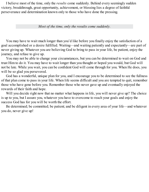I believe most of the time, only the *results* come suddenly. Behind every seemingly sudden victory, breakthrough, great opportunity, achievement, or blessing lies a degree of faithful perseverance and determination known only to those who have done the pressing.

*Most of the time, only the results come suddenly.*

You may have to wait much longer than you'd like before you finally enjoy the satisfaction of a goal accomplished or a desire fulfilled. Waiting—and waiting patiently and expectantly—are part of never giving up. Whatever you are believing God to bring to pass in your life, be patient, enjoy the journey, and refuse to give up.

You may not be able to change your circumstances, but you can be determined to wait on God and trust Him to do it. You may have to wait longer than you thought or hoped you would, but God will not be late. While you wait, you can be confident God will come through for you. When He does, you will be so glad you persevered.

God has a wonderful, unique plan for you, and I encourage you to be determined to see the fullness of that plan come to pass in your life. When life seems difficult and you are tempted to quit, remember those who have gone before you. Remember those who never gave up and eventually enjoyed the rewards of their faith and hope.

Will you decide right now that no matter what happens in life, you will never give up? The choice is up to you, but I assure you, whatever you have to overcome to reach your goals and enjoy the success God has for you will be worth the effort.

Be determined; be committed; be patient; and be diligent in every area of your life—and whatever you do, never give up!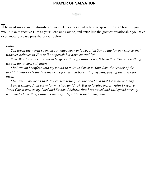#### **PRAYER OF SALVATION**

**4300** 

**T**he most important relationship of your life is <sup>a</sup> personal relationship with Jesus Christ. If you would like to receive Him as your Lord and Savior, and enter into the greatest relationship you have ever known, please pray the prayer below:

#### *Father,*

*You loved the world so much You gave Your only begotten Son to die for our sins so that whoever believes in Him will not perish but have eternal life.*

*Your Word says we are saved by grace through faith as a gift from You. There is nothing we can do to earn salvation.*

*I believe and confess with my mouth that Jesus Christ is Your Son, the Savior of the* world. I believe He died on the cross for me and bore all of my sins, paying the price for *them.*

*I believe in my heart that You raised Jesus from the dead and that He is alive today.* I am a sinner; I am sorry for my sins; and I ask You to forgive me. By faith I receive *Jesus Christ now as my Lord and Savior. I believe that I am saved and will spend eternity with You! Thank You, Father. I am so grateful! In Jesus' name, Amen.*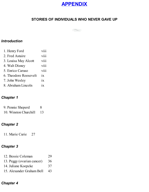

#### **STORIES OF INDIVIDUALS WHO NEVER GAVE UP**



#### *Introduction*

1. Henry Ford viii 2. Fred Astaire viii 3. Louisa May Alcott viii 4. Walt Disney viii 5. Enrico Caruso viii 6. Theodore Roosevelt ix 7. John Wesley ix 8. Abraham Lincoln ix

#### *Chapter 1*

| 9. Pennie Sheperd     | 8  |
|-----------------------|----|
| 10. Winston Churchill | 13 |

#### *Chapter 2*

11. Marie Curie 27

#### *Chapter 3*

| 12. Bessie Coleman         | 29 |
|----------------------------|----|
| 13. Peggy (ovarian cancer) | 36 |
| 14. Juliane Koepcke        | 37 |
| 15. Alexander Graham Bell  | 43 |
|                            |    |

#### *Chapter 4*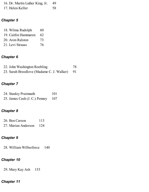- 16. Dr. Martin Luther King, Jr. 49
- 17. Helen Keller 58

#### *Chapter 5*

18. Wilma Rudolph 60 19. Caitlin Hammaren 62 20. Aron Ralston 73 21. Levi Strauss 76

#### *Chapter 6*

| 22. John Washington Roebling                 | 78 |
|----------------------------------------------|----|
| 23. Sarah Breedlove (Madame C. J. Walker) 91 |    |

#### *Chapter 7*

| 24. Stanley Praimnath         | 101 |
|-------------------------------|-----|
| 25. James Cash (J. C.) Penney | 107 |

#### *Chapter 8*

| 26. Ben Carson      | 113 |
|---------------------|-----|
| 27. Marian Anderson | 124 |

#### *Chapter 9*

28. William Wilberforce 140

### *Chapter 10*

29. Mary Kay Ash 153

#### *Chapter 11*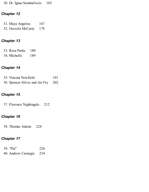30. Dr. Ignaz Semmelweis 165

### *Chapter 12*

| 31. Maya Angelou    | 167 |
|---------------------|-----|
| 32. Osceola McCarty | 178 |

### *Chapter 13*

| 33. Rosa Parks | 180 |
|----------------|-----|
| 34. Michelle   | 189 |

### *Chapter 14*

| 35. Vincent Newfield               | 191 |
|------------------------------------|-----|
| 36. Spencer Silver and Art Fry 202 |     |

### *Chapter 15*

37. Florence Nightingale 212

### *Chapter 16*

38. Thomas Adams 224

### *Chapter 17*

| 39. "Pat"               | 226 |
|-------------------------|-----|
| 40. Andrew Carnegie 234 |     |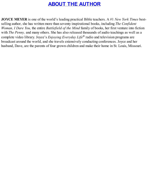# **ABOUT THE [AUTHOR](#page-2-3)**

**JOYCE MEYER** is one of the world's leading practical Bible teachers. A #1 *New York Times* bestselling author, she has written more than seventy inspirational books, including *The Confident Woman, I Dare You,* the entire *Battlefield of the Mind* family of books, her first venture into fiction with *The Penny,* and many others. She has also released thousands of audio teachings as well as a complete video library. Joyce's *Enjoying Everyday Life*® radio and television programs are broadcast around the world, and she travels extensively conducting conferences. Joyce and her husband, Dave, are the parents of four grown children and make their home in St. Louis, Missouri.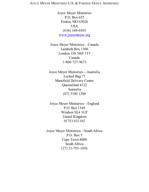Joyce Meyer Ministries P.O. Box 655 Fenton, MO 63026 USA (636) 349-0303 [www.joycemeyer.org](http://www.joycemeyer.org)

Joyce Meyer Ministries—Canada Lambeth Box 1300 London, ON N6P 1T5 Canada 1-800-727-9673

Joyce Meyer Ministries—Australia Locked Bag 77 Mansfield Delivery Centre Queensland 4122 Australia (07) 3349 1200

Joyce Meyer Ministries—England P.O. Box 1549 Windsor SL4 1GT United Kingdom 01753 831102

Joyce Meyer Ministries—South Africa P.O. Box 5 Cape Town 8000 South Africa (27) 21-701-1056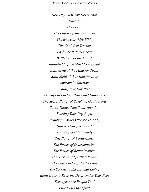#### OTHER BOOKS BY JOYCE MEYER

*New Day, New You Devotional I Dare You The Penny The Power of Simple Prayer The Everyday Life Bible The Confident Woman Look Great, Feel Great Battlefield of the Mind\* Battlefield of the Mind Devotional Battlefield of the Mind for Teens Battlefield of the Mind for Kids Approval Addiction Ending Your Day Right 21 Ways to Finding Peace and Happiness The Secret Power of Speaking God's Word Seven Things That Steal Your Joy Starting Your Day Right Beauty for Ashes* (revised edition) *How to Hear from God\* Knowing God Intimately The Power of Forgiveness The Power of Determination The Power of Being Positive The Secrets of Spiritual Power The Battle Belongs to the Lord The Secrets to Exceptional Living Eight Ways to Keep the Devil Under Your Feet Teenagers Are People Too! Filled with the Spirit*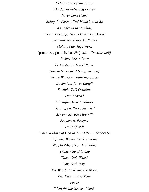*Celebration of Simplicity The Joy of Believing Prayer Never Lose Heart Being the Person God Made You to Be A Leader in the Making "Good Morning, This Is God!"* (gift book) *Jesus—Name Above All Names Making Marriage Work* (previously published as *Help Me—I'm Married!) Reduce Me to Love Be Healed in Jesus' Name How to Succeed at Being Yourself Weary Warriors, Fainting Saints Be Anxious for Nothing\* Straight Talk Omnibus Don't Dread Managing Your Emotions Healing the Brokenhearted Me and My Big Mouth!\* Prepare to Prosper Do It Afraid! Expect a Move of God in Your Life . . . Suddenly! Enjoying Where You Are on the* Way to Where You Are Going *A New Way of Living When, God, When? Why, God, Why? The Word, the Name, the Blood Tell Them I Love Them Peace If Not for the Grace of God\**